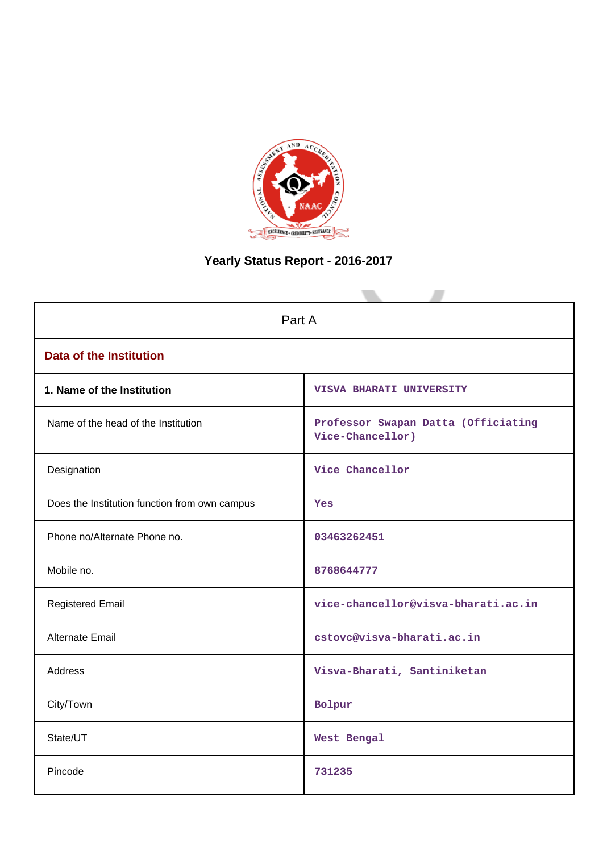

# **Yearly Status Report - 2016-2017**

| Part A                                        |                                                         |  |  |  |  |  |
|-----------------------------------------------|---------------------------------------------------------|--|--|--|--|--|
| <b>Data of the Institution</b>                |                                                         |  |  |  |  |  |
| 1. Name of the Institution                    | VISVA BHARATI UNIVERSITY                                |  |  |  |  |  |
| Name of the head of the Institution           | Professor Swapan Datta (Officiating<br>Vice-Chancellor) |  |  |  |  |  |
| Designation                                   | Vice Chancellor                                         |  |  |  |  |  |
| Does the Institution function from own campus | Yes                                                     |  |  |  |  |  |
| Phone no/Alternate Phone no.                  | 03463262451                                             |  |  |  |  |  |
| Mobile no.                                    | 8768644777                                              |  |  |  |  |  |
| <b>Registered Email</b>                       | vice-chancellor@visva-bharati.ac.in                     |  |  |  |  |  |
| Alternate Email                               | cstovc@visva-bharati.ac.in                              |  |  |  |  |  |
| Address                                       | Visva-Bharati, Santiniketan                             |  |  |  |  |  |
| City/Town                                     | Bolpur                                                  |  |  |  |  |  |
| State/UT                                      | West Bengal                                             |  |  |  |  |  |
| Pincode                                       | 731235                                                  |  |  |  |  |  |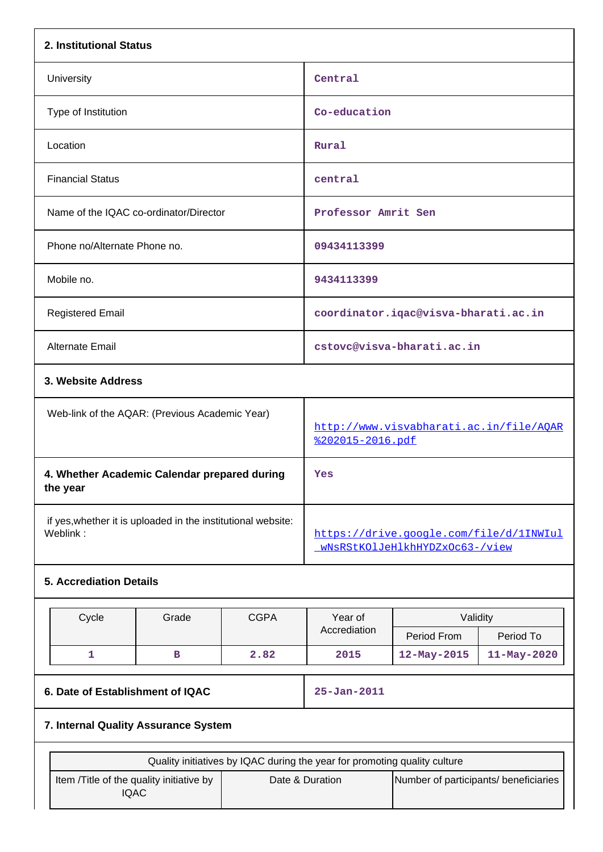| 2. Institutional Status                                                  |       |             |                                                                           |                                       |                                         |
|--------------------------------------------------------------------------|-------|-------------|---------------------------------------------------------------------------|---------------------------------------|-----------------------------------------|
| University                                                               |       |             | Central                                                                   |                                       |                                         |
| Type of Institution                                                      |       |             | Co-education                                                              |                                       |                                         |
| Location                                                                 |       |             | Rural                                                                     |                                       |                                         |
| <b>Financial Status</b>                                                  |       |             | central                                                                   |                                       |                                         |
| Name of the IQAC co-ordinator/Director                                   |       |             | Professor Amrit Sen                                                       |                                       |                                         |
| Phone no/Alternate Phone no.                                             |       |             | 09434113399                                                               |                                       |                                         |
| Mobile no.                                                               |       |             | 9434113399                                                                |                                       |                                         |
| <b>Registered Email</b>                                                  |       |             |                                                                           | coordinator.iqac@visva-bharati.ac.in  |                                         |
| Alternate Email                                                          |       |             |                                                                           | cstovc@visva-bharati.ac.in            |                                         |
| 3. Website Address                                                       |       |             |                                                                           |                                       |                                         |
| Web-link of the AQAR: (Previous Academic Year)                           |       |             | %202015-2016.pdf                                                          |                                       | http://www.visvabharati.ac.in/file/AQAR |
| 4. Whether Academic Calendar prepared during<br>the year                 |       |             | Yes                                                                       |                                       |                                         |
| if yes, whether it is uploaded in the institutional website:<br>Weblink: |       |             | https://drive.google.com/file/d/1INWIul<br>wNsRStKOlJeHlkhHYDZxOc63-/view |                                       |                                         |
| <b>5. Accrediation Details</b>                                           |       |             |                                                                           |                                       |                                         |
| Cycle                                                                    | Grade | <b>CGPA</b> | Year of                                                                   | Validity                              |                                         |
|                                                                          |       |             | Accrediation                                                              | Period From                           | Period To                               |
| $\mathbf{1}$                                                             | в     | 2.82        | 2015                                                                      | 12-May-2015                           | 11-May-2020                             |
| 6. Date of Establishment of IQAC                                         |       |             | $25 - Jan - 2011$                                                         |                                       |                                         |
| 7. Internal Quality Assurance System                                     |       |             |                                                                           |                                       |                                         |
|                                                                          |       |             | Quality initiatives by IQAC during the year for promoting quality culture |                                       |                                         |
| Item /Title of the quality initiative by<br><b>IQAC</b>                  |       |             | Date & Duration                                                           | Number of participants/ beneficiaries |                                         |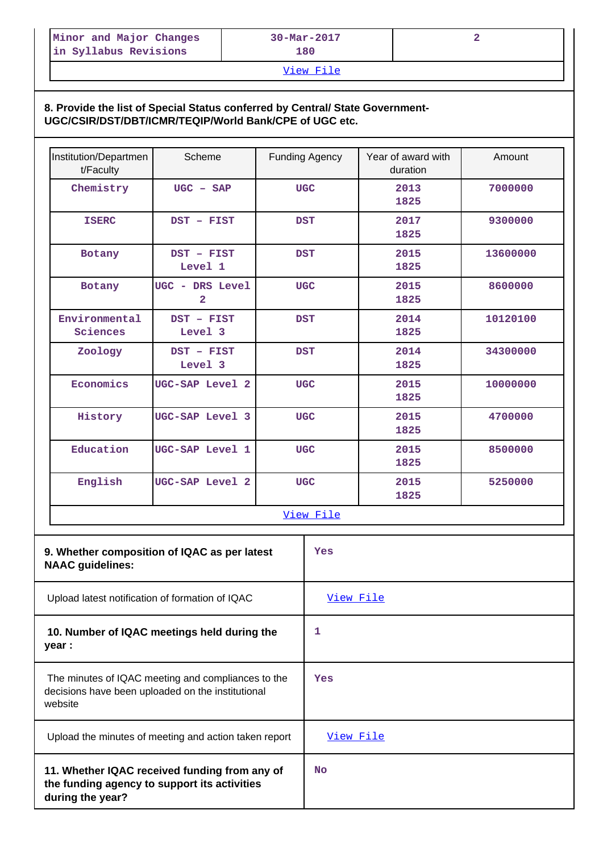| Minor and Major Changes | $30 - \text{Mar} - 2017$ |  |
|-------------------------|--------------------------|--|
| in Syllabus Revisions   | 180.                     |  |

## [View File](https://assessmentonline.naac.gov.in/public/Postacc/Quality_Initiatives/7558_Quality_Initiatives.xlsx)

# **8. Provide the list of Special Status conferred by Central/ State Government-UGC/CSIR/DST/DBT/ICMR/TEQIP/World Bank/CPE of UGC etc.**

| Institution/Departmen<br>t/Faculty                                                                                 | Scheme                                                |            | <b>Funding Agency</b> | Year of award with<br>duration | Amount   |
|--------------------------------------------------------------------------------------------------------------------|-------------------------------------------------------|------------|-----------------------|--------------------------------|----------|
| Chemistry                                                                                                          | $UGC - SAP$                                           |            | <b>UGC</b>            | 2013<br>1825                   | 7000000  |
| <b>ISERC</b>                                                                                                       | DST - FIST                                            |            | <b>DST</b>            | 2017<br>1825                   | 9300000  |
| Botany                                                                                                             | DST - FIST<br>Level 1                                 |            | <b>DST</b>            | 2015<br>1825                   | 13600000 |
| Botany                                                                                                             | UGC - DRS Level<br>$\overline{\mathbf{2}}$            | <b>UGC</b> |                       | 2015<br>1825                   | 8600000  |
| Environmental<br>Sciences                                                                                          | DST - FIST<br>Level 3                                 |            | <b>DST</b>            | 2014<br>1825                   | 10120100 |
| Zoology                                                                                                            | DST - FIST<br>Level 3                                 |            | <b>DST</b>            | 2014<br>1825                   | 34300000 |
| Economics                                                                                                          | UGC-SAP Level 2                                       |            | <b>UGC</b>            | 2015<br>1825                   | 10000000 |
| History                                                                                                            | UGC-SAP Level 3                                       |            | <b>UGC</b>            | 2015<br>1825                   | 4700000  |
| Education                                                                                                          | UGC-SAP Level 1                                       |            | <b>UGC</b>            | 2015<br>1825                   | 8500000  |
| English                                                                                                            | UGC-SAP Level 2                                       |            | <b>UGC</b>            | 2015<br>1825                   | 5250000  |
|                                                                                                                    |                                                       |            | View File             |                                |          |
| <b>NAAC</b> guidelines:                                                                                            | 9. Whether composition of IQAC as per latest          |            | Yes                   |                                |          |
|                                                                                                                    | Upload latest notification of formation of IQAC       |            | View File             |                                |          |
| year :                                                                                                             | 10. Number of IQAC meetings held during the           |            | 1                     |                                |          |
| The minutes of IQAC meeting and compliances to the<br>decisions have been uploaded on the institutional<br>website |                                                       |            | Yes                   |                                |          |
|                                                                                                                    | Upload the minutes of meeting and action taken report |            | View File             |                                |          |
| 11. Whether IQAC received funding from any of<br>the funding agency to support its activities<br>during the year?  |                                                       |            |                       |                                |          |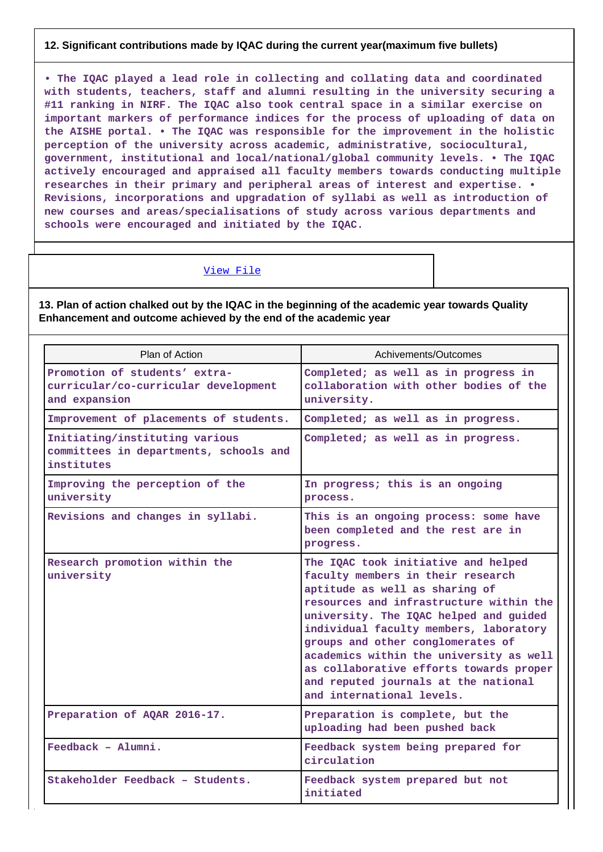## **12. Significant contributions made by IQAC during the current year(maximum five bullets)**

**• The IQAC played a lead role in collecting and collating data and coordinated with students, teachers, staff and alumni resulting in the university securing a #11 ranking in NIRF. The IQAC also took central space in a similar exercise on important markers of performance indices for the process of uploading of data on the AISHE portal. • The IQAC was responsible for the improvement in the holistic perception of the university across academic, administrative, sociocultural, government, institutional and local/national/global community levels. • The IQAC actively encouraged and appraised all faculty members towards conducting multiple researches in their primary and peripheral areas of interest and expertise. • Revisions, incorporations and upgradation of syllabi as well as introduction of new courses and areas/specialisations of study across various departments and schools were encouraged and initiated by the IQAC.**

## [View File](https://assessmentonline.naac.gov.in/public/Postacc/Contribution/7558_Contribution.xlsx)

## **13. Plan of action chalked out by the IQAC in the beginning of the academic year towards Quality Enhancement and outcome achieved by the end of the academic year**

| Plan of Action                                                                         | Achivements/Outcomes                                                                                                                                                                                                                                                                                                                                                                                                                      |
|----------------------------------------------------------------------------------------|-------------------------------------------------------------------------------------------------------------------------------------------------------------------------------------------------------------------------------------------------------------------------------------------------------------------------------------------------------------------------------------------------------------------------------------------|
| Promotion of students' extra-<br>curricular/co-curricular development<br>and expansion | Completed; as well as in progress in<br>collaboration with other bodies of the<br>university.                                                                                                                                                                                                                                                                                                                                             |
| Improvement of placements of students.                                                 | Completed; as well as in progress.                                                                                                                                                                                                                                                                                                                                                                                                        |
| Initiating/instituting various<br>committees in departments, schools and<br>institutes | Completed; as well as in progress.                                                                                                                                                                                                                                                                                                                                                                                                        |
| Improving the perception of the<br>university                                          | In progress; this is an ongoing<br>process.                                                                                                                                                                                                                                                                                                                                                                                               |
| Revisions and changes in syllabi.                                                      | This is an ongoing process: some have<br>been completed and the rest are in<br>progress.                                                                                                                                                                                                                                                                                                                                                  |
| Research promotion within the<br>university                                            | The IQAC took initiative and helped<br>faculty members in their research<br>aptitude as well as sharing of<br>resources and infrastructure within the<br>university. The IQAC helped and guided<br>individual faculty members, laboratory<br>groups and other conglomerates of<br>academics within the university as well<br>as collaborative efforts towards proper<br>and reputed journals at the national<br>and international levels. |
| Preparation of AQAR 2016-17.                                                           | Preparation is complete, but the<br>uploading had been pushed back                                                                                                                                                                                                                                                                                                                                                                        |
| $Feedback - Alumni.$                                                                   | Feedback system being prepared for<br>circulation                                                                                                                                                                                                                                                                                                                                                                                         |
| Stakeholder Feedback - Students.                                                       | Feedback system prepared but not<br>initiated                                                                                                                                                                                                                                                                                                                                                                                             |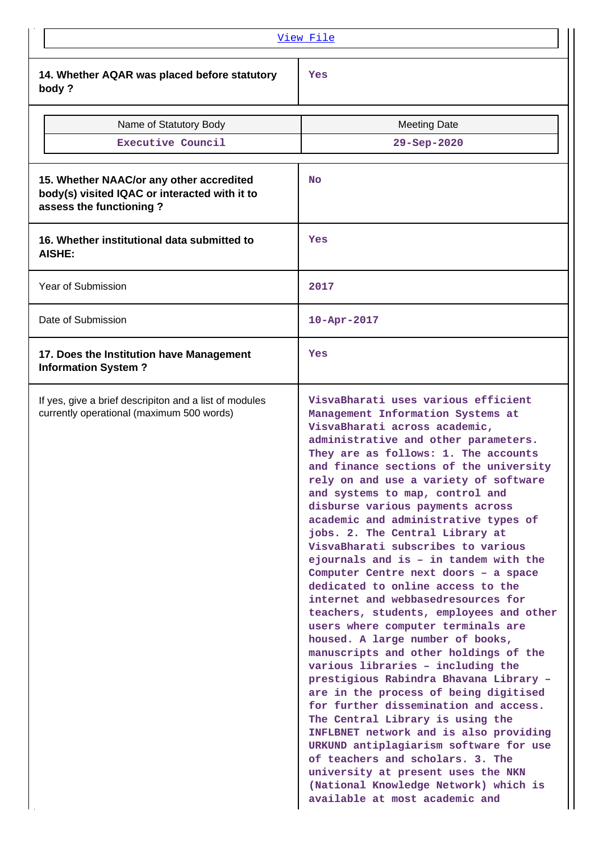|                                                                                                                      | <u>View File</u>                                                                                                                                                                                                                                                                                                                                                                                                                                                                                                                                                                                                                                                                                                                                                                                                                                                                                                                                                                                                                                                                                                                                                                                                                             |
|----------------------------------------------------------------------------------------------------------------------|----------------------------------------------------------------------------------------------------------------------------------------------------------------------------------------------------------------------------------------------------------------------------------------------------------------------------------------------------------------------------------------------------------------------------------------------------------------------------------------------------------------------------------------------------------------------------------------------------------------------------------------------------------------------------------------------------------------------------------------------------------------------------------------------------------------------------------------------------------------------------------------------------------------------------------------------------------------------------------------------------------------------------------------------------------------------------------------------------------------------------------------------------------------------------------------------------------------------------------------------|
| 14. Whether AQAR was placed before statutory<br>body?                                                                | Yes                                                                                                                                                                                                                                                                                                                                                                                                                                                                                                                                                                                                                                                                                                                                                                                                                                                                                                                                                                                                                                                                                                                                                                                                                                          |
| Name of Statutory Body                                                                                               | <b>Meeting Date</b>                                                                                                                                                                                                                                                                                                                                                                                                                                                                                                                                                                                                                                                                                                                                                                                                                                                                                                                                                                                                                                                                                                                                                                                                                          |
| Executive Council                                                                                                    | 29-Sep-2020                                                                                                                                                                                                                                                                                                                                                                                                                                                                                                                                                                                                                                                                                                                                                                                                                                                                                                                                                                                                                                                                                                                                                                                                                                  |
| 15. Whether NAAC/or any other accredited<br>body(s) visited IQAC or interacted with it to<br>assess the functioning? | <b>No</b>                                                                                                                                                                                                                                                                                                                                                                                                                                                                                                                                                                                                                                                                                                                                                                                                                                                                                                                                                                                                                                                                                                                                                                                                                                    |
| 16. Whether institutional data submitted to<br><b>AISHE:</b>                                                         | Yes                                                                                                                                                                                                                                                                                                                                                                                                                                                                                                                                                                                                                                                                                                                                                                                                                                                                                                                                                                                                                                                                                                                                                                                                                                          |
| <b>Year of Submission</b>                                                                                            | 2017                                                                                                                                                                                                                                                                                                                                                                                                                                                                                                                                                                                                                                                                                                                                                                                                                                                                                                                                                                                                                                                                                                                                                                                                                                         |
| Date of Submission                                                                                                   | $10 - Apr - 2017$                                                                                                                                                                                                                                                                                                                                                                                                                                                                                                                                                                                                                                                                                                                                                                                                                                                                                                                                                                                                                                                                                                                                                                                                                            |
| 17. Does the Institution have Management<br><b>Information System?</b>                                               | Yes                                                                                                                                                                                                                                                                                                                                                                                                                                                                                                                                                                                                                                                                                                                                                                                                                                                                                                                                                                                                                                                                                                                                                                                                                                          |
| If yes, give a brief descripiton and a list of modules<br>currently operational (maximum 500 words)                  | VisvaBharati uses various efficient<br>Management Information Systems at<br>VisvaBharati across academic,<br>administrative and other parameters.<br>They are as follows: 1. The accounts<br>and finance sections of the university<br>rely on and use a variety of software<br>and systems to map, control and<br>disburse various payments across<br>academic and administrative types of<br>jobs. 2. The Central Library at<br>VisvaBharati subscribes to various<br>ejournals and is - in tandem with the<br>Computer Centre next doors - a space<br>dedicated to online access to the<br>internet and webbasedresources for<br>teachers, students, employees and other<br>users where computer terminals are<br>housed. A large number of books,<br>manuscripts and other holdings of the<br>various libraries - including the<br>prestigious Rabindra Bhavana Library -<br>are in the process of being digitised<br>for further dissemination and access.<br>The Central Library is using the<br>INFLBNET network and is also providing<br>URKUND antiplagiarism software for use<br>of teachers and scholars. 3. The<br>university at present uses the NKN<br>(National Knowledge Network) which is<br>available at most academic and |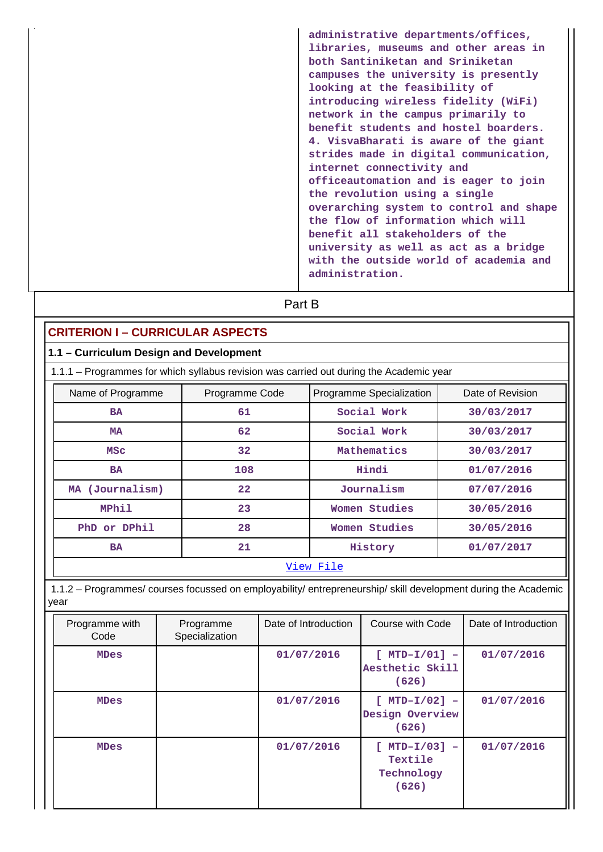**administrative departments/offices, libraries, museums and other areas in both Santiniketan and Sriniketan campuses the university is presently looking at the feasibility of introducing wireless fidelity (WiFi) network in the campus primarily to benefit students and hostel boarders. 4. VisvaBharati is aware of the giant strides made in digital communication, internet connectivity and officeautomation and is eager to join the revolution using a single overarching system to control and shape the flow of information which will benefit all stakeholders of the university as well as act as a bridge with the outside world of academia and administration.**

|                                                                                                                        |                             | Part B               |           |                                            |  |                      |
|------------------------------------------------------------------------------------------------------------------------|-----------------------------|----------------------|-----------|--------------------------------------------|--|----------------------|
| <b>CRITERION I - CURRICULAR ASPECTS</b>                                                                                |                             |                      |           |                                            |  |                      |
| 1.1 - Curriculum Design and Development                                                                                |                             |                      |           |                                            |  |                      |
| 1.1.1 - Programmes for which syllabus revision was carried out during the Academic year                                |                             |                      |           |                                            |  |                      |
| Name of Programme                                                                                                      | Programme Code              |                      |           | Programme Specialization                   |  | Date of Revision     |
| <b>BA</b>                                                                                                              | 61                          |                      |           | Social Work                                |  | 30/03/2017           |
| <b>MA</b>                                                                                                              | 62                          |                      |           | Social Work                                |  | 30/03/2017           |
| <b>MSC</b>                                                                                                             | 32                          |                      |           | Mathematics                                |  | 30/03/2017           |
| <b>BA</b>                                                                                                              | 108                         |                      |           | Hindi                                      |  | 01/07/2016           |
| MA (Journalism)                                                                                                        | 22                          |                      |           | Journalism                                 |  | 07/07/2016           |
| MPhil                                                                                                                  | 23                          |                      |           | Women Studies                              |  | 30/05/2016           |
| PhD or DPhil                                                                                                           | 28                          |                      |           | Women Studies                              |  | 30/05/2016           |
| <b>BA</b>                                                                                                              | 21                          |                      | History   |                                            |  | 01/07/2017           |
|                                                                                                                        |                             |                      | View File |                                            |  |                      |
| 1.1.2 - Programmes/ courses focussed on employability/ entrepreneurship/ skill development during the Academic<br>year |                             |                      |           |                                            |  |                      |
| Programme with<br>Code                                                                                                 | Programme<br>Specialization | Date of Introduction |           | Course with Code                           |  | Date of Introduction |
| <b>MDes</b>                                                                                                            |                             | 01/07/2016           |           | $[MTD-I/01] -$<br>Aesthetic Skill<br>(626) |  | 01/07/2016           |
| <b>MDes</b>                                                                                                            |                             | 01/07/2016           |           | $[MTD-I/02]$ -<br>Design Overview<br>(626) |  | 01/07/2016           |
| <b>MDes</b>                                                                                                            |                             | 01/07/2016           |           | $[MTD-I/03]$<br>Textile                    |  | 01/07/2016           |

**Technology (626)**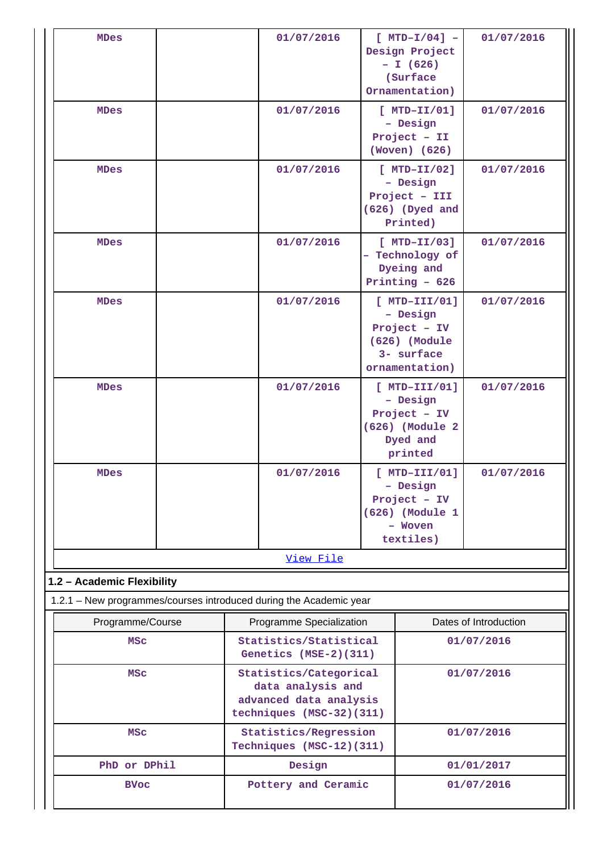| <b>MDes</b>                                                                                      | 01/07/2016                                                                                        | $[MTD-I/04]$ -<br>Design Project<br>$- I (626)$<br>(Surface)<br>Ornamentation)               | 01/07/2016            |
|--------------------------------------------------------------------------------------------------|---------------------------------------------------------------------------------------------------|----------------------------------------------------------------------------------------------|-----------------------|
| <b>MDes</b>                                                                                      | 01/07/2016                                                                                        | $[MTD-TI/01]$<br>- Design<br>Project - II<br>(Woven) (626)                                   | 01/07/2016            |
| <b>MDes</b>                                                                                      | 01/07/2016                                                                                        | $[MTD-TI/02]$<br>- Design<br>Project - III<br>(626) (Dyed and<br>Printed)                    | 01/07/2016            |
| <b>MDes</b>                                                                                      | 01/07/2016                                                                                        | $[MTD-TI/03]$<br>- Technology of<br>Dyeing and<br>Printing $-626$                            | 01/07/2016            |
| <b>MDes</b>                                                                                      | 01/07/2016                                                                                        | $[$ MTD-III/01]<br>- Design<br>Project - IV<br>(626) (Module<br>3- surface<br>ornamentation) | 01/07/2016            |
| <b>MDes</b>                                                                                      | 01/07/2016                                                                                        | $[MTD-III/01]$<br>- Design<br>Project - IV<br>(626) (Module 2<br>Dyed and<br>printed         | 01/07/2016            |
| <b>MDes</b>                                                                                      | 01/07/2016                                                                                        | $[$ MTD-III/01]<br>- Design<br>Project - IV<br>(626) (Module 1<br>Woven<br>textiles)         | 01/07/2016            |
|                                                                                                  | View File                                                                                         |                                                                                              |                       |
| 1.2 - Academic Flexibility<br>1.2.1 - New programmes/courses introduced during the Academic year |                                                                                                   |                                                                                              |                       |
| Programme/Course                                                                                 | Programme Specialization                                                                          |                                                                                              | Dates of Introduction |
| <b>MSC</b>                                                                                       | Statistics/Statistical<br>Genetics (MSE-2)(311)                                                   | 01/07/2016                                                                                   |                       |
| <b>MSC</b>                                                                                       | Statistics/Categorical<br>data analysis and<br>advanced data analysis<br>techniques (MSC-32)(311) |                                                                                              | 01/07/2016            |
| <b>MSC</b>                                                                                       | Statistics/Regression<br>Techniques (MSC-12)(311)                                                 |                                                                                              | 01/07/2016            |
| PhD or DPhil                                                                                     | Design                                                                                            |                                                                                              | 01/01/2017            |
| <b>BVoc</b>                                                                                      | Pottery and Ceramic                                                                               |                                                                                              | 01/07/2016            |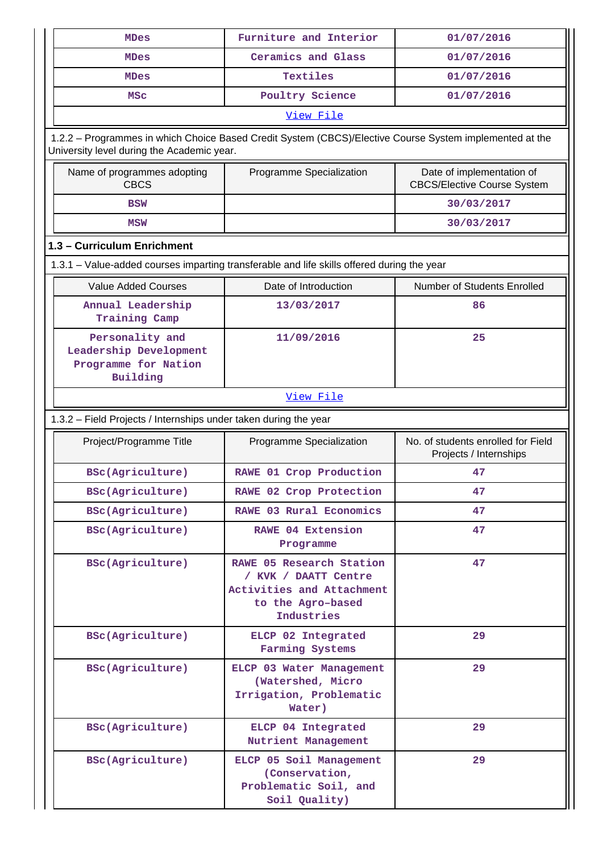| <b>MDes</b>                                                                                                                                           | Furniture and Interior                                                                                           | 01/07/2016                                                      |
|-------------------------------------------------------------------------------------------------------------------------------------------------------|------------------------------------------------------------------------------------------------------------------|-----------------------------------------------------------------|
| <b>MDes</b>                                                                                                                                           | Ceramics and Glass                                                                                               | 01/07/2016                                                      |
| <b>MDes</b>                                                                                                                                           | Textiles                                                                                                         | 01/07/2016                                                      |
| <b>MSC</b>                                                                                                                                            | Poultry Science                                                                                                  | 01/07/2016                                                      |
|                                                                                                                                                       | View File                                                                                                        |                                                                 |
| 1.2.2 - Programmes in which Choice Based Credit System (CBCS)/Elective Course System implemented at the<br>University level during the Academic year. |                                                                                                                  |                                                                 |
| Name of programmes adopting<br><b>CBCS</b>                                                                                                            | Programme Specialization                                                                                         | Date of implementation of<br><b>CBCS/Elective Course System</b> |
| <b>BSW</b>                                                                                                                                            |                                                                                                                  | 30/03/2017                                                      |
| <b>MSW</b>                                                                                                                                            |                                                                                                                  | 30/03/2017                                                      |
| 1.3 - Curriculum Enrichment                                                                                                                           |                                                                                                                  |                                                                 |
| 1.3.1 – Value-added courses imparting transferable and life skills offered during the year                                                            |                                                                                                                  |                                                                 |
| <b>Value Added Courses</b>                                                                                                                            | Date of Introduction                                                                                             | <b>Number of Students Enrolled</b>                              |
| Annual Leadership<br>Training Camp                                                                                                                    | 13/03/2017                                                                                                       | 86                                                              |
| Personality and<br>Leadership Development<br>Programme for Nation<br>Building                                                                         | 11/09/2016                                                                                                       | 25                                                              |
|                                                                                                                                                       | View File                                                                                                        |                                                                 |
| 1.3.2 - Field Projects / Internships under taken during the year                                                                                      |                                                                                                                  |                                                                 |
| Project/Programme Title                                                                                                                               | Programme Specialization                                                                                         | No. of students enrolled for Field<br>Projects / Internships    |
| BSc(Agriculture)                                                                                                                                      | RAWE 01 Crop Production                                                                                          | 47                                                              |
| BSc(Agriculture)                                                                                                                                      | RAWE 02 Crop Protection                                                                                          | 47                                                              |
| BSc(Agriculture)                                                                                                                                      | RAWE 03 Rural Economics                                                                                          | 47                                                              |
| BSc(Agriculture)                                                                                                                                      | RAWE 04 Extension<br>Programme                                                                                   | 47                                                              |
| BSc(Agriculture)                                                                                                                                      | RAWE 05 Research Station<br>/ KVK / DAATT Centre<br>Activities and Attachment<br>to the Agro-based<br>Industries | 47                                                              |
| BSc(Agriculture)                                                                                                                                      | ELCP 02 Integrated<br>Farming Systems                                                                            | 29                                                              |
| BSc(Agriculture)                                                                                                                                      | ELCP 03 Water Management<br>(Watershed, Micro<br>Irrigation, Problematic<br>Water)                               | 29                                                              |
| BSc(Agriculture)                                                                                                                                      | ELCP 04 Integrated<br>Nutrient Management                                                                        | 29                                                              |
| BSc(Agriculture)                                                                                                                                      | ELCP 05 Soil Management<br>(Conservation,<br>Problematic Soil, and<br>Soil Quality)                              | 29                                                              |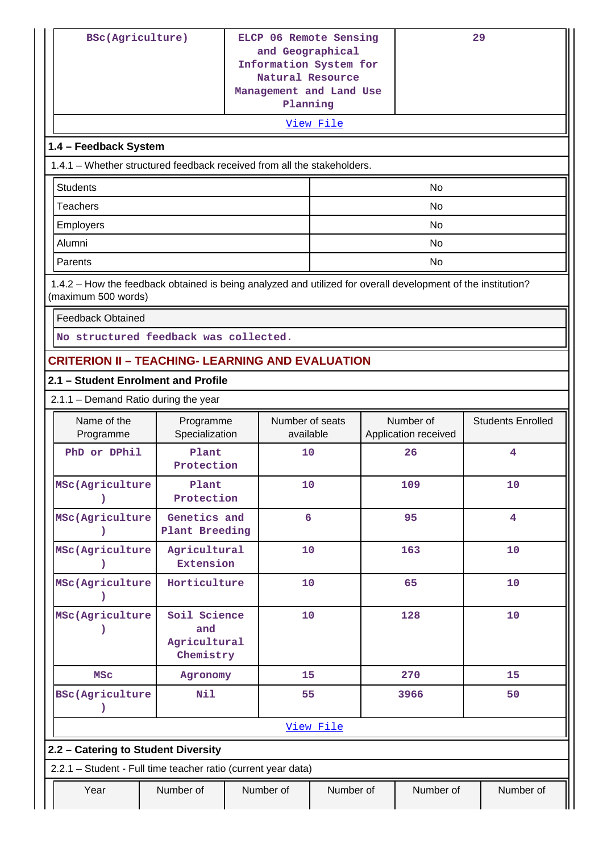| BSc(Agriculture)                                                                                                                    |                                                  |                 | ELCP 06 Remote Sensing<br>and Geographical<br>Information System for<br>Natural Resource<br>Management and Land Use<br>Planning |  |                      | 29                       |
|-------------------------------------------------------------------------------------------------------------------------------------|--------------------------------------------------|-----------------|---------------------------------------------------------------------------------------------------------------------------------|--|----------------------|--------------------------|
|                                                                                                                                     |                                                  |                 | View File                                                                                                                       |  |                      |                          |
| 1.4 - Feedback System                                                                                                               |                                                  |                 |                                                                                                                                 |  |                      |                          |
| 1.4.1 – Whether structured feedback received from all the stakeholders.                                                             |                                                  |                 |                                                                                                                                 |  |                      |                          |
| <b>Students</b>                                                                                                                     |                                                  |                 |                                                                                                                                 |  | No                   |                          |
| <b>Teachers</b>                                                                                                                     |                                                  |                 |                                                                                                                                 |  | No                   |                          |
| Employers                                                                                                                           |                                                  |                 |                                                                                                                                 |  | No                   |                          |
| Alumni<br><b>No</b>                                                                                                                 |                                                  |                 |                                                                                                                                 |  |                      |                          |
| Parents                                                                                                                             |                                                  | No              |                                                                                                                                 |  |                      |                          |
| 1.4.2 - How the feedback obtained is being analyzed and utilized for overall development of the institution?<br>(maximum 500 words) |                                                  |                 |                                                                                                                                 |  |                      |                          |
| <b>Feedback Obtained</b>                                                                                                            |                                                  |                 |                                                                                                                                 |  |                      |                          |
| No structured feedback was collected.                                                                                               |                                                  |                 |                                                                                                                                 |  |                      |                          |
| <b>CRITERION II - TEACHING- LEARNING AND EVALUATION</b>                                                                             |                                                  |                 |                                                                                                                                 |  |                      |                          |
| 2.1 - Student Enrolment and Profile                                                                                                 |                                                  |                 |                                                                                                                                 |  |                      |                          |
| 2.1.1 - Demand Ratio during the year                                                                                                |                                                  |                 |                                                                                                                                 |  |                      |                          |
| Name of the                                                                                                                         | Programme                                        | Number of seats |                                                                                                                                 |  | Number of            | <b>Students Enrolled</b> |
| Programme                                                                                                                           | Specialization                                   | available       |                                                                                                                                 |  | Application received |                          |
| PhD or DPhil                                                                                                                        | Plant<br>Protection                              | 10              |                                                                                                                                 |  | 26                   | 4                        |
| MSc(Agriculture                                                                                                                     | Plant<br>Protection                              | 10              |                                                                                                                                 |  | 109                  | 10                       |
| MSc(Agriculture                                                                                                                     | Genetics and<br>Plant Breeding                   | 6               |                                                                                                                                 |  | 95                   | $\overline{4}$           |
| MSc(Agriculture                                                                                                                     | Agricultural<br>Extension                        | 10              |                                                                                                                                 |  | 163                  | 10                       |
| MSc(Agriculture<br><sup>)</sup>                                                                                                     | Horticulture                                     | 10              |                                                                                                                                 |  | 65                   | 10                       |
| MSc(Agriculture                                                                                                                     | Soil Science<br>and<br>Agricultural<br>Chemistry |                 | 10                                                                                                                              |  | 128                  | 10                       |
| <b>MSC</b>                                                                                                                          | Agronomy                                         | 15              |                                                                                                                                 |  | 270                  | 15                       |
| <b>BSc(Agriculture</b>                                                                                                              | Nil                                              | 55              |                                                                                                                                 |  | 3966                 | 50                       |
|                                                                                                                                     |                                                  |                 | View File                                                                                                                       |  |                      |                          |
| 2.2 - Catering to Student Diversity                                                                                                 |                                                  |                 |                                                                                                                                 |  |                      |                          |
| 2.2.1 - Student - Full time teacher ratio (current year data)                                                                       |                                                  |                 |                                                                                                                                 |  |                      |                          |
| Year                                                                                                                                | Number of                                        | Number of       | Number of                                                                                                                       |  | Number of            | Number of                |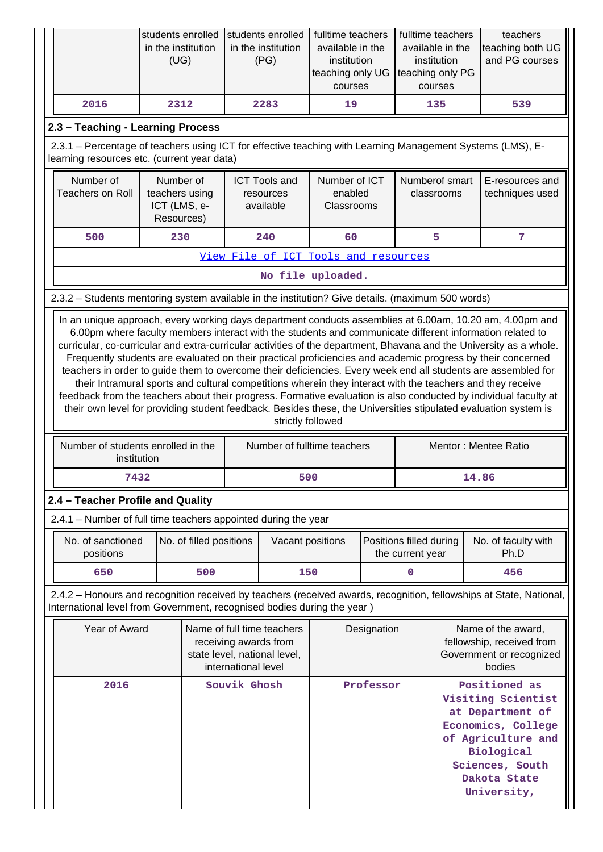|                                                                                                                                                           | students enrolled<br>in the institution<br>(UG)           |                         |                     | students enrolled<br>in the institution<br>(PG)                                     | fulltime teachers<br>available in the<br>institution<br>teaching only UG<br>courses |                                                     | fulltime teachers<br>available in the<br>institution<br>teaching only PG<br>courses |                     | teachers<br>teaching both UG<br>and PG courses                                                                                                                                                                                                                                                                                                                                                                                                                                                                                                                                                                                                                                                                                                                                                                                                                                                                                   |
|-----------------------------------------------------------------------------------------------------------------------------------------------------------|-----------------------------------------------------------|-------------------------|---------------------|-------------------------------------------------------------------------------------|-------------------------------------------------------------------------------------|-----------------------------------------------------|-------------------------------------------------------------------------------------|---------------------|----------------------------------------------------------------------------------------------------------------------------------------------------------------------------------------------------------------------------------------------------------------------------------------------------------------------------------------------------------------------------------------------------------------------------------------------------------------------------------------------------------------------------------------------------------------------------------------------------------------------------------------------------------------------------------------------------------------------------------------------------------------------------------------------------------------------------------------------------------------------------------------------------------------------------------|
| 2016                                                                                                                                                      | 2312                                                      |                         |                     | 2283                                                                                | 19                                                                                  |                                                     | 135                                                                                 |                     | 539                                                                                                                                                                                                                                                                                                                                                                                                                                                                                                                                                                                                                                                                                                                                                                                                                                                                                                                              |
| 2.3 - Teaching - Learning Process                                                                                                                         |                                                           |                         |                     |                                                                                     |                                                                                     |                                                     |                                                                                     |                     |                                                                                                                                                                                                                                                                                                                                                                                                                                                                                                                                                                                                                                                                                                                                                                                                                                                                                                                                  |
| 2.3.1 - Percentage of teachers using ICT for effective teaching with Learning Management Systems (LMS), E-<br>learning resources etc. (current year data) |                                                           |                         |                     |                                                                                     |                                                                                     |                                                     |                                                                                     |                     |                                                                                                                                                                                                                                                                                                                                                                                                                                                                                                                                                                                                                                                                                                                                                                                                                                                                                                                                  |
| Number of<br><b>Teachers on Roll</b>                                                                                                                      | Number of<br>teachers using<br>ICT (LMS, e-<br>Resources) |                         |                     | <b>ICT Tools and</b><br>resources<br>available                                      | Number of ICT<br>enabled<br>Classrooms                                              |                                                     | Numberof smart<br>classrooms                                                        |                     | E-resources and<br>techniques used                                                                                                                                                                                                                                                                                                                                                                                                                                                                                                                                                                                                                                                                                                                                                                                                                                                                                               |
| 500                                                                                                                                                       | 230                                                       |                         |                     | 240                                                                                 | 60                                                                                  |                                                     | 5                                                                                   |                     | 7                                                                                                                                                                                                                                                                                                                                                                                                                                                                                                                                                                                                                                                                                                                                                                                                                                                                                                                                |
| View File of ICT Tools and resources                                                                                                                      |                                                           |                         |                     |                                                                                     |                                                                                     |                                                     |                                                                                     |                     |                                                                                                                                                                                                                                                                                                                                                                                                                                                                                                                                                                                                                                                                                                                                                                                                                                                                                                                                  |
|                                                                                                                                                           |                                                           |                         |                     |                                                                                     | No file uploaded.                                                                   |                                                     |                                                                                     |                     |                                                                                                                                                                                                                                                                                                                                                                                                                                                                                                                                                                                                                                                                                                                                                                                                                                                                                                                                  |
| 2.3.2 - Students mentoring system available in the institution? Give details. (maximum 500 words)                                                         |                                                           |                         |                     |                                                                                     |                                                                                     |                                                     |                                                                                     |                     |                                                                                                                                                                                                                                                                                                                                                                                                                                                                                                                                                                                                                                                                                                                                                                                                                                                                                                                                  |
|                                                                                                                                                           |                                                           |                         |                     | strictly followed                                                                   |                                                                                     |                                                     |                                                                                     |                     | In an unique approach, every working days department conducts assemblies at 6.00am, 10.20 am, 4.00pm and<br>6.00pm where faculty members interact with the students and communicate different information related to<br>curricular, co-curricular and extra-curricular activities of the department, Bhavana and the University as a whole.<br>Frequently students are evaluated on their practical proficiencies and academic progress by their concerned<br>teachers in order to guide them to overcome their deficiencies. Every week end all students are assembled for<br>their Intramural sports and cultural competitions wherein they interact with the teachers and they receive<br>feedback from the teachers about their progress. Formative evaluation is also conducted by individual faculty at<br>their own level for providing student feedback. Besides these, the Universities stipulated evaluation system is |
| Number of students enrolled in the<br>institution                                                                                                         |                                                           |                         |                     |                                                                                     |                                                                                     | Number of fulltime teachers<br>Mentor: Mentee Ratio |                                                                                     |                     |                                                                                                                                                                                                                                                                                                                                                                                                                                                                                                                                                                                                                                                                                                                                                                                                                                                                                                                                  |
| 7432                                                                                                                                                      |                                                           |                         |                     | 500                                                                                 |                                                                                     |                                                     |                                                                                     | 14.86               |                                                                                                                                                                                                                                                                                                                                                                                                                                                                                                                                                                                                                                                                                                                                                                                                                                                                                                                                  |
| 2.4 - Teacher Profile and Quality                                                                                                                         |                                                           |                         |                     |                                                                                     |                                                                                     |                                                     |                                                                                     |                     |                                                                                                                                                                                                                                                                                                                                                                                                                                                                                                                                                                                                                                                                                                                                                                                                                                                                                                                                  |
| 2.4.1 - Number of full time teachers appointed during the year                                                                                            |                                                           |                         |                     |                                                                                     |                                                                                     |                                                     |                                                                                     |                     |                                                                                                                                                                                                                                                                                                                                                                                                                                                                                                                                                                                                                                                                                                                                                                                                                                                                                                                                  |
| No. of sanctioned<br>positions                                                                                                                            |                                                           | No. of filled positions |                     | Vacant positions                                                                    |                                                                                     | Positions filled during<br>Ph.D<br>the current year |                                                                                     | No. of faculty with |                                                                                                                                                                                                                                                                                                                                                                                                                                                                                                                                                                                                                                                                                                                                                                                                                                                                                                                                  |
| 650                                                                                                                                                       |                                                           | 500                     |                     | 150                                                                                 |                                                                                     |                                                     | $\mathbf 0$                                                                         |                     | 456                                                                                                                                                                                                                                                                                                                                                                                                                                                                                                                                                                                                                                                                                                                                                                                                                                                                                                                              |
| International level from Government, recognised bodies during the year)                                                                                   |                                                           |                         |                     |                                                                                     |                                                                                     |                                                     |                                                                                     |                     | 2.4.2 - Honours and recognition received by teachers (received awards, recognition, fellowships at State, National,                                                                                                                                                                                                                                                                                                                                                                                                                                                                                                                                                                                                                                                                                                                                                                                                              |
| Year of Award                                                                                                                                             |                                                           |                         | international level | Name of full time teachers<br>receiving awards from<br>state level, national level, |                                                                                     | Designation                                         |                                                                                     |                     | Name of the award,<br>fellowship, received from<br>Government or recognized<br>bodies                                                                                                                                                                                                                                                                                                                                                                                                                                                                                                                                                                                                                                                                                                                                                                                                                                            |
| 2016                                                                                                                                                      |                                                           |                         | Souvik Ghosh        |                                                                                     |                                                                                     | Professor                                           |                                                                                     |                     | Positioned as<br>Visiting Scientist<br>at Department of<br>Economics, College<br>of Agriculture and<br>Biological<br>Sciences, South<br>Dakota State<br>University,                                                                                                                                                                                                                                                                                                                                                                                                                                                                                                                                                                                                                                                                                                                                                              |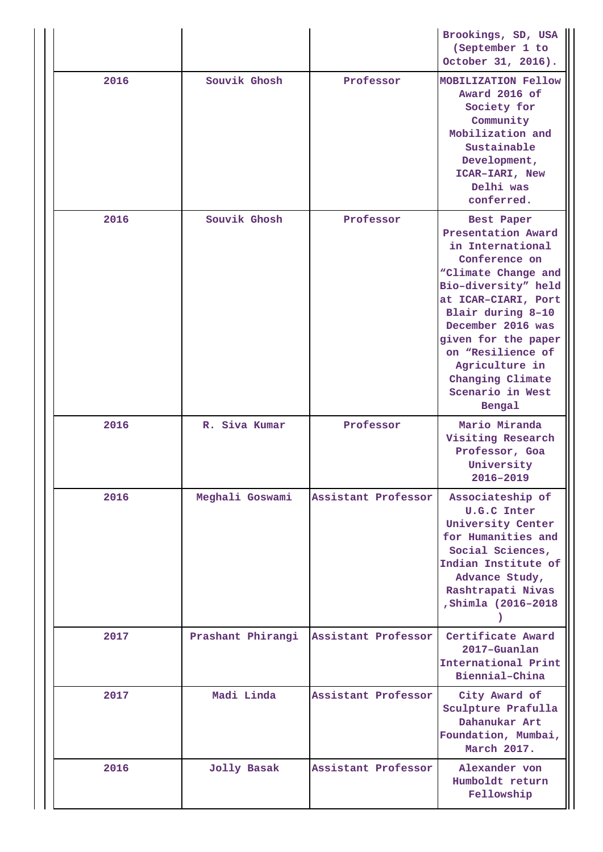|      |                   |                     | Brookings, SD, USA<br>(September 1 to<br>October 31, 2016).                                                                                                                                                                                                                                          |
|------|-------------------|---------------------|------------------------------------------------------------------------------------------------------------------------------------------------------------------------------------------------------------------------------------------------------------------------------------------------------|
| 2016 | Souvik Ghosh      | Professor           | <b>MOBILIZATION Fellow</b><br>Award 2016 of<br>Society for<br>Community<br>Mobilization and<br>Sustainable<br>Development,<br>ICAR-IARI, New<br>Delhi was<br>conferred.                                                                                                                              |
| 2016 | Souvik Ghosh      | Professor           | Best Paper<br>Presentation Award<br>in International<br>Conference on<br>"Climate Change and<br>Bio-diversity" held<br>at ICAR-CIARI, Port<br>Blair during 8-10<br>December 2016 was<br>given for the paper<br>on "Resilience of<br>Agriculture in<br>Changing Climate<br>Scenario in West<br>Bengal |
|      |                   |                     |                                                                                                                                                                                                                                                                                                      |
| 2016 | R. Siva Kumar     | Professor           | Mario Miranda<br>Visiting Research<br>Professor, Goa<br>University<br>2016-2019                                                                                                                                                                                                                      |
| 2016 | Meghali Goswami   | Assistant Professor | Associateship of<br><b>U.G.C Inter</b><br>University Center<br>for Humanities and<br>Social Sciences,<br>Indian Institute of<br>Advance Study,<br>Rashtrapati Nivas<br>, Shimla (2016-2018                                                                                                           |
| 2017 | Prashant Phirangi | Assistant Professor | Certificate Award<br>2017-Guanlan<br>International Print<br>Biennial-China                                                                                                                                                                                                                           |
| 2017 | Madi Linda        | Assistant Professor | City Award of<br>Sculpture Prafulla<br>Dahanukar Art<br>Foundation, Mumbai,<br>March 2017.                                                                                                                                                                                                           |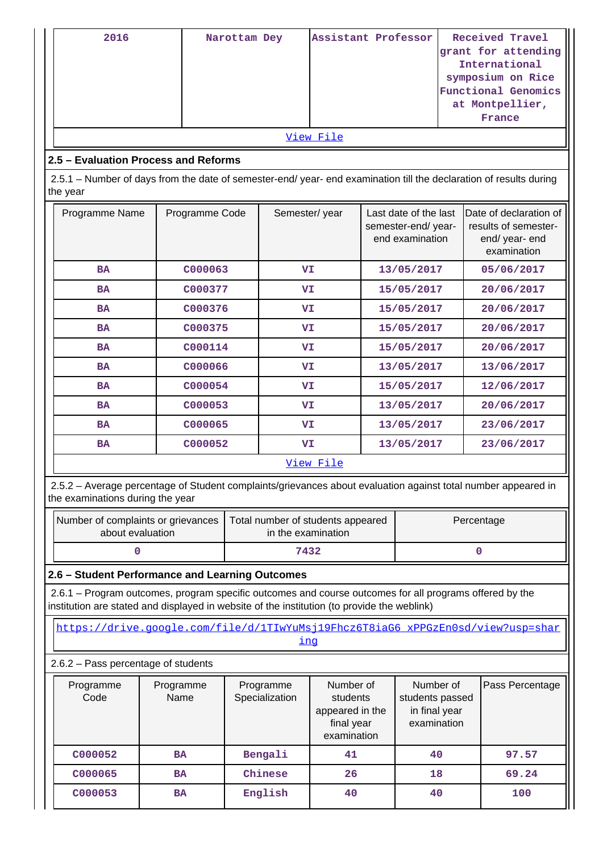| 2016<br>2.5 - Evaluation Process and Reforms<br>2.5.1 - Number of days from the date of semester-end/ year- end examination till the declaration of results during<br>the year                         | Narottam Dey                        | Assistant Professor<br>View File |           |                                                                       |           | Received Travel<br>grant for attending<br>International<br>symposium on Rice<br><b>Functional Genomics</b><br>at Montpellier,<br>France |            |                 |                                                                                 |  |
|--------------------------------------------------------------------------------------------------------------------------------------------------------------------------------------------------------|-------------------------------------|----------------------------------|-----------|-----------------------------------------------------------------------|-----------|-----------------------------------------------------------------------------------------------------------------------------------------|------------|-----------------|---------------------------------------------------------------------------------|--|
| Programme Name                                                                                                                                                                                         |                                     | Programme Code                   |           | Semester/year                                                         |           | Last date of the last<br>semester-end/year-<br>end examination                                                                          |            |                 | Date of declaration of<br>results of semester-<br>end/ year- end<br>examination |  |
| <b>BA</b>                                                                                                                                                                                              |                                     | C000063                          |           | VI                                                                    |           |                                                                                                                                         | 13/05/2017 |                 | 05/06/2017                                                                      |  |
| <b>BA</b>                                                                                                                                                                                              |                                     | C000377                          |           | VI                                                                    |           |                                                                                                                                         | 15/05/2017 |                 | 20/06/2017                                                                      |  |
| <b>BA</b>                                                                                                                                                                                              |                                     | C000376                          |           | VI.                                                                   |           |                                                                                                                                         | 15/05/2017 |                 | 20/06/2017                                                                      |  |
| <b>BA</b>                                                                                                                                                                                              |                                     | C000375                          |           | VI                                                                    |           |                                                                                                                                         | 15/05/2017 |                 | 20/06/2017                                                                      |  |
| <b>BA</b>                                                                                                                                                                                              |                                     | C000114                          |           | VI                                                                    |           |                                                                                                                                         | 15/05/2017 |                 | 20/06/2017                                                                      |  |
| <b>BA</b>                                                                                                                                                                                              |                                     | C000066                          |           |                                                                       | VI.       |                                                                                                                                         | 13/05/2017 |                 | 13/06/2017                                                                      |  |
| <b>BA</b>                                                                                                                                                                                              |                                     | C000054                          |           |                                                                       | VI        |                                                                                                                                         | 15/05/2017 |                 | 12/06/2017                                                                      |  |
| <b>BA</b>                                                                                                                                                                                              |                                     | C000053                          |           |                                                                       | VI        |                                                                                                                                         | 13/05/2017 |                 | 20/06/2017                                                                      |  |
| <b>BA</b>                                                                                                                                                                                              |                                     | C000065                          |           | VI                                                                    |           |                                                                                                                                         | 13/05/2017 |                 | 23/06/2017                                                                      |  |
| <b>BA</b>                                                                                                                                                                                              |                                     | C000052                          |           | VI                                                                    |           |                                                                                                                                         | 13/05/2017 |                 | 23/06/2017                                                                      |  |
|                                                                                                                                                                                                        |                                     |                                  |           |                                                                       | View File |                                                                                                                                         |            |                 |                                                                                 |  |
| 2.5.2 - Average percentage of Student complaints/grievances about evaluation against total number appeared in<br>the examinations during the year                                                      |                                     |                                  |           |                                                                       |           |                                                                                                                                         |            |                 |                                                                                 |  |
| Number of complaints or grievances<br>about evaluation                                                                                                                                                 |                                     |                                  |           | Total number of students appeared<br>in the examination               |           |                                                                                                                                         |            | Percentage      |                                                                                 |  |
| 0                                                                                                                                                                                                      |                                     |                                  |           | 7432                                                                  |           |                                                                                                                                         |            |                 | 0                                                                               |  |
| 2.6 - Student Performance and Learning Outcomes                                                                                                                                                        |                                     |                                  |           |                                                                       |           |                                                                                                                                         |            |                 |                                                                                 |  |
| 2.6.1 – Program outcomes, program specific outcomes and course outcomes for all programs offered by the<br>institution are stated and displayed in website of the institution (to provide the weblink) |                                     |                                  |           |                                                                       |           |                                                                                                                                         |            |                 |                                                                                 |  |
| https://drive.google.com/file/d/1TIwYuMsj19Fhcz6T8iaG6_xPPGzEn0sd/view?usp=shar                                                                                                                        |                                     |                                  |           | <u>inq</u>                                                            |           |                                                                                                                                         |            |                 |                                                                                 |  |
| 2.6.2 - Pass percentage of students                                                                                                                                                                    |                                     |                                  |           |                                                                       |           |                                                                                                                                         |            |                 |                                                                                 |  |
| Programme<br>Code                                                                                                                                                                                      | Programme<br>Name<br>Specialization |                                  | Programme | Number of<br>students<br>appeared in the<br>final year<br>examination |           | Number of<br>students passed<br>in final year<br>examination                                                                            |            | Pass Percentage |                                                                                 |  |
| C000052                                                                                                                                                                                                | <b>BA</b>                           |                                  |           | Bengali                                                               | 41        |                                                                                                                                         | 40         |                 | 97.57                                                                           |  |
| C000065                                                                                                                                                                                                | <b>BA</b>                           |                                  |           | Chinese                                                               | 26        |                                                                                                                                         | 18         |                 | 69.24                                                                           |  |
| C000053                                                                                                                                                                                                | <b>BA</b>                           |                                  |           | English                                                               | 40        |                                                                                                                                         | 40         |                 | 100                                                                             |  |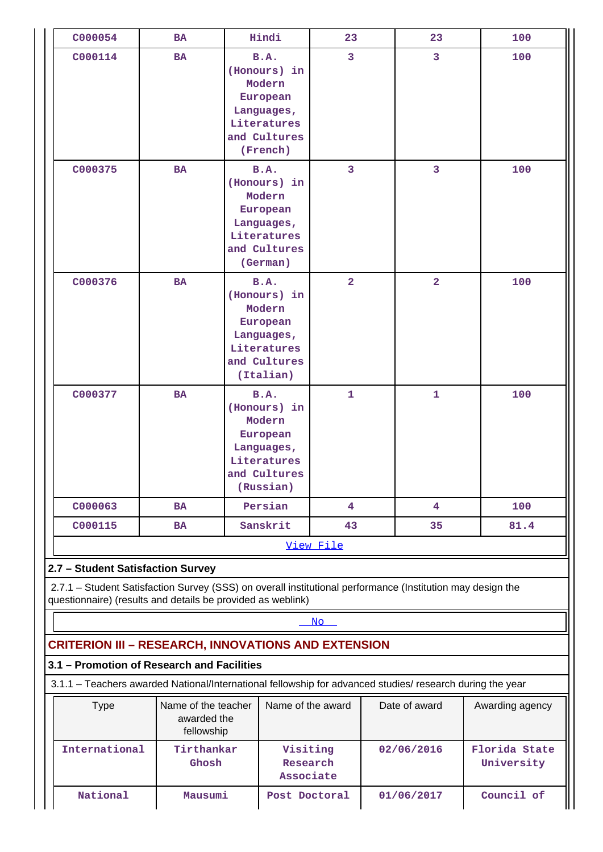| C000054                                                                                                                                                                   | <b>BA</b>                                        | Hindi                                                                                                      | 23                                | 23             | 100                         |
|---------------------------------------------------------------------------------------------------------------------------------------------------------------------------|--------------------------------------------------|------------------------------------------------------------------------------------------------------------|-----------------------------------|----------------|-----------------------------|
| C000114                                                                                                                                                                   | <b>BA</b>                                        | B.A.<br>(Honours) in<br>Modern<br>European<br>Languages,<br>Literatures<br>and Cultures<br>(French)        | 3                                 | 3              | 100                         |
| C000375                                                                                                                                                                   | <b>BA</b>                                        | <b>B.A.</b><br>(Honours) in<br>Modern<br>European<br>Languages,<br>Literatures<br>and Cultures<br>(German) | $\overline{3}$                    | $\overline{3}$ | 100                         |
| C000376                                                                                                                                                                   | <b>BA</b>                                        | B.A.<br>(Honours) in<br>Modern<br>European<br>Languages,<br>Literatures<br>and Cultures<br>(Italian)       | $\overline{2}$                    | $\overline{2}$ | 100                         |
| C000377                                                                                                                                                                   | <b>BA</b>                                        | B.A.<br>(Honours) in<br>Modern<br>European<br>Languages,<br>Literatures<br>and Cultures<br>(Russian)       | $\mathbf{1}$                      | $\mathbf{1}$   | 100                         |
| C000063                                                                                                                                                                   | BA                                               | Persian                                                                                                    | 4                                 | 4              | 100                         |
| C000115                                                                                                                                                                   | BA                                               | Sanskrit                                                                                                   | 43                                | 35             | 81.4                        |
|                                                                                                                                                                           |                                                  |                                                                                                            | View File                         |                |                             |
| 2.7 - Student Satisfaction Survey                                                                                                                                         |                                                  |                                                                                                            |                                   |                |                             |
| 2.7.1 - Student Satisfaction Survey (SSS) on overall institutional performance (Institution may design the<br>questionnaire) (results and details be provided as weblink) |                                                  |                                                                                                            |                                   |                |                             |
|                                                                                                                                                                           |                                                  |                                                                                                            | No.                               |                |                             |
| <b>CRITERION III - RESEARCH, INNOVATIONS AND EXTENSION</b>                                                                                                                |                                                  |                                                                                                            |                                   |                |                             |
| 3.1 - Promotion of Research and Facilities                                                                                                                                |                                                  |                                                                                                            |                                   |                |                             |
| 3.1.1 - Teachers awarded National/International fellowship for advanced studies/ research during the year                                                                 |                                                  |                                                                                                            |                                   |                |                             |
| <b>Type</b>                                                                                                                                                               | Name of the teacher<br>awarded the<br>fellowship |                                                                                                            | Name of the award                 | Date of award  | Awarding agency             |
| International                                                                                                                                                             | Tirthankar<br>Ghosh                              |                                                                                                            | Visiting<br>Research<br>Associate | 02/06/2016     | Florida State<br>University |
| National                                                                                                                                                                  | Mausumi                                          |                                                                                                            | Post Doctoral                     | 01/06/2017     | Council of                  |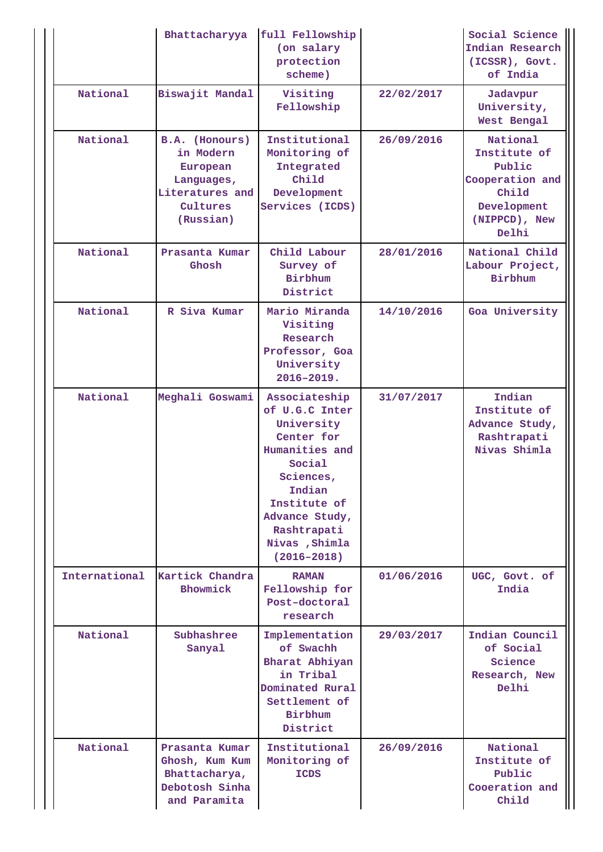|                                  | Bhattacharyya                                                                                     | full Fellowship<br>(on salary<br>protection<br>scheme)                                                                                                                                               |            | Social Science<br>Indian Research<br>(ICSSR), Govt.<br>of India                                         |
|----------------------------------|---------------------------------------------------------------------------------------------------|------------------------------------------------------------------------------------------------------------------------------------------------------------------------------------------------------|------------|---------------------------------------------------------------------------------------------------------|
| National                         | Biswajit Mandal                                                                                   | Visiting<br>Fellowship                                                                                                                                                                               | 22/02/2017 | Jadavpur<br>University,<br>West Bengal                                                                  |
| National                         | B.A. (Honours)<br>in Modern<br>European<br>Languages,<br>Literatures and<br>Cultures<br>(Russian) | Institutional<br>Monitoring of<br>Integrated<br>Child<br>Development<br>Services (ICDS)                                                                                                              | 26/09/2016 | National<br>Institute of<br>Public<br>Cooperation and<br>Child<br>Development<br>(NIPPCD), New<br>Delhi |
| National                         | Prasanta Kumar<br>Ghosh                                                                           | Child Labour<br>Survey of<br><b>Birbhum</b><br>District                                                                                                                                              | 28/01/2016 | National Child<br>Labour Project,<br>Birbhum                                                            |
| National                         | R Siva Kumar                                                                                      | Mario Miranda<br>Visiting<br>Research<br>Professor, Goa<br>University<br>$2016 - 2019.$                                                                                                              | 14/10/2016 | Goa University                                                                                          |
| National                         | Meghali Goswami                                                                                   | Associateship<br>of U.G.C Inter<br>University<br>Center for<br>Humanities and<br>Social<br>Sciences,<br>Indian<br>Institute of<br>Advance Study,<br>Rashtrapati<br>Nivas , Shimla<br>$(2016 - 2018)$ | 31/07/2017 | Indian<br>Institute of<br>Advance Study,<br>Rashtrapati<br>Nivas Shimla                                 |
| International                    | Kartick Chandra<br>Bhowmick                                                                       | <b>RAMAN</b><br>Fellowship for<br>Post-doctoral<br>research                                                                                                                                          | 01/06/2016 | UGC, Govt. of<br>India                                                                                  |
| National<br>Subhashree<br>Sanyal |                                                                                                   | Implementation<br>of Swachh<br>Bharat Abhiyan<br>in Tribal<br>Dominated Rural<br>Settlement of<br>Birbhum<br>District                                                                                | 29/03/2017 | Indian Council<br>of Social<br>Science<br>Research, New<br>Delhi                                        |
| National                         | Prasanta Kumar<br>Ghosh, Kum Kum<br>Bhattacharya,<br>Debotosh Sinha<br>and Paramita               | Institutional<br>Monitoring of<br><b>ICDS</b>                                                                                                                                                        | 26/09/2016 | National<br>Institute of<br>Public<br>Cooeration and<br>Child                                           |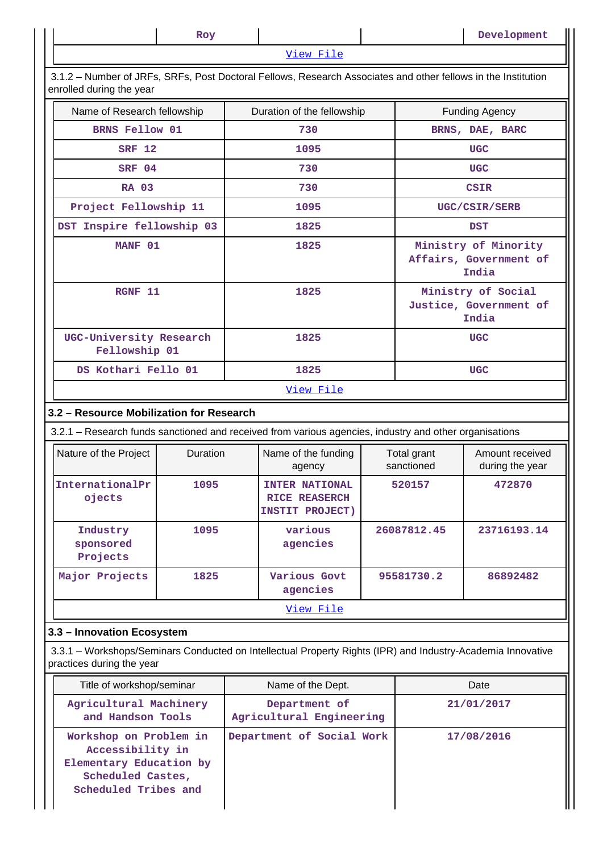|                                                                                                                                           | Roy      |      |                                                           |                           |                                                       | Development                                             |
|-------------------------------------------------------------------------------------------------------------------------------------------|----------|------|-----------------------------------------------------------|---------------------------|-------------------------------------------------------|---------------------------------------------------------|
|                                                                                                                                           |          |      | View File                                                 |                           |                                                       |                                                         |
| 3.1.2 - Number of JRFs, SRFs, Post Doctoral Fellows, Research Associates and other fellows in the Institution<br>enrolled during the year |          |      |                                                           |                           |                                                       |                                                         |
| Name of Research fellowship                                                                                                               |          |      | Duration of the fellowship                                |                           |                                                       | <b>Funding Agency</b>                                   |
| BRNS Fellow 01                                                                                                                            |          |      | 730                                                       |                           |                                                       | BRNS, DAE, BARC                                         |
| <b>SRF 12</b>                                                                                                                             |          |      | 1095                                                      |                           |                                                       | <b>UGC</b>                                              |
| SRF 04                                                                                                                                    |          | 730  |                                                           |                           |                                                       | <b>UGC</b>                                              |
| <b>RA 03</b>                                                                                                                              |          | 730  |                                                           |                           |                                                       | <b>CSIR</b>                                             |
| Project Fellowship 11                                                                                                                     |          |      | 1095                                                      |                           |                                                       | UGC/CSIR/SERB                                           |
| DST Inspire fellowship 03                                                                                                                 |          |      | 1825                                                      |                           |                                                       | <b>DST</b>                                              |
| MANF 01                                                                                                                                   |          |      | 1825                                                      |                           |                                                       | Ministry of Minority<br>Affairs, Government of<br>India |
| RGNF 11                                                                                                                                   |          |      | 1825                                                      |                           | Ministry of Social<br>Justice, Government of<br>India |                                                         |
| UGC-University Research<br>Fellowship 01                                                                                                  |          | 1825 |                                                           |                           | <b>UGC</b>                                            |                                                         |
| DS Kothari Fello 01                                                                                                                       |          |      | 1825                                                      |                           |                                                       | <b>UGC</b>                                              |
|                                                                                                                                           |          |      | View File                                                 |                           |                                                       |                                                         |
| 3.2 - Resource Mobilization for Research                                                                                                  |          |      |                                                           |                           |                                                       |                                                         |
| 3.2.1 – Research funds sanctioned and received from various agencies, industry and other organisations                                    |          |      |                                                           |                           |                                                       |                                                         |
| Nature of the Project                                                                                                                     | Duration |      | Name of the funding<br>agency                             | Total grant<br>sanctioned |                                                       | Amount received<br>during the year                      |
| InternationalPr<br>ojects                                                                                                                 | 1095     |      | INTER NATIONAL<br><b>RICE REASERCH</b><br>INSTIT PROJECT) |                           | 520157                                                | 472870                                                  |
| Industry<br>sponsored<br>Projects                                                                                                         | 1095     |      | various<br>agencies                                       |                           | 26087812.45                                           | 23716193.14                                             |
| Major Projects                                                                                                                            | 1825     |      | Various Govt<br>agencies                                  |                           | 95581730.2                                            | 86892482                                                |
|                                                                                                                                           |          |      | View File                                                 |                           |                                                       |                                                         |
| 3.3 - Innovation Ecosystem                                                                                                                |          |      |                                                           |                           |                                                       |                                                         |
| 3.3.1 - Workshops/Seminars Conducted on Intellectual Property Rights (IPR) and Industry-Academia Innovative<br>practices during the year  |          |      |                                                           |                           |                                                       |                                                         |
| Title of workshop/seminar                                                                                                                 |          |      | Name of the Dept.                                         |                           |                                                       | Date                                                    |
| Agricultural Machinery<br>Department of<br>21/01/2017<br>and Handson Tools<br>Agricultural Engineering                                    |          |      |                                                           |                           |                                                       |                                                         |

**Workshop on Problem in Accessibility in Elementary Education by Scheduled Castes, Scheduled Tribes and Department of Social Work 17/08/2016**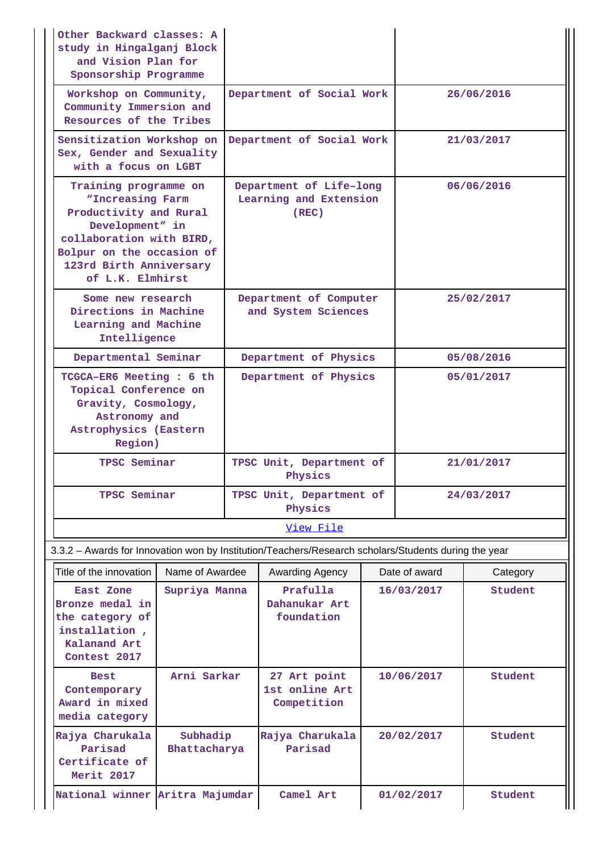| Other Backward classes: A<br>study in Hingalganj Block<br>and Vision Plan for<br>Sponsorship Programme                                                                                         |                          |                                     |                                                            |            |                       |            |  |
|------------------------------------------------------------------------------------------------------------------------------------------------------------------------------------------------|--------------------------|-------------------------------------|------------------------------------------------------------|------------|-----------------------|------------|--|
| Workshop on Community,<br>Community Immersion and<br>Resources of the Tribes                                                                                                                   |                          | Department of Social Work           |                                                            |            | 26/06/2016            |            |  |
| Sensitization Workshop on<br>Sex, Gender and Sexuality<br>with a focus on LGBT                                                                                                                 |                          |                                     | Department of Social Work                                  |            |                       | 21/03/2017 |  |
| Training programme on<br>"Increasing Farm<br>Productivity and Rural<br>Development" in<br>collaboration with BIRD,<br>Bolpur on the occasion of<br>123rd Birth Anniversary<br>of L.K. Elmhirst |                          |                                     | Department of Life-long<br>Learning and Extension<br>(REC) |            |                       | 06/06/2016 |  |
| Some new research<br>Directions in Machine<br>Learning and Machine<br>Intelligence                                                                                                             |                          |                                     | Department of Computer<br>and System Sciences              |            |                       | 25/02/2017 |  |
| Departmental Seminar                                                                                                                                                                           |                          | Department of Physics               |                                                            |            | 05/08/2016            |            |  |
| TCGCA-ER6 Meeting : 6 th<br>Topical Conference on<br>Gravity, Cosmology,<br>Astronomy and<br>Astrophysics (Eastern<br>Region)                                                                  |                          | Department of Physics               |                                                            |            | 05/01/2017            |            |  |
| TPSC Seminar                                                                                                                                                                                   |                          | TPSC Unit, Department of<br>Physics |                                                            | 21/01/2017 |                       |            |  |
| TPSC Seminar                                                                                                                                                                                   |                          | TPSC Unit, Department of<br>Physics |                                                            |            | 24/03/2017            |            |  |
|                                                                                                                                                                                                |                          | View File                           |                                                            |            |                       |            |  |
| 3.3.2 - Awards for Innovation won by Institution/Teachers/Research scholars/Students during the year                                                                                           |                          |                                     |                                                            |            |                       |            |  |
| Title of the innovation                                                                                                                                                                        | Name of Awardee          |                                     | <b>Awarding Agency</b>                                     |            | Date of award         | Category   |  |
| East Zone<br>Bronze medal in<br>the category of<br>installation,<br>Kalanand Art<br>Contest 2017                                                                                               | Supriya Manna            |                                     | Prafulla<br>Dahanukar Art<br>foundation                    |            | 16/03/2017            | Student    |  |
| <b>Best</b><br>Contemporary<br>Award in mixed<br>media category                                                                                                                                | Arni Sarkar              |                                     | 27 Art point<br>1st online Art<br>Competition              |            | 10/06/2017            | Student    |  |
| Rajya Charukala<br>Parisad<br>Certificate of<br>Merit 2017                                                                                                                                     | Subhadip<br>Bhattacharya |                                     | Rajya Charukala<br>Parisad                                 |            | 20/02/2017<br>Student |            |  |
| National winner Aritra Majumdar                                                                                                                                                                |                          |                                     | Camel Art                                                  |            | 01/02/2017            | Student    |  |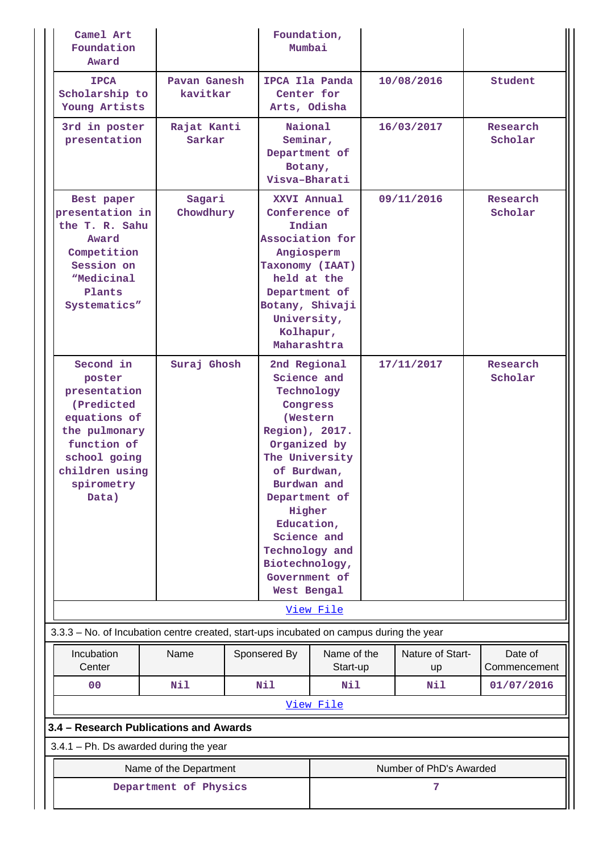| Camel Art<br>Foundation<br>Award                                                                                                                            |                          |  | Foundation,<br>Mumbai                                                                                                                                                                                                                                                           |                         |            |                               |  |                         |
|-------------------------------------------------------------------------------------------------------------------------------------------------------------|--------------------------|--|---------------------------------------------------------------------------------------------------------------------------------------------------------------------------------------------------------------------------------------------------------------------------------|-------------------------|------------|-------------------------------|--|-------------------------|
| <b>IPCA</b><br>Scholarship to<br>Young Artists                                                                                                              | Pavan Ganesh<br>kavitkar |  | IPCA Ila Panda<br>Center for<br>Arts, Odisha                                                                                                                                                                                                                                    |                         |            | 10/08/2016                    |  | Student                 |
| 3rd in poster<br>presentation                                                                                                                               | Rajat Kanti<br>Sarkar    |  | Naional<br>Seminar,<br>Department of<br>Botany,<br>Visva-Bharati                                                                                                                                                                                                                |                         |            | 16/03/2017                    |  | Research<br>Scholar     |
| Best paper<br>presentation in<br>the T. R. Sahu<br>Award<br>Competition<br>Session on<br><i><b>Medicinal</b></i><br>Plants<br>Systematics"                  | Sagari<br>Chowdhury      |  | XXVI Annual<br>Conference of<br>Indian<br>Association for<br>Angiosperm<br>Taxonomy (IAAT)<br>held at the<br>Department of<br>Botany, Shivaji<br>University,<br>Kolhapur,<br>Maharashtra                                                                                        |                         | 09/11/2016 |                               |  | Research<br>Scholar     |
| Second in<br>poster<br>presentation<br>(Predicted)<br>equations of<br>the pulmonary<br>function of<br>school going<br>children using<br>spirometry<br>Data) | Suraj Ghosh              |  | 2nd Regional<br>Science and<br>Technology<br>Congress<br>(Western<br>Region), 2017.<br>Organized by<br>The University<br>of Burdwan,<br>Burdwan and<br>Department of<br>Higher<br>Education,<br>Science and<br>Technology and<br>Biotechnology,<br>Government of<br>West Bengal |                         |            | 17/11/2017                    |  | Research<br>Scholar     |
| 3.3.3 - No. of Incubation centre created, start-ups incubated on campus during the year                                                                     |                          |  |                                                                                                                                                                                                                                                                                 | View File               |            |                               |  |                         |
| Incubation<br>Center                                                                                                                                        | Name                     |  | Sponsered By                                                                                                                                                                                                                                                                    | Name of the<br>Start-up |            | Nature of Start-<br><b>up</b> |  | Date of<br>Commencement |
| 0 <sup>0</sup>                                                                                                                                              | Nil                      |  | Nil                                                                                                                                                                                                                                                                             | Nil                     |            | Nil                           |  | 01/07/2016              |
|                                                                                                                                                             |                          |  |                                                                                                                                                                                                                                                                                 | View File               |            |                               |  |                         |
| 3.4 - Research Publications and Awards                                                                                                                      |                          |  |                                                                                                                                                                                                                                                                                 |                         |            |                               |  |                         |
| 3.4.1 - Ph. Ds awarded during the year                                                                                                                      |                          |  |                                                                                                                                                                                                                                                                                 |                         |            |                               |  |                         |
|                                                                                                                                                             | Name of the Department   |  |                                                                                                                                                                                                                                                                                 | Number of PhD's Awarded |            |                               |  |                         |
| Department of Physics                                                                                                                                       |                          |  |                                                                                                                                                                                                                                                                                 |                         |            | 7                             |  |                         |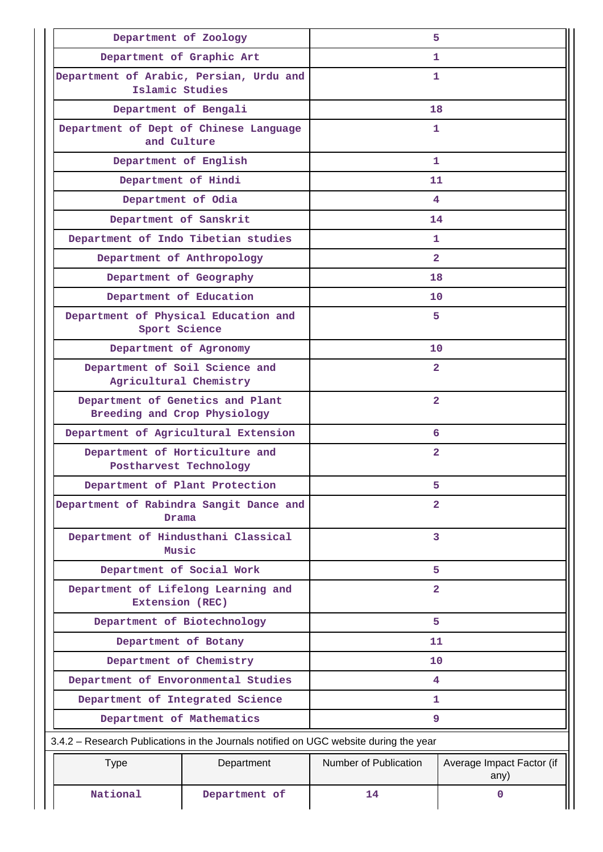| Department of Zoology                                                                 |               | 5                     |                                   |  |  |  |
|---------------------------------------------------------------------------------------|---------------|-----------------------|-----------------------------------|--|--|--|
| Department of Graphic Art                                                             |               | 1.                    |                                   |  |  |  |
| Department of Arabic, Persian, Urdu and<br>Islamic Studies                            |               | 1.                    |                                   |  |  |  |
| Department of Bengali                                                                 |               | 18                    |                                   |  |  |  |
| Department of Dept of Chinese Language<br>and Culture                                 |               | 1                     |                                   |  |  |  |
| Department of English                                                                 |               | 1                     |                                   |  |  |  |
| Department of Hindi                                                                   |               | 11                    |                                   |  |  |  |
| Department of Odia                                                                    |               |                       | 4                                 |  |  |  |
| Department of Sanskrit                                                                |               | 14                    |                                   |  |  |  |
| Department of Indo Tibetian studies                                                   |               | 1                     |                                   |  |  |  |
| Department of Anthropology                                                            |               | $\overline{2}$        |                                   |  |  |  |
| Department of Geography                                                               |               | 18                    |                                   |  |  |  |
| Department of Education                                                               |               | 10 <sup>°</sup>       |                                   |  |  |  |
| Department of Physical Education and<br>Sport Science                                 |               | 5.                    |                                   |  |  |  |
| Department of Agronomy                                                                |               | 10                    |                                   |  |  |  |
| Department of Soil Science and<br>Agricultural Chemistry                              |               | $\overline{2}$        |                                   |  |  |  |
| Department of Genetics and Plant<br>Breeding and Crop Physiology                      |               | $\overline{2}$        |                                   |  |  |  |
| Department of Agricultural Extension                                                  |               | 6                     |                                   |  |  |  |
| Department of Horticulture and<br>Postharvest Technology                              |               | $\overline{a}$        |                                   |  |  |  |
| Department of Plant Protection                                                        |               | 5                     |                                   |  |  |  |
| Department of Rabindra Sangit Dance and<br>Drama                                      |               | $\overline{2}$        |                                   |  |  |  |
| Department of Hindusthani Classical<br>Music                                          |               | 3                     |                                   |  |  |  |
| Department of Social Work                                                             |               | 5                     |                                   |  |  |  |
| Department of Lifelong Learning and<br>Extension (REC)                                |               | $\overline{2}$        |                                   |  |  |  |
| Department of Biotechnology                                                           |               | 5                     |                                   |  |  |  |
| Department of Botany                                                                  |               | 11                    |                                   |  |  |  |
| Department of Chemistry                                                               |               | 10                    |                                   |  |  |  |
| Department of Envoronmental Studies                                                   |               | 4                     |                                   |  |  |  |
| Department of Integrated Science                                                      |               | 1                     |                                   |  |  |  |
| Department of Mathematics                                                             |               | 9                     |                                   |  |  |  |
| 3.4.2 – Research Publications in the Journals notified on UGC website during the year |               |                       |                                   |  |  |  |
| <b>Type</b>                                                                           | Department    | Number of Publication | Average Impact Factor (if<br>any) |  |  |  |
| National                                                                              | Department of | 14                    | $\mathbf 0$                       |  |  |  |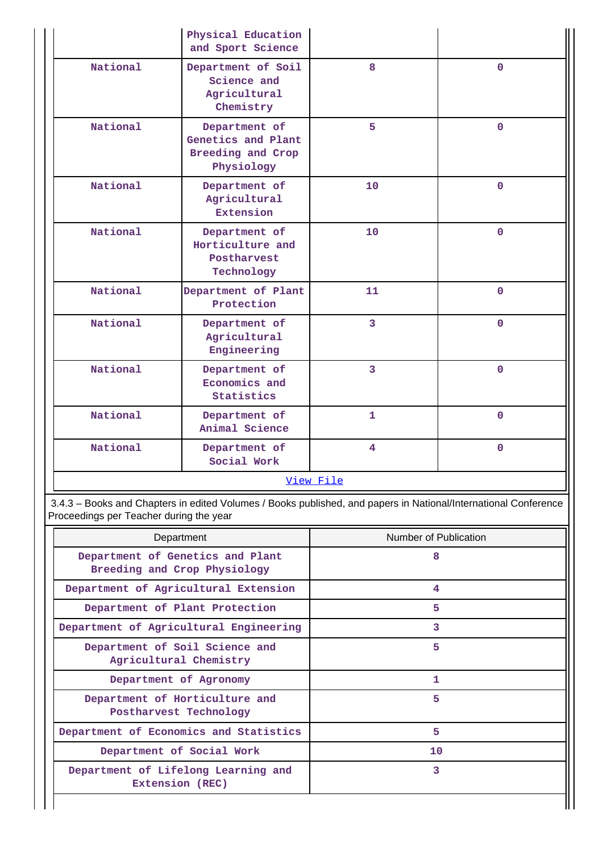|          | Physical Education<br>and Sport Science                                |                |                |
|----------|------------------------------------------------------------------------|----------------|----------------|
| National | Department of Soil<br>Science and<br>Agricultural<br>Chemistry         | 8              | $\mathbf 0$    |
| National | Department of<br>Genetics and Plant<br>Breeding and Crop<br>Physiology | 5              | $\overline{0}$ |
| National | Department of<br>Agricultural<br><b>Extension</b>                      | 10             | $\mathbf{O}$   |
| National | Department of<br>Horticulture and<br>Postharvest<br>Technology         | 10             | $\Omega$       |
| National | Department of Plant<br>Protection                                      | 11             | $\mathbf 0$    |
| National | Department of<br>Agricultural<br>Engineering                           | $\overline{3}$ | $\overline{0}$ |
| National | Department of<br>Economics and<br>Statistics                           | 3              | $\overline{0}$ |
| National | Department of<br>Animal Science                                        | $\mathbf{1}$   | $\Omega$       |
| National | Department of<br>Social Work                                           | 4              | $\overline{0}$ |
|          |                                                                        | View File      |                |

 3.4.3 – Books and Chapters in edited Volumes / Books published, and papers in National/International Conference Proceedings per Teacher during the year

| Department                                                       | Number of Publication |
|------------------------------------------------------------------|-----------------------|
| Department of Genetics and Plant<br>Breeding and Crop Physiology | 8                     |
| Department of Agricultural Extension                             | 4                     |
| Department of Plant Protection                                   | 5                     |
| Department of Agricultural Engineering                           | 3                     |
| Department of Soil Science and<br>Agricultural Chemistry         | 5                     |
| Department of Agronomy                                           | 1                     |
| Department of Horticulture and<br>Postharvest Technology         | 5                     |
| Department of Economics and Statistics                           | 5                     |
| Department of Social Work                                        | 10                    |
| Department of Lifelong Learning and<br>Extension (REC)           | 3                     |

Ш

 $\mathbf{I}$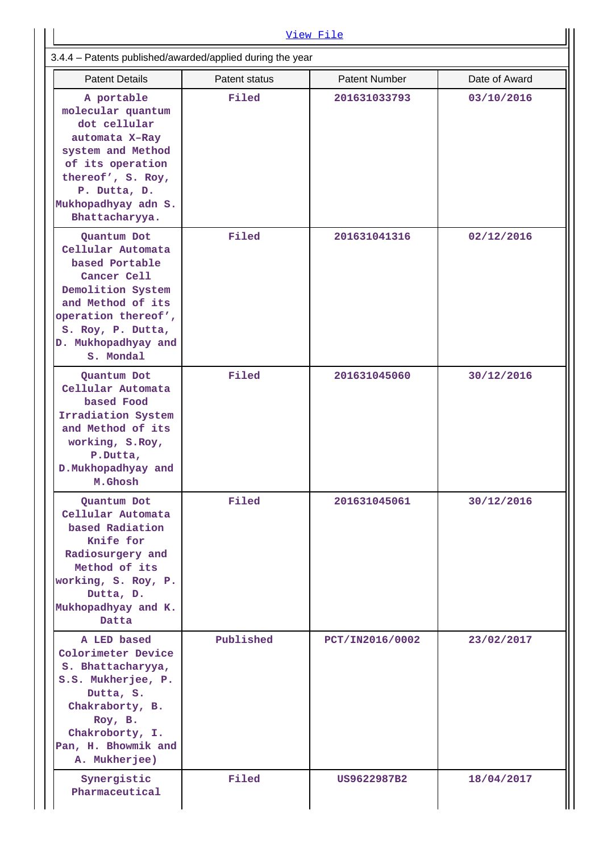| View File                                                                                                                                                                                   |               |                      |               |  |  |  |  |  |
|---------------------------------------------------------------------------------------------------------------------------------------------------------------------------------------------|---------------|----------------------|---------------|--|--|--|--|--|
| 3.4.4 - Patents published/awarded/applied during the year                                                                                                                                   |               |                      |               |  |  |  |  |  |
| <b>Patent Details</b>                                                                                                                                                                       | Patent status | <b>Patent Number</b> | Date of Award |  |  |  |  |  |
| A portable<br>molecular quantum<br>dot cellular<br>automata X-Ray<br>system and Method<br>of its operation<br>thereof', S. Roy,<br>P. Dutta, D.<br>Mukhopadhyay adn S.<br>Bhattacharyya.    | Filed         | 201631033793         | 03/10/2016    |  |  |  |  |  |
| Quantum Dot<br>Cellular Automata<br>based Portable<br>Cancer Cell<br>Demolition System<br>and Method of its<br>operation thereof',<br>S. Roy, P. Dutta,<br>D. Mukhopadhyay and<br>S. Mondal | Filed         | 201631041316         | 02/12/2016    |  |  |  |  |  |
| Quantum Dot<br>Cellular Automata<br>based Food<br>Irradiation System<br>and Method of its<br>working, S.Roy,<br>P.Dutta,<br>D. Mukhopadhyay and<br>M.Ghosh                                  | Filed         | 201631045060         | 30/12/2016    |  |  |  |  |  |
| Quantum Dot<br>Cellular Automata<br>based Radiation<br>Knife for<br>Radiosurgery and<br>Method of its<br>working, S. Roy, P.<br>Dutta, D.<br>Mukhopadhyay and K.<br>Datta                   | Filed         | 201631045061         | 30/12/2016    |  |  |  |  |  |
| A LED based<br>Colorimeter Device<br>S. Bhattacharyya,<br>S.S. Mukherjee, P.<br>Dutta, S.<br>Chakraborty, B.<br>Roy, B.<br>Chakroborty, I.<br>Pan, H. Bhowmik and<br>A. Mukherjee)          | Published     | PCT/IN2016/0002      | 23/02/2017    |  |  |  |  |  |
| Synergistic<br>Pharmaceutical                                                                                                                                                               | Filed         | US9622987B2          | 18/04/2017    |  |  |  |  |  |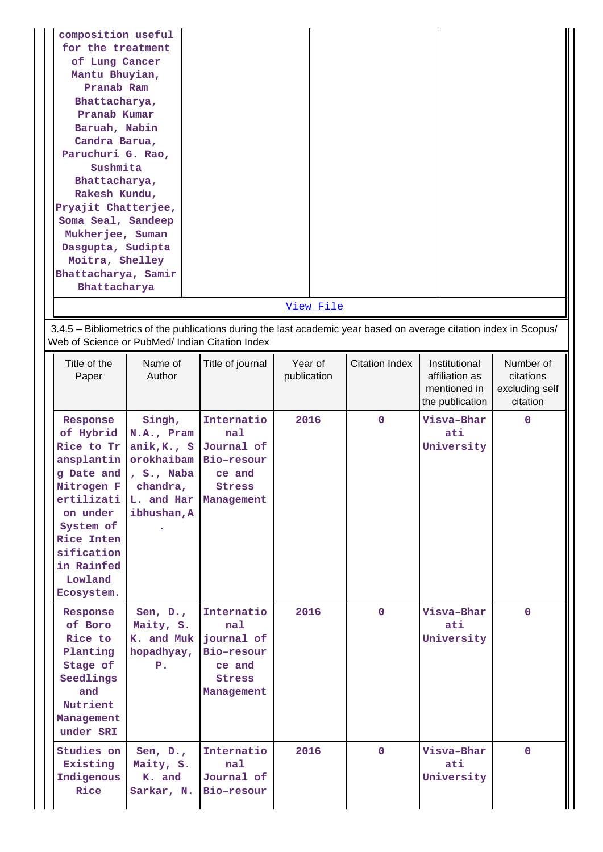| composition useful<br>for the treatment<br>of Lung Cancer<br>Mantu Bhuyian,<br>Pranab Ram<br>Bhattacharya,<br>Pranab Kumar<br>Baruah, Nabin<br>Candra Barua,<br>Paruchuri G. Rao,<br>Sushmita<br>Bhattacharya,<br>Rakesh Kundu,<br>Pryajit Chatterjee,<br>Soma Seal, Sandeep<br>Mukherjee, Suman<br>Dasgupta, Sudipta<br>Moitra, Shelley<br>Bhattacharya, Samir<br>Bhattacharya |                                                                                                        |                                                                                        | View File              |                                                                                                                    |                                                                    |                                                      |
|---------------------------------------------------------------------------------------------------------------------------------------------------------------------------------------------------------------------------------------------------------------------------------------------------------------------------------------------------------------------------------|--------------------------------------------------------------------------------------------------------|----------------------------------------------------------------------------------------|------------------------|--------------------------------------------------------------------------------------------------------------------|--------------------------------------------------------------------|------------------------------------------------------|
|                                                                                                                                                                                                                                                                                                                                                                                 |                                                                                                        |                                                                                        |                        | 3.4.5 - Bibliometrics of the publications during the last academic year based on average citation index in Scopus/ |                                                                    |                                                      |
| Web of Science or PubMed/ Indian Citation Index                                                                                                                                                                                                                                                                                                                                 |                                                                                                        |                                                                                        |                        |                                                                                                                    |                                                                    |                                                      |
| Title of the<br>Paper                                                                                                                                                                                                                                                                                                                                                           | Name of<br>Author                                                                                      | Title of journal                                                                       | Year of<br>publication | <b>Citation Index</b>                                                                                              | Institutional<br>affiliation as<br>mentioned in<br>the publication | Number of<br>citations<br>excluding self<br>citation |
| Response<br>of Hybrid<br>Rice to Tr<br>ansplantin<br>g Date and<br>Nitrogen F<br>ertilizati<br>on under<br>System of<br>Rice Inten<br>sification<br>in Rainfed<br>Lowland<br>Ecosystem.                                                                                                                                                                                         | Singh,<br>N.A., Pram<br>anik,K, S<br>orokhaibam<br>, S., Naba<br>chandra,<br>L. and Har<br>ibhushan, A | Internatio<br>nal<br>Journal of<br>Bio-resour<br>ce and<br>Stress<br>Management        | 2016                   | $\mathbf{0}$                                                                                                       | Visva-Bhar<br>ati<br>University                                    | 0                                                    |
| Response<br>of Boro<br>Rice to<br>Planting<br>Stage of<br>Seedlings<br>and<br>Nutrient<br>Management<br>under SRI                                                                                                                                                                                                                                                               | Sen, $D_{\bullet}$ ,<br>Maity, S.<br>K. and Muk  <br>hopadhyay,<br>P.                                  | Internatio<br>nal<br>journal of<br>Bio-resour<br>ce and<br><b>Stress</b><br>Management | 2016                   | $\mathbf{0}$                                                                                                       | Visva-Bhar<br>ati<br>University                                    | $\mathbf{0}$                                         |
| Studies on<br>Existing<br>Indigenous<br>Rice                                                                                                                                                                                                                                                                                                                                    | Sen, $D_{\bullet}$ ,<br>Maity, S.<br>K. and<br>Sarkar, N.                                              | Internatio<br>nal<br>Journal of<br>Bio-resour                                          | 2016                   | $\mathbf{0}$                                                                                                       | Visva-Bhar<br>ati<br>University                                    | $\mathbf{0}$                                         |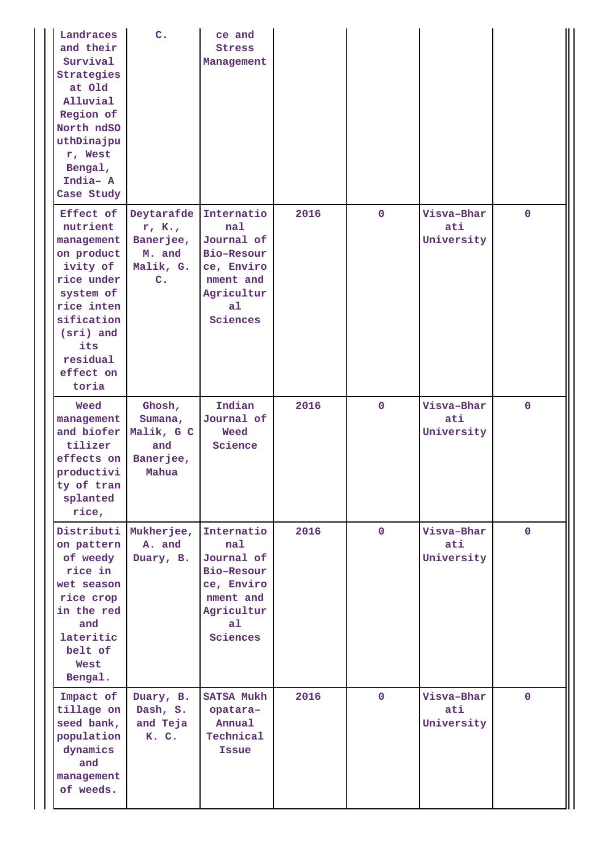| Landraces<br>and their<br>Survival<br>Strategies<br>at Old<br>Alluvial<br>Region of<br>North ndSO<br>uthDinajpu<br>r, West<br>Bengal,<br>India- A<br>Case Study            | $\overline{c}$ .                                                          | ce and<br><b>Stress</b><br>Management                                                                                |      |                |                                 |              |
|----------------------------------------------------------------------------------------------------------------------------------------------------------------------------|---------------------------------------------------------------------------|----------------------------------------------------------------------------------------------------------------------|------|----------------|---------------------------------|--------------|
| Effect of<br>nutrient<br>management<br>on product<br>ivity of<br>rice under<br>system of<br>rice inten<br>sification<br>(sri) and<br>its<br>residual<br>effect on<br>toria | Deytarafde<br>r, K.,<br>Banerjee,<br>M. and<br>Malik, G.<br>$C_{\bullet}$ | Internatio<br>nal<br>Journal of<br>Bio-Resour<br>ce, Enviro<br>nment and<br>Agricultur<br>a <sub>1</sub><br>Sciences | 2016 | $\mathbf 0$    | Visva-Bhar<br>ati<br>University | $\mathbf 0$  |
| Weed<br>management<br>and biofer<br>tilizer<br>effects on<br>productivi<br>ty of tran<br>splanted<br>rice,                                                                 | Ghosh,<br>Sumana,<br>Malik, G C<br>and<br>Banerjee,<br>Mahua              | Indian<br>Journal of<br>Weed<br>Science                                                                              | 2016 | $\mathbf 0$    | Visva-Bhar<br>ati<br>University | $\mathbf{0}$ |
| Distributi<br>on pattern<br>of weedy<br>rice in<br>wet season<br>rice crop<br>in the red<br>and<br>lateritic<br>belt of<br>West<br>Bengal.                                 | Mukherjee,<br>A. and<br>Duary, B.                                         | Internatio<br>nal<br>Journal of<br>Bio-Resour<br>ce, Enviro<br>nment and<br>Agricultur<br>a <sub>1</sub><br>Sciences | 2016 | $\overline{0}$ | Visva-Bhar<br>ati<br>University | $\mathbf{0}$ |
| Impact of<br>tillage on<br>seed bank,<br>population<br>dynamics<br>and<br>management<br>of weeds.                                                                          | Duary, B.<br>Dash, S.<br>and Teja<br>K. C.                                | <b>SATSA Mukh</b><br>opatara-<br>Annual<br>Technical<br><b>Issue</b>                                                 | 2016 | $\mathbf 0$    | Visva-Bhar<br>ati<br>University | $\mathbf{0}$ |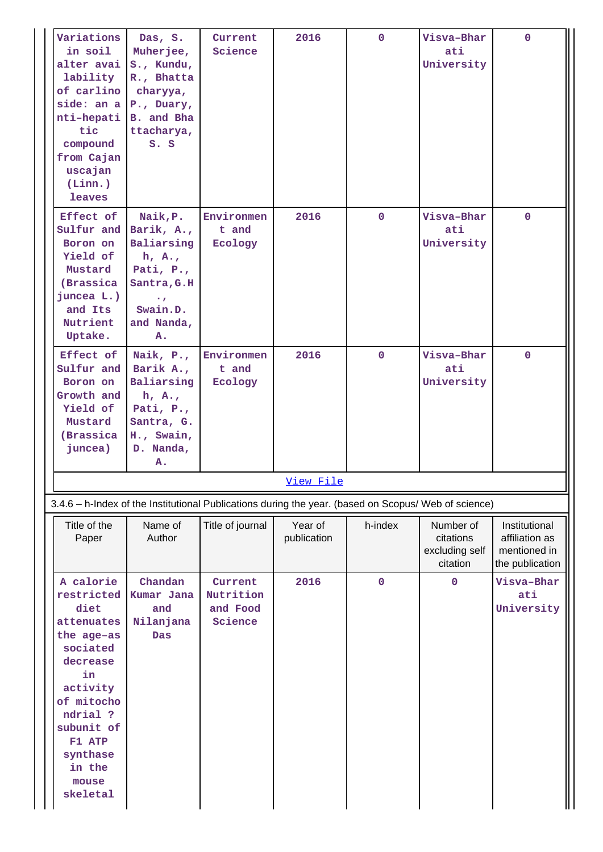| Variations<br>in soil                                                                                                                                                                              | Das, S.<br>Muherjee,                                                                                                              | Current<br>Science                          | 2016                   | $\mathbf{0}$ | Visva-Bhar<br>ati                                    | $\mathbf{0}$                                                       |
|----------------------------------------------------------------------------------------------------------------------------------------------------------------------------------------------------|-----------------------------------------------------------------------------------------------------------------------------------|---------------------------------------------|------------------------|--------------|------------------------------------------------------|--------------------------------------------------------------------|
| alter avai<br>lability<br>of carlino<br>side: an a P., Duary,                                                                                                                                      | S., Kundu,<br>R., Bhatta<br>charyya,                                                                                              |                                             |                        |              | University                                           |                                                                    |
| nti-hepati<br>tic<br>compound<br>from Cajan<br>uscajan                                                                                                                                             | B. and Bha<br>ttacharya,<br>S. S                                                                                                  |                                             |                        |              |                                                      |                                                                    |
| (Linn.)<br><b>leaves</b>                                                                                                                                                                           |                                                                                                                                   |                                             |                        |              |                                                      |                                                                    |
| Effect of<br>Sulfur and<br>Boron on<br>Yield of<br>Mustard<br>(Brassica<br>juncea L.)<br>and Its<br>Nutrient<br>Uptake.                                                                            | Naik, P.<br>Barik, A.,<br>Baliarsing<br>h, A.,<br>Pati, $P_{\cdot}$ ,<br>Santra, G.H<br>$\bullet$<br>Swain.D.<br>and Nanda,<br>Α. | Environmen<br>t and<br>Ecology              | 2016                   | $\mathbf{0}$ | Visva-Bhar<br>ati<br>University                      | $\mathbf{0}$                                                       |
| Effect of<br>Sulfur and<br>Boron on<br>Growth and<br>Yield of<br>Mustard<br>(Brassica<br>juncea)                                                                                                   | Naik, P.,<br>Barik A.,<br>Baliarsing<br>h, A.,<br>Pati, $P_{\cdot}$ ,<br>Santra, G.<br>H., Swain,<br>D. Nanda,<br>Α.              | Environmen<br>t and<br>Ecology              | 2016                   | $\mathbf{0}$ | Visva-Bhar<br>ati<br>University                      | $\mathbf{0}$                                                       |
|                                                                                                                                                                                                    |                                                                                                                                   |                                             | <u>View File</u>       |              |                                                      |                                                                    |
| 3.4.6 - h-Index of the Institutional Publications during the year. (based on Scopus/ Web of science)                                                                                               |                                                                                                                                   |                                             |                        |              |                                                      |                                                                    |
| Title of the<br>Paper                                                                                                                                                                              | Name of<br>Author                                                                                                                 | Title of journal                            | Year of<br>publication | h-index      | Number of<br>citations<br>excluding self<br>citation | Institutional<br>affiliation as<br>mentioned in<br>the publication |
| A calorie<br>restricted<br>diet<br>attenuates<br>the age-as<br>sociated<br>decrease<br>in<br>activity<br>of mitocho<br>ndrial ?<br>subunit of<br>F1 ATP<br>synthase<br>in the<br>mouse<br>skeletal | Chandan<br>Kumar Jana<br>and<br>Nilanjana<br><b>Das</b>                                                                           | Current<br>Nutrition<br>and Food<br>Science | 2016                   | $\mathbf 0$  | $\mathbf 0$                                          | Visva-Bhar<br>ati<br>University                                    |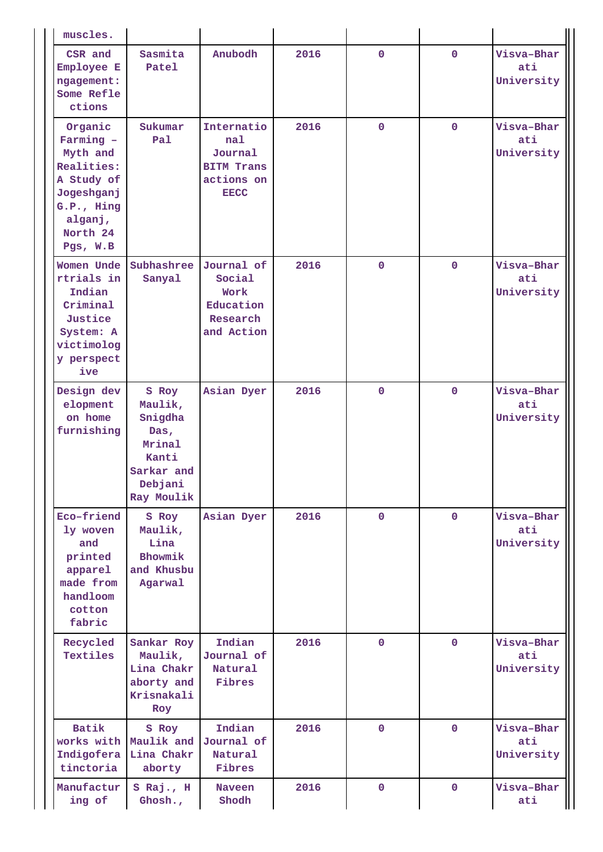| muscles.                                                                                                                    |                                                                                               |                                                                                |      |              |              |                                 |
|-----------------------------------------------------------------------------------------------------------------------------|-----------------------------------------------------------------------------------------------|--------------------------------------------------------------------------------|------|--------------|--------------|---------------------------------|
| CSR and<br>Employee E<br>ngagement:<br>Some Refle<br>ctions                                                                 | Sasmita<br>Patel                                                                              | Anubodh                                                                        | 2016 | $\mathbf 0$  | $\mathbf 0$  | Visva-Bhar<br>ati<br>University |
| Organic<br>Farming -<br>Myth and<br>Realities:<br>A Study of<br>Jogeshganj<br>G.P., Hing<br>alganj,<br>North 24<br>Pgs, W.B | Sukumar<br>Pal                                                                                | Internatio<br>nal<br>Journal<br><b>BITM Trans</b><br>actions on<br><b>EECC</b> | 2016 | $\mathbf 0$  | $\mathbf{0}$ | Visva-Bhar<br>ati<br>University |
| Women Unde<br>rtrials in<br>Indian<br>Criminal<br>Justice<br>System: A<br>victimolog<br>y perspect<br>ive                   | Subhashree<br>Sanyal                                                                          | Journal of<br>Social<br>Work<br>Education<br>Research<br>and Action            | 2016 | $\mathbf 0$  | $\mathbf{0}$ | Visva-Bhar<br>ati<br>University |
| Design dev<br>elopment<br>on home<br>furnishing                                                                             | S Roy<br>Maulik,<br>Snigdha<br>Das,<br>Mrinal<br>Kanti<br>Sarkar and<br>Debjani<br>Ray Moulik | Asian Dyer                                                                     | 2016 | $\mathbf 0$  | $\mathbf 0$  | Visva-Bhar<br>ati<br>University |
| Eco-friend<br>ly woven<br>and<br>printed<br>apparel<br>made from<br>handloom<br>cotton<br>fabric                            | S Roy<br>Maulik,<br>Lina<br>Bhowmik<br>and Khusbu<br>Agarwal                                  | Asian Dyer                                                                     | 2016 | $\mathbf{0}$ | $\mathbf{0}$ | Visva-Bhar<br>ati<br>University |
| Recycled<br>Textiles                                                                                                        | Sankar Roy<br>Maulik,<br>Lina Chakr<br>aborty and<br>Krisnakali<br>Roy                        | Indian<br>Journal of<br>Natural<br>Fibres                                      | 2016 | $\mathbf 0$  | $\mathbf{0}$ | Visva-Bhar<br>ati<br>University |
| <b>Batik</b><br>works with<br>Indigofera<br>tinctoria                                                                       | S Roy<br>Maulik and<br>Lina Chakr<br>aborty                                                   | Indian<br>Journal of<br>Natural<br>Fibres                                      | 2016 | $\mathbf 0$  | $\mathbf{0}$ | Visva-Bhar<br>ati<br>University |
| Manufactur<br>ing of                                                                                                        | S Raj., H<br>Ghosh.,                                                                          | <b>Naveen</b><br>Shodh                                                         | 2016 | $\mathbf{0}$ | $\mathbf{0}$ | Visva-Bhar<br>ati               |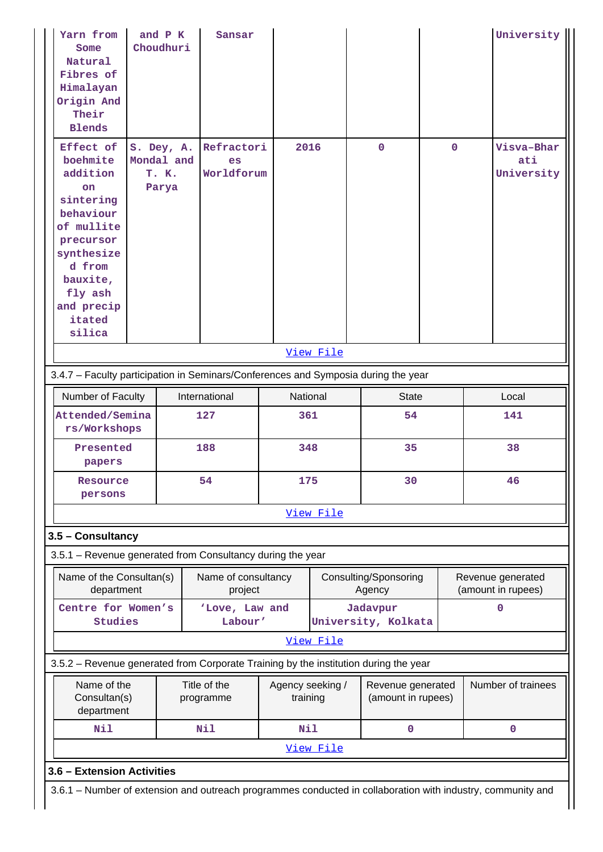| Yarn from<br>Some<br>Natural<br>Fibres of<br>Himalayan<br>Origin And<br>Their<br><b>Blends</b>                                                                      | and P K<br>Choudhuri                       | Sansar                         |                              |           |                                         |             |     | University                      |  |
|---------------------------------------------------------------------------------------------------------------------------------------------------------------------|--------------------------------------------|--------------------------------|------------------------------|-----------|-----------------------------------------|-------------|-----|---------------------------------|--|
| Effect of<br>boehmite<br>addition<br>on<br>sintering<br>behaviour<br>of mullite<br>precursor<br>synthesize<br>d from<br>bauxite,<br>fly ash<br>and precip<br>itated | S. Dey, A.<br>Mondal and<br>T. K.<br>Parya | Refractori<br>es<br>Worldforum | 2016                         |           | $\mathbf 0$                             | $\mathbf 0$ |     | Visva-Bhar<br>ati<br>University |  |
| silica                                                                                                                                                              |                                            |                                |                              |           |                                         |             |     |                                 |  |
|                                                                                                                                                                     |                                            |                                |                              | View File |                                         |             |     |                                 |  |
| 3.4.7 - Faculty participation in Seminars/Conferences and Symposia during the year                                                                                  |                                            |                                |                              |           |                                         |             |     |                                 |  |
| Number of Faculty                                                                                                                                                   |                                            | International                  | National                     |           | <b>State</b>                            |             |     | Local                           |  |
| Attended/Semina                                                                                                                                                     |                                            | 127                            | 361                          |           | 54                                      |             | 141 |                                 |  |
| rs/Workshops                                                                                                                                                        |                                            |                                |                              |           |                                         |             |     |                                 |  |
| Presented<br>papers                                                                                                                                                 |                                            | 188                            | 348                          |           | 35                                      |             |     | 38                              |  |
| Resource<br>persons                                                                                                                                                 |                                            | 54                             | 175                          |           | 30                                      |             |     | 46                              |  |
|                                                                                                                                                                     |                                            |                                |                              | View File |                                         |             |     |                                 |  |
| 3.5 - Consultancy                                                                                                                                                   |                                            |                                |                              |           |                                         |             |     |                                 |  |
| 3.5.1 - Revenue generated from Consultancy during the year                                                                                                          |                                            |                                |                              |           |                                         |             |     |                                 |  |
| Name of the Consultan(s)                                                                                                                                            |                                            | Name of consultancy            |                              |           | Consulting/Sponsoring                   |             |     | Revenue generated               |  |
| department                                                                                                                                                          |                                            | project                        |                              |           | Agency                                  |             |     | (amount in rupees)              |  |
| Centre for Women's                                                                                                                                                  |                                            | 'Love, Law and                 |                              |           | Jadavpur                                |             |     | $\mathbf 0$                     |  |
| Studies                                                                                                                                                             |                                            | Labour'                        |                              |           | University, Kolkata                     |             |     |                                 |  |
|                                                                                                                                                                     |                                            |                                |                              | View File |                                         |             |     |                                 |  |
| 3.5.2 - Revenue generated from Corporate Training by the institution during the year                                                                                |                                            |                                |                              |           |                                         |             |     |                                 |  |
| Name of the<br>Consultan(s)<br>department                                                                                                                           |                                            | Title of the<br>programme      | Agency seeking /<br>training |           | Revenue generated<br>(amount in rupees) |             |     | Number of trainees              |  |
| Nil                                                                                                                                                                 |                                            | Nil                            | Nil                          |           | 0                                       |             |     | $\mathbf 0$                     |  |
|                                                                                                                                                                     |                                            |                                |                              | View File |                                         |             |     |                                 |  |
| 3.6 - Extension Activities                                                                                                                                          |                                            |                                |                              |           |                                         |             |     |                                 |  |
|                                                                                                                                                                     |                                            |                                |                              |           |                                         |             |     |                                 |  |
| 3.6.1 - Number of extension and outreach programmes conducted in collaboration with industry, community and                                                         |                                            |                                |                              |           |                                         |             |     |                                 |  |

Н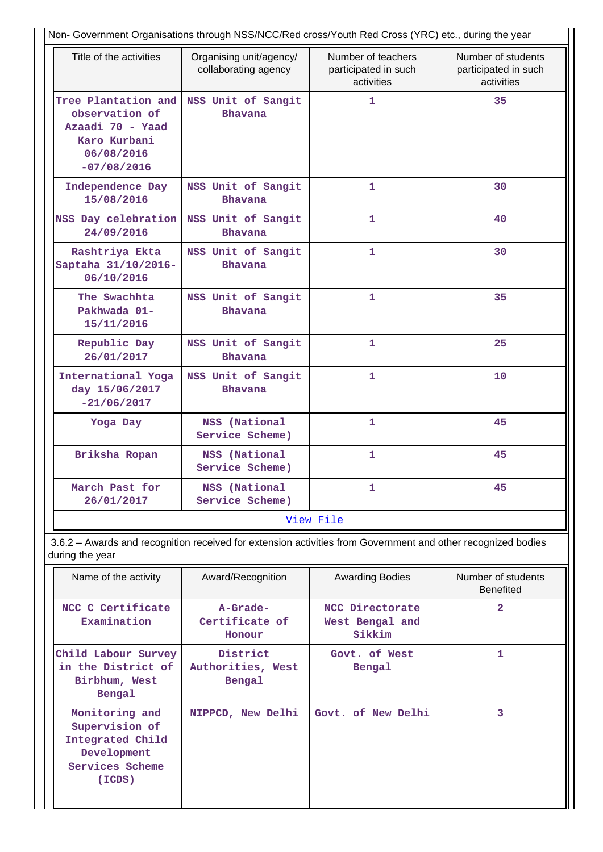| Title of the activities                                                                                  | Organising unit/agency/<br>collaborating agency | Number of teachers<br>participated in such<br>activities | Number of students<br>participated in such<br>activities |
|----------------------------------------------------------------------------------------------------------|-------------------------------------------------|----------------------------------------------------------|----------------------------------------------------------|
| Tree Plantation and<br>observation of<br>Azaadi 70 - Yaad<br>Karo Kurbani<br>06/08/2016<br>$-07/08/2016$ | NSS Unit of Sangit<br><b>Bhavana</b>            | $\mathbf{1}$                                             | 35                                                       |
| Independence Day<br>15/08/2016                                                                           | NSS Unit of Sangit<br><b>Bhavana</b>            | 1                                                        | 30                                                       |
| NSS Day celebration<br>24/09/2016                                                                        | NSS Unit of Sangit<br><b>Bhavana</b>            | 1                                                        | 40                                                       |
| Rashtriya Ekta<br>Saptaha 31/10/2016-<br>06/10/2016                                                      | NSS Unit of Sangit<br><b>Bhavana</b>            | 1                                                        | 30                                                       |
| The Swachhta<br>Pakhwada 01-<br>15/11/2016                                                               | NSS Unit of Sangit<br><b>Bhavana</b>            | $\mathbf{1}$                                             | 35                                                       |
| Republic Day<br>26/01/2017                                                                               | NSS Unit of Sangit<br>Bhavana                   | $\mathbf{1}$                                             | 25                                                       |
| International Yoga<br>day 15/06/2017<br>$-21/06/2017$                                                    | NSS Unit of Sangit<br><b>Bhavana</b>            | 1                                                        | 10                                                       |
| Yoga Day                                                                                                 | NSS (National<br>Service Scheme)                | $\mathbf{1}$                                             | 45                                                       |
| Briksha Ropan                                                                                            | NSS (National<br>Service Scheme)                | $\mathbf{1}$                                             | 45                                                       |
| March Past for<br>26/01/2017                                                                             | NSS (National<br>Service Scheme)                | 1                                                        | 45                                                       |

 3.6.2 – Awards and recognition received for extension activities from Government and other recognized bodies during the year

| Name of the activity                                                                             | Award/Recognition                       | <b>Awarding Bodies</b>                       | Number of students<br><b>Benefited</b> |
|--------------------------------------------------------------------------------------------------|-----------------------------------------|----------------------------------------------|----------------------------------------|
| NCC C Certificate<br>Examination                                                                 | A-Grade-<br>Certificate of<br>Honour    | NCC Directorate<br>West Bengal and<br>Sikkim | $\mathbf{2}$                           |
| Child Labour Survey<br>in the District of<br>Birbhum, West<br>Bengal                             | District<br>Authorities, West<br>Bengal | Govt. of West<br>Bengal                      | 1                                      |
| Monitoring and<br>Supervision of<br>Integrated Child<br>Development<br>Services Scheme<br>(ICDS) | NIPPCD, New Delhi                       | Govt. of New Delhi                           | 3                                      |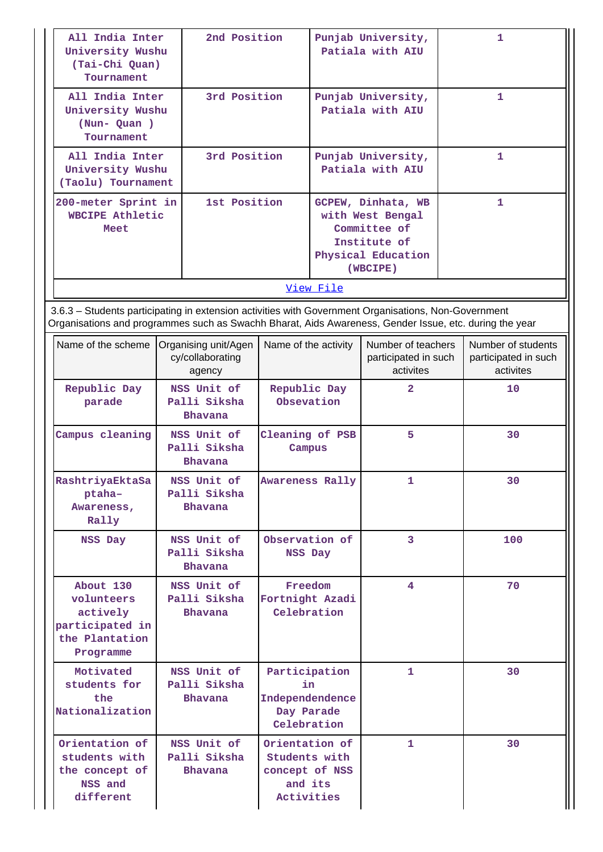| All India Inter<br>University Wushu<br>(Tai-Chi Quan)<br>Tournament                                    | 2nd Position                                       |        | Punjab University,<br>Patiala with AIU                                                                                                                                                                                        |                                                         | 1                                                       |  |
|--------------------------------------------------------------------------------------------------------|----------------------------------------------------|--------|-------------------------------------------------------------------------------------------------------------------------------------------------------------------------------------------------------------------------------|---------------------------------------------------------|---------------------------------------------------------|--|
| All India Inter<br>University Wushu<br>(Nun-Quan)<br>Tournament                                        | 3rd Position                                       |        | Punjab University,<br>Patiala with AIU                                                                                                                                                                                        |                                                         | $\mathbf{1}$                                            |  |
| All India Inter<br>University Wushu<br>(Taolu) Tournament                                              | 3rd Position                                       |        | Punjab University,<br>Patiala with AIU                                                                                                                                                                                        |                                                         | 1                                                       |  |
| 200-meter Sprint in<br><b>WBCIPE Athletic</b><br>Meet                                                  | 1st Position                                       |        | GCPEW, Dinhata, WB<br>with West Bengal<br>Committee of<br>Institute of<br>Physical Education<br>(WBCIPE)<br>View File<br>3.6.3 - Students participating in extension activities with Government Organisations, Non-Government |                                                         | 1                                                       |  |
|                                                                                                        |                                                    |        |                                                                                                                                                                                                                               |                                                         |                                                         |  |
| Organisations and programmes such as Swachh Bharat, Aids Awareness, Gender Issue, etc. during the year |                                                    |        |                                                                                                                                                                                                                               |                                                         |                                                         |  |
| Name of the scheme                                                                                     | Organising unit/Agen<br>cy/collaborating<br>agency |        | Name of the activity                                                                                                                                                                                                          | Number of teachers<br>participated in such<br>activites | Number of students<br>participated in such<br>activites |  |
| Republic Day<br>parade                                                                                 | NSS Unit of<br>Palli Siksha<br>Bhavana             |        | Republic Day<br>Obsevation                                                                                                                                                                                                    | $\overline{\mathbf{2}}$                                 | 10                                                      |  |
| Campus cleaning                                                                                        | NSS Unit of<br>Palli Siksha<br>Bhavana             | Campus | Cleaning of PSB                                                                                                                                                                                                               | 5                                                       | 30                                                      |  |
| RashtriyaEktaSa<br>ptaha-<br>Awareness,<br>Rally                                                       | NSS Unit of<br>Palli Siksha<br>Bhavana             |        | <b>Awareness Rally</b>                                                                                                                                                                                                        | 1                                                       | 30                                                      |  |
| NSS Day                                                                                                | NSS Unit of<br>Palli Siksha<br>Bhavana             |        | Observation of<br>NSS Day                                                                                                                                                                                                     | $\overline{3}$                                          | 100                                                     |  |
| About 130<br>volunteers<br>actively<br>participated in<br>the Plantation<br>Programme                  | NSS Unit of<br>Palli Siksha<br>Bhavana             |        | Freedom<br>Fortnight Azadi<br>Celebration                                                                                                                                                                                     | 4                                                       | 70                                                      |  |
| Motivated<br>students for<br>the<br>Nationalization                                                    | NSS Unit of<br>Palli Siksha<br>Bhavana             |        | Participation<br>in<br>Independendence<br>Day Parade<br>Celebration                                                                                                                                                           | 1                                                       | 30                                                      |  |
| Orientation of<br>students with<br>the concept of<br>NSS and<br>different                              | NSS Unit of<br>Palli Siksha<br>Bhavana             |        | Orientation of<br>Students with<br>concept of NSS<br>and its<br>Activities                                                                                                                                                    | 1                                                       | 30                                                      |  |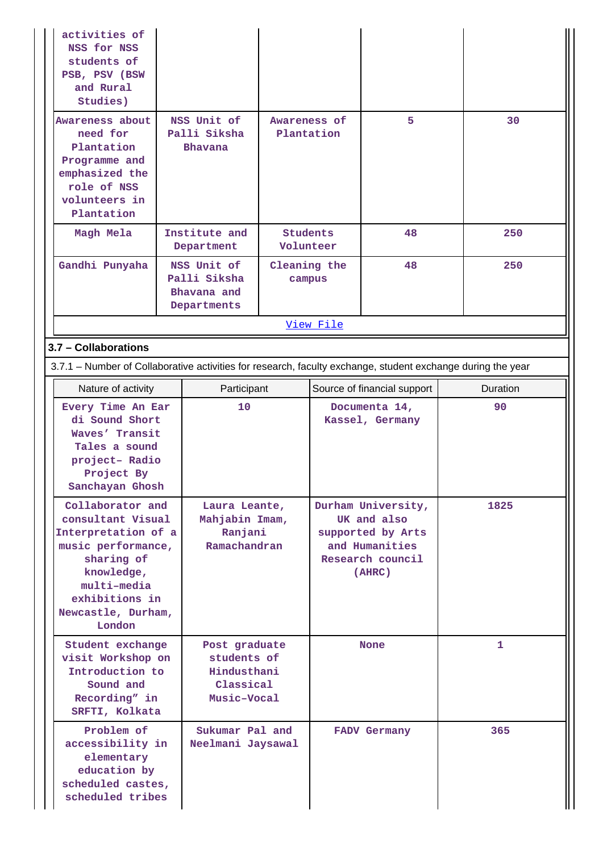| activities of<br>NSS for NSS<br>students of<br>PSB, PSV (BSW<br>and Rural<br>Studies)                                                                                           |                                                                         |                                     |                                                                                                        |                                  |          |
|---------------------------------------------------------------------------------------------------------------------------------------------------------------------------------|-------------------------------------------------------------------------|-------------------------------------|--------------------------------------------------------------------------------------------------------|----------------------------------|----------|
| Awareness about<br>need for<br>Plantation<br>Programme and<br>emphasized the<br>role of NSS<br>volunteers in<br>Plantation                                                      | NSS Unit of<br>Palli Siksha<br>Bhavana                                  | Awareness of                        | Plantation                                                                                             | 5                                | 30       |
| Magh Mela                                                                                                                                                                       | Institute and<br>Department                                             |                                     | <b>Students</b><br>48<br>Volunteer                                                                     |                                  | 250      |
| Gandhi Punyaha                                                                                                                                                                  | NSS Unit of<br>Palli Siksha<br>Bhavana and<br>Departments               | Cleaning the<br>campus<br>View File |                                                                                                        | 48                               | 250      |
|                                                                                                                                                                                 |                                                                         |                                     |                                                                                                        |                                  |          |
| 3.7 - Collaborations                                                                                                                                                            |                                                                         |                                     |                                                                                                        |                                  |          |
| 3.7.1 – Number of Collaborative activities for research, faculty exchange, student exchange during the year                                                                     |                                                                         |                                     |                                                                                                        |                                  |          |
| Nature of activity                                                                                                                                                              | Participant                                                             |                                     |                                                                                                        | Source of financial support      | Duration |
| Every Time An Ear<br>di Sound Short<br>Waves' Transit<br>Tales a sound<br>project- Radio<br>Project By<br>Sanchayan Ghosh                                                       | 10                                                                      |                                     |                                                                                                        | Documenta 14,<br>Kassel, Germany | 90       |
| Collaborator and<br>consultant Visual<br>Interpretation of a<br>music performance,<br>sharing of<br>knowledge,<br>multi-media<br>exhibitions in<br>Newcastle, Durham,<br>London | Laura Leante,<br>Mahjabin Imam,<br>Ranjani<br>Ramachandran              |                                     | Durham University,<br>UK and also<br>supported by Arts<br>and Humanities<br>Research council<br>(AHRC) | 1825                             |          |
| Student exchange<br>visit Workshop on<br>Introduction to<br>Sound and<br>Recording" in<br>SRFTI, Kolkata                                                                        | Post graduate<br>students of<br>Hindusthani<br>Classical<br>Music-Vocal |                                     |                                                                                                        | <b>None</b>                      | 1        |
| Problem of<br>accessibility in<br>elementary<br>education by<br>scheduled castes,<br>scheduled tribes                                                                           | Sukumar Pal and<br>Neelmani Jaysawal                                    |                                     |                                                                                                        | <b>FADV Germany</b>              | 365      |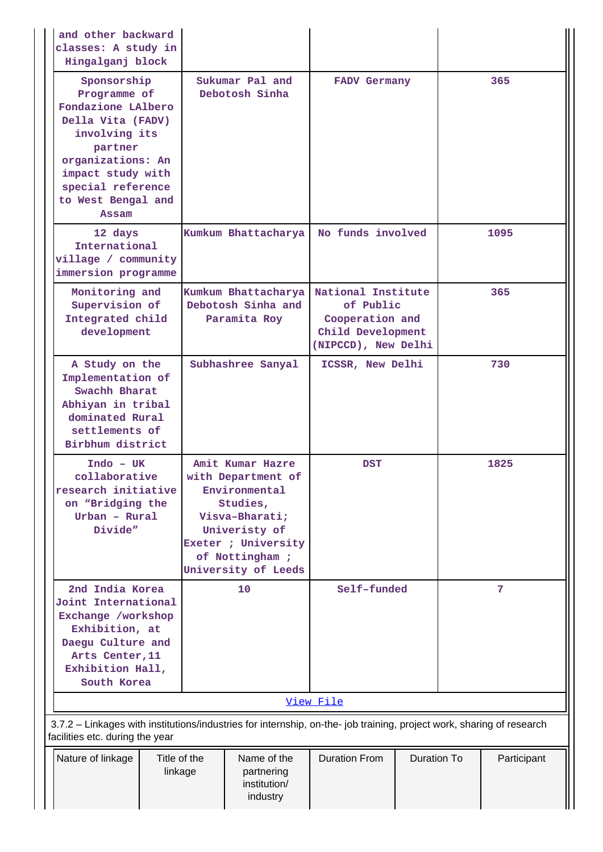| and other backward<br>classes: A study in<br>Hingalganj block                                                                                                                                    |                         |                                                                                                                                                                        |                                                                                                |             |     |             |
|--------------------------------------------------------------------------------------------------------------------------------------------------------------------------------------------------|-------------------------|------------------------------------------------------------------------------------------------------------------------------------------------------------------------|------------------------------------------------------------------------------------------------|-------------|-----|-------------|
| Sponsorship<br>Programme of<br>Fondazione LAlbero<br>Della Vita (FADV)<br>involving its<br>partner<br>organizations: An<br>impact study with<br>special reference<br>to West Bengal and<br>Assam |                         | Sukumar Pal and<br>Debotosh Sinha                                                                                                                                      | <b>FADV Germany</b><br>No funds involved                                                       |             |     | 365         |
| 12 days<br>International<br>village / community<br>immersion programme                                                                                                                           |                         | Kumkum Bhattacharya                                                                                                                                                    |                                                                                                |             |     | 1095        |
| Monitoring and<br>Supervision of<br>Integrated child<br>development                                                                                                                              |                         | Kumkum Bhattacharya<br>Debotosh Sinha and<br>Paramita Roy                                                                                                              | National Institute<br>of Public<br>Cooperation and<br>Child Development<br>(NIPCCD), New Delhi |             | 365 |             |
| A Study on the<br>Implementation of<br>Swachh Bharat<br>Abhiyan in tribal<br>dominated Rural<br>settlements of<br>Birbhum district                                                               |                         | Subhashree Sanyal                                                                                                                                                      | ICSSR, New Delhi                                                                               |             |     | 730         |
| $Indo - UK$<br>collaborative<br>research initiative<br>on "Bridging the<br>Urban - Rural<br>Divide"                                                                                              |                         | Amit Kumar Hazre<br>with Department of<br>Environmental<br>Studies,<br>Visva-Bharati;<br>Univeristy of<br>Exeter ; University<br>of Nottingham;<br>University of Leeds | <b>DST</b>                                                                                     |             |     | 1825        |
| 2nd India Korea<br>Joint International<br>Exchange /workshop<br>Exhibition, at<br>Daegu Culture and<br>Arts Center, 11<br>Exhibition Hall,<br>South Korea                                        |                         | 10                                                                                                                                                                     | Self-funded                                                                                    |             | 7   |             |
| 3.7.2 - Linkages with institutions/industries for internship, on-the- job training, project work, sharing of research                                                                            |                         |                                                                                                                                                                        | View File                                                                                      |             |     |             |
| facilities etc. during the year<br>Nature of linkage                                                                                                                                             | Title of the<br>linkage | Name of the<br>partnering<br>institution/<br>industry                                                                                                                  | <b>Duration From</b>                                                                           | Duration To |     | Participant |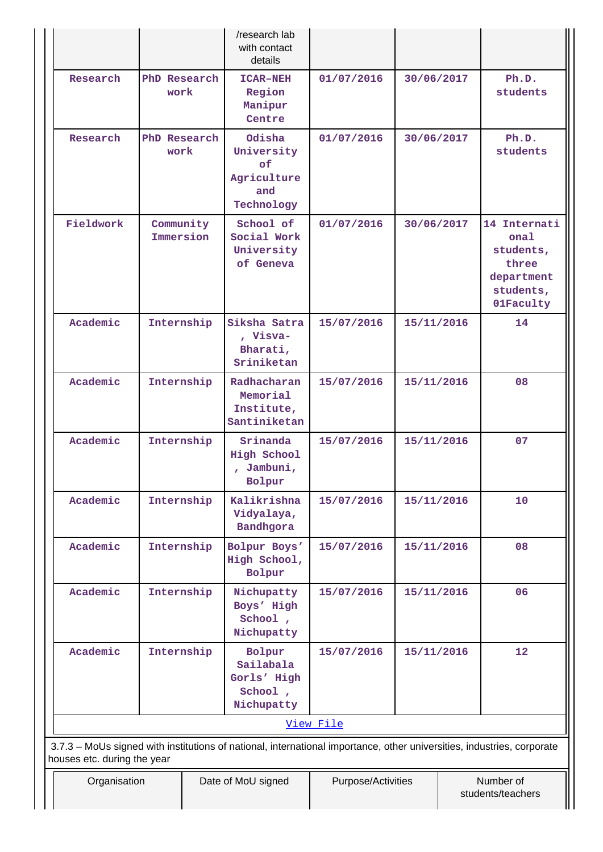|                             |                        | /research lab<br>with contact<br>details                                                                               |                    |            |                                                                                    |
|-----------------------------|------------------------|------------------------------------------------------------------------------------------------------------------------|--------------------|------------|------------------------------------------------------------------------------------|
| Research                    | PhD Research<br>work   | <b>ICAR-NEH</b><br>Region<br>Manipur<br>Centre                                                                         | 01/07/2016         | 30/06/2017 | Ph.D.<br>students                                                                  |
| Research                    | PhD Research<br>work   | Odisha<br>University<br>of<br>Agriculture<br>and<br>Technology                                                         | 01/07/2016         | 30/06/2017 | Ph.D.<br>students                                                                  |
| Fieldwork                   | Community<br>Immersion | School of<br>Social Work<br>University<br>of Geneva                                                                    | 01/07/2016         | 30/06/2017 | 14 Internati<br>onal<br>students,<br>three<br>department<br>students,<br>01Faculty |
| Academic                    | Internship             | Siksha Satra<br>, Visva-<br>Bharati,<br>Sriniketan                                                                     | 15/07/2016         | 15/11/2016 | 14                                                                                 |
| Academic                    | Internship             | Radhacharan<br>Memorial<br>Institute,<br>Santiniketan                                                                  | 15/07/2016         | 15/11/2016 | 08                                                                                 |
| Academic                    | Internship             | Srinanda<br>High School<br>, Jambuni,<br>Bolpur                                                                        | 15/07/2016         | 15/11/2016 | 07                                                                                 |
| Academic                    | Internship             | Kalikrishna<br>Vidyalaya,<br>Bandhgora                                                                                 | 15/07/2016         | 15/11/2016 | 10                                                                                 |
| Academic                    | Internship             | Bolpur Boys'<br>High School,<br>Bolpur                                                                                 | 15/07/2016         | 15/11/2016 | 08                                                                                 |
| Academic                    | Internship             | Nichupatty<br>Boys' High<br>School,<br>Nichupatty                                                                      | 15/07/2016         | 15/11/2016 | 06                                                                                 |
| Academic                    | Internship             | Bolpur<br>Sailabala<br>Gorls' High<br>School,<br>Nichupatty                                                            | 15/07/2016         | 15/11/2016 | 12                                                                                 |
|                             |                        |                                                                                                                        | View File          |            |                                                                                    |
| houses etc. during the year |                        | 3.7.3 - MoUs signed with institutions of national, international importance, other universities, industries, corporate |                    |            |                                                                                    |
| Organisation                |                        | Date of MoU signed                                                                                                     | Purpose/Activities |            | Number of<br>students/teachers                                                     |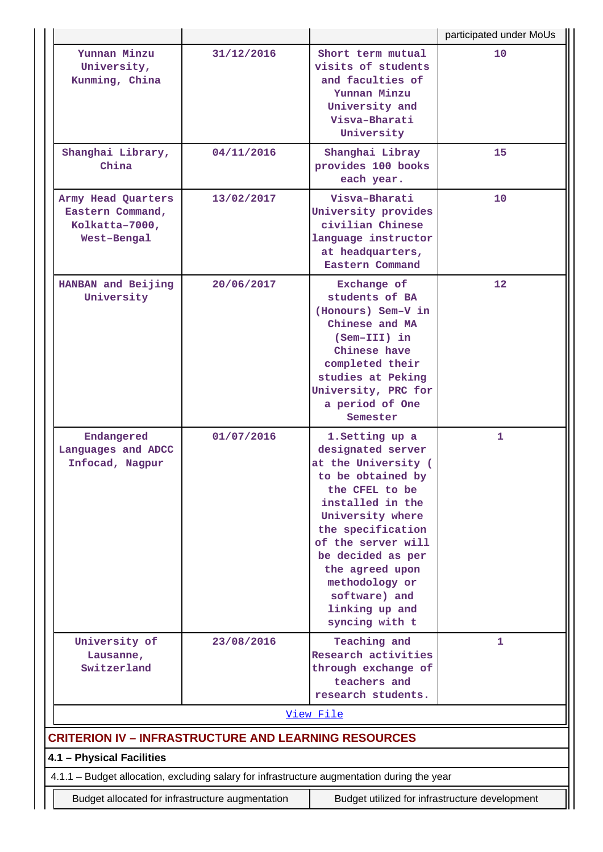|                                                                                             |            |                                                                                                                                                                                                                                                                                                      | participated under MoUs |
|---------------------------------------------------------------------------------------------|------------|------------------------------------------------------------------------------------------------------------------------------------------------------------------------------------------------------------------------------------------------------------------------------------------------------|-------------------------|
| Yunnan Minzu<br>University,<br>Kunming, China                                               | 31/12/2016 | Short term mutual<br>visits of students<br>and faculties of<br>Yunnan Minzu<br>University and<br>Visva-Bharati<br>University                                                                                                                                                                         | 10                      |
| Shanghai Library,<br>China                                                                  | 04/11/2016 | Shanghai Libray<br>provides 100 books<br>each year.                                                                                                                                                                                                                                                  | 15                      |
| Army Head Quarters<br>Eastern Command,<br>Kolkatta-7000,<br>West-Bengal                     | 13/02/2017 | Visva-Bharati<br>University provides<br>civilian Chinese<br>language instructor<br>at headquarters,<br>Eastern Command                                                                                                                                                                               | 10                      |
| HANBAN and Beijing<br>University                                                            | 20/06/2017 | Exchange of<br>students of BA<br>(Honours) Sem-V in<br>Chinese and MA<br>$(Sem-TII)$ in<br>Chinese have<br>completed their<br>studies at Peking<br>University, PRC for<br>a period of One<br>Semester                                                                                                | 12                      |
| Endangered<br>Languages and ADCC<br>Infocad, Nagpur                                         | 01/07/2016 | 1. Setting up a<br>designated server<br>at the University (<br>to be obtained by<br>the CFEL to be<br>installed in the<br>University where<br>the specification<br>of the server will<br>be decided as per<br>the agreed upon<br>methodology or<br>software) and<br>linking up and<br>syncing with t | 1                       |
| University of<br>Lausanne,<br>Switzerland                                                   | 23/08/2016 | Teaching and<br>Research activities<br>through exchange of<br>teachers and<br>research students.                                                                                                                                                                                                     | 1                       |
|                                                                                             |            | View File                                                                                                                                                                                                                                                                                            |                         |
| <b>CRITERION IV - INFRASTRUCTURE AND LEARNING RESOURCES</b>                                 |            |                                                                                                                                                                                                                                                                                                      |                         |
| 4.1 - Physical Facilities                                                                   |            |                                                                                                                                                                                                                                                                                                      |                         |
| 4.1.1 – Budget allocation, excluding salary for infrastructure augmentation during the year |            |                                                                                                                                                                                                                                                                                                      |                         |
| Budget allocated for infrastructure augmentation                                            |            | Budget utilized for infrastructure development                                                                                                                                                                                                                                                       |                         |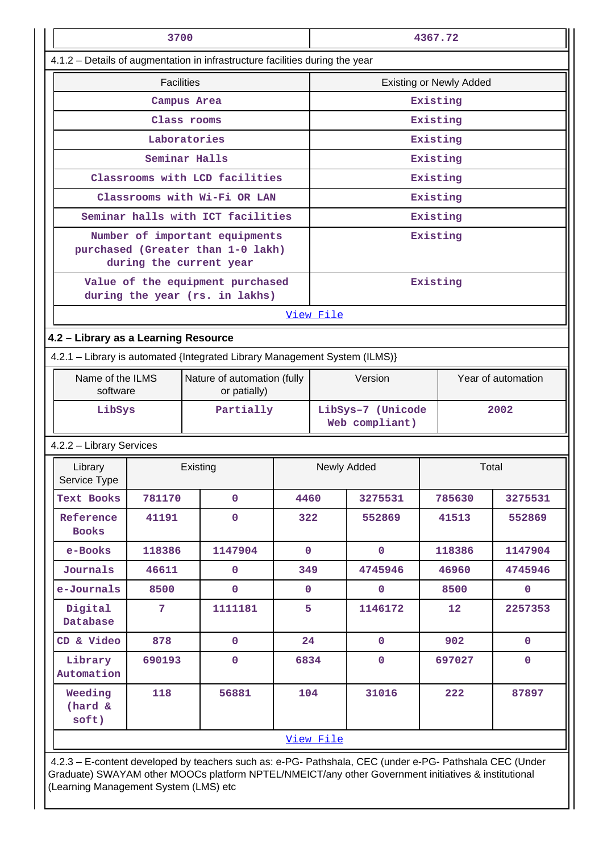|                                      | 3700                                                                                           |                                                                                                         |              | 4367.72     |                                                                                                   |                                |                    |  |  |
|--------------------------------------|------------------------------------------------------------------------------------------------|---------------------------------------------------------------------------------------------------------|--------------|-------------|---------------------------------------------------------------------------------------------------|--------------------------------|--------------------|--|--|
|                                      |                                                                                                | 4.1.2 - Details of augmentation in infrastructure facilities during the year                            |              |             |                                                                                                   |                                |                    |  |  |
|                                      | <b>Facilities</b>                                                                              |                                                                                                         |              |             |                                                                                                   | <b>Existing or Newly Added</b> |                    |  |  |
|                                      |                                                                                                | Campus Area                                                                                             |              |             |                                                                                                   | Existing                       |                    |  |  |
|                                      |                                                                                                | Class rooms                                                                                             |              |             |                                                                                                   | Existing                       |                    |  |  |
|                                      |                                                                                                | Laboratories                                                                                            |              |             | Existing                                                                                          |                                |                    |  |  |
|                                      |                                                                                                | Seminar Halls                                                                                           |              |             |                                                                                                   | Existing                       |                    |  |  |
|                                      |                                                                                                | Classrooms with LCD facilities                                                                          |              |             |                                                                                                   | Existing                       |                    |  |  |
|                                      |                                                                                                | Classrooms with Wi-Fi OR LAN                                                                            |              |             | Existing                                                                                          |                                |                    |  |  |
|                                      |                                                                                                | Seminar halls with ICT facilities                                                                       |              |             |                                                                                                   | Existing                       |                    |  |  |
|                                      | Number of important equipments<br>purchased (Greater than 1-0 lakh)<br>during the current year |                                                                                                         |              |             |                                                                                                   | Existing                       |                    |  |  |
|                                      |                                                                                                | Value of the equipment purchased<br>during the year (rs. in lakhs)                                      |              |             |                                                                                                   | Existing                       |                    |  |  |
|                                      |                                                                                                |                                                                                                         |              | View File   |                                                                                                   |                                |                    |  |  |
| 4.2 - Library as a Learning Resource |                                                                                                |                                                                                                         |              |             |                                                                                                   |                                |                    |  |  |
|                                      |                                                                                                | 4.2.1 - Library is automated {Integrated Library Management System (ILMS)}                              |              |             |                                                                                                   |                                |                    |  |  |
|                                      | Name of the ILMS<br>Nature of automation (fully<br>software<br>or patially)                    |                                                                                                         |              |             | Version                                                                                           |                                | Year of automation |  |  |
| LibSys                               |                                                                                                | Partially                                                                                               |              |             | LibSys-7 (Unicode<br>Web compliant)                                                               |                                | 2002               |  |  |
| 4.2.2 - Library Services             |                                                                                                |                                                                                                         |              |             |                                                                                                   |                                |                    |  |  |
| Library<br>Service Type              |                                                                                                | Existing                                                                                                |              | Newly Added |                                                                                                   |                                | Total              |  |  |
| Text Books                           | 781170                                                                                         | $\mathbf 0$                                                                                             | 4460         |             | 3275531                                                                                           | 785630                         | 3275531            |  |  |
| Reference<br><b>Books</b>            | 41191                                                                                          | $\mathbf 0$                                                                                             | 322          |             | 552869                                                                                            | 41513                          | 552869             |  |  |
| e-Books                              | 118386                                                                                         | 1147904                                                                                                 | $\mathbf 0$  |             | $\mathbf 0$                                                                                       | 118386                         | 1147904            |  |  |
| Journals                             | 46611                                                                                          | $\mathbf 0$                                                                                             | 349          |             | 4745946                                                                                           | 46960                          | 4745946            |  |  |
| e-Journals                           | 8500                                                                                           | $\mathbf 0$                                                                                             | $\mathbf{0}$ |             | $\mathbf 0$                                                                                       | 8500                           | $\mathbf 0$        |  |  |
| Digital<br>Database                  | $\overline{7}$                                                                                 | 1111181                                                                                                 | 5            |             | 1146172                                                                                           | $12 \overline{ }$              | 2257353            |  |  |
| CD & Video                           | 878                                                                                            | $\mathbf 0$                                                                                             | 24           |             | $\mathbf 0$                                                                                       | 902                            | $\mathbf 0$        |  |  |
| Library<br>Automation                | 690193                                                                                         | $\mathbf 0$                                                                                             | 6834         |             | $\mathbf 0$                                                                                       | 697027                         | $\mathbf 0$        |  |  |
| Weeding<br>(hard &<br>soft)          | 118                                                                                            | 56881                                                                                                   | 104          |             | 31016                                                                                             | 222                            | 87897              |  |  |
|                                      |                                                                                                |                                                                                                         |              | View File   |                                                                                                   |                                |                    |  |  |
|                                      |                                                                                                | 4.2.3 - E-content developed by teachers such as: e-PG- Pathshala, CEC (under e-PG- Pathshala CEC (Under |              |             | into) CIMAVAM other MOOCe pletferm NDTEL/NIMEICT/eny other Covernment initiatives 8 institutional |                                |                    |  |  |

Graduate) SWAYAM other MOOCs platform NPTEL/NMEICT/any other Government initiatives & institutional (Learning Management System (LMS) etc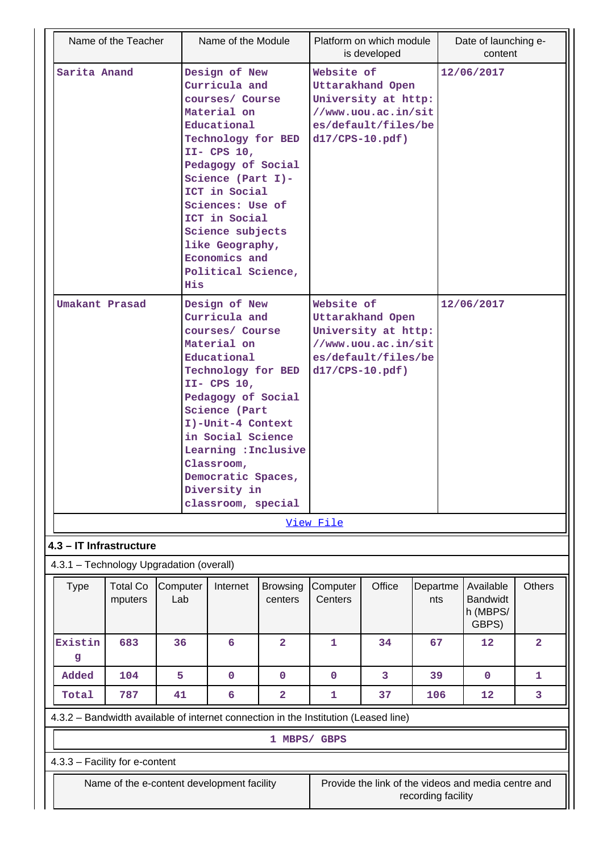| Name of the Teacher                                                                 |                 | Name of the Module                                                                                                                                                                                                                                                                                                 |                            |                                | Platform on which module<br>is developed                                                     |                    | Date of launching e-<br>content                     |                         |
|-------------------------------------------------------------------------------------|-----------------|--------------------------------------------------------------------------------------------------------------------------------------------------------------------------------------------------------------------------------------------------------------------------------------------------------------------|----------------------------|--------------------------------|----------------------------------------------------------------------------------------------|--------------------|-----------------------------------------------------|-------------------------|
| Sarita Anand                                                                        | His             | Design of New<br>Curricula and<br>courses/ Course<br>Material on<br>Educational<br>Technology for BED<br>$II-$ CPS $10,$<br>Pedagogy of Social<br>Science (Part I)-<br>ICT in Social<br>Sciences: Use of<br>ICT in Social<br>Science subjects<br>like Geography,<br>Economics and<br>Political Science,            |                            | Website of<br>$d17/CPS-10.pdf$ | <b>Uttarakhand Open</b><br>University at http:<br>//www.uou.ac.in/sit<br>es/default/files/be |                    | 12/06/2017                                          |                         |
| Umakant Prasad                                                                      |                 | Design of New<br>Curricula and<br>courses/ Course<br>Material on<br>Educational<br>Technology for BED<br>$II-$ CPS $10,$<br>Pedagogy of Social<br><b>Science (Part</b><br>I)-Unit-4 Context<br>in Social Science<br>Learning : Inclusive<br>Classroom,<br>Democratic Spaces,<br>Diversity in<br>classroom, special |                            | Website of<br>$d17/CPS-10.pdf$ | Uttarakhand Open<br>University at http:<br>//www.uou.ac.in/sit<br>es/default/files/be        |                    | 12/06/2017                                          |                         |
|                                                                                     |                 |                                                                                                                                                                                                                                                                                                                    |                            | View File                      |                                                                                              |                    |                                                     |                         |
| 4.3 - IT Infrastructure                                                             |                 |                                                                                                                                                                                                                                                                                                                    |                            |                                |                                                                                              |                    |                                                     |                         |
| 4.3.1 - Technology Upgradation (overall)                                            |                 |                                                                                                                                                                                                                                                                                                                    |                            |                                |                                                                                              |                    |                                                     |                         |
| <b>Total Co</b><br><b>Type</b><br>mputers                                           | Computer<br>Lab | Internet                                                                                                                                                                                                                                                                                                           | <b>Browsing</b><br>centers | Computer<br>Centers            | Office                                                                                       | Departme<br>nts    | Available<br><b>Bandwidt</b><br>h (MBPS/<br>GBPS)   | <b>Others</b>           |
| Existin<br>683<br>g                                                                 | 36              | 6                                                                                                                                                                                                                                                                                                                  | 2                          | 1                              | 34                                                                                           | 67                 | 12                                                  | $\overline{\mathbf{2}}$ |
| Added<br>104                                                                        | 5               | $\mathbf 0$                                                                                                                                                                                                                                                                                                        | 0                          | 0                              | 3                                                                                            | 39                 | $\mathbf{0}$                                        | 1                       |
| 787<br>Total                                                                        | 41              | 6                                                                                                                                                                                                                                                                                                                  | 2                          | 1                              | 37                                                                                           | 106                | 12                                                  | 3                       |
| 4.3.2 – Bandwidth available of internet connection in the Institution (Leased line) |                 |                                                                                                                                                                                                                                                                                                                    |                            |                                |                                                                                              |                    |                                                     |                         |
|                                                                                     |                 |                                                                                                                                                                                                                                                                                                                    | 1 MBPS/ GBPS               |                                |                                                                                              |                    |                                                     |                         |
| 4.3.3 - Facility for e-content                                                      |                 |                                                                                                                                                                                                                                                                                                                    |                            |                                |                                                                                              |                    |                                                     |                         |
| Name of the e-content development facility                                          |                 |                                                                                                                                                                                                                                                                                                                    |                            |                                |                                                                                              | recording facility | Provide the link of the videos and media centre and |                         |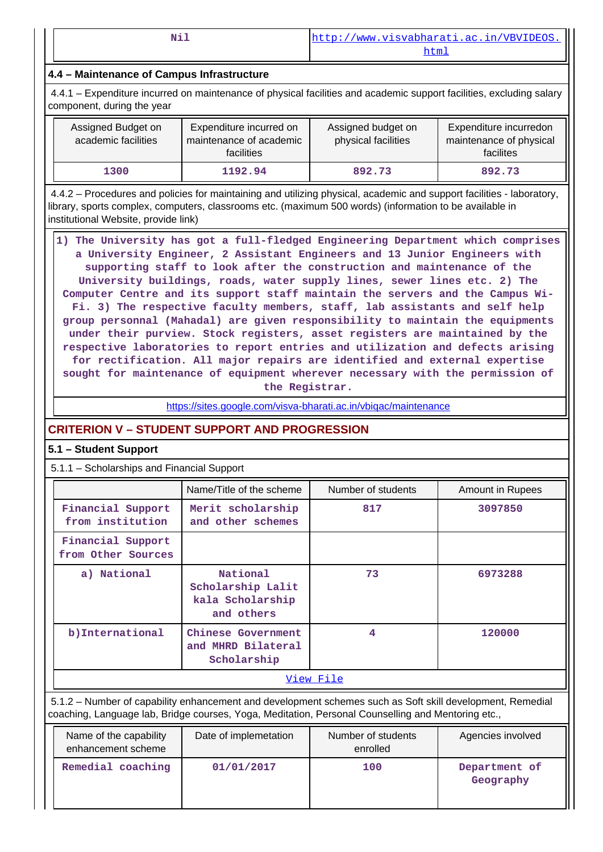|  | ÷ |  |
|--|---|--|
|  |   |  |
|  |   |  |

# **4.4 – Maintenance of Campus Infrastructure**

 4.4.1 – Expenditure incurred on maintenance of physical facilities and academic support facilities, excluding salary component, during the year

| Assigned Budget on<br>academic facilities | Expenditure incurred on<br>maintenance of academic<br>facilities | Assigned budget on<br>physical facilities | Expenditure incurredon<br>maintenance of physical<br>facilites |
|-------------------------------------------|------------------------------------------------------------------|-------------------------------------------|----------------------------------------------------------------|
| 1300                                      | 1192.94                                                          | 892.73                                    | 892.73                                                         |

 4.4.2 – Procedures and policies for maintaining and utilizing physical, academic and support facilities - laboratory, library, sports complex, computers, classrooms etc. (maximum 500 words) (information to be available in institutional Website, provide link)

| 1) The University has got a full-fledged Engineering Department which comprises |
|---------------------------------------------------------------------------------|
| a University Engineer, 2 Assistant Engineers and 13 Junior Engineers with       |
| supporting staff to look after the construction and maintenance of the          |
| University buildings, roads, water supply lines, sewer lines etc. 2) The        |
| Computer Centre and its support staff maintain the servers and the Campus Wi-   |
| Fi. 3) The respective faculty members, staff, lab assistants and self help      |
| group personnal (Mahadal) are given responsibility to maintain the equipments   |
| under their purview. Stock registers, asset registers are maintained by the     |
| respective laboratories to report entries and utilization and defects arising   |
| for rectification. All major repairs are identified and external expertise      |
| sought for maintenance of equipment wherever necessary with the permission of   |
| the Registrar.                                                                  |

<https://sites.google.com/visva-bharati.ac.in/vbiqac/maintenance>

# **CRITERION V – STUDENT SUPPORT AND PROGRESSION**

## **5.1 – Student Support**

5.1.1 – Scholarships and Financial Support

|                                         | Name/Title of the scheme                                        | Number of students | Amount in Rupees |  |  |  |
|-----------------------------------------|-----------------------------------------------------------------|--------------------|------------------|--|--|--|
| Financial Support<br>from institution   | Merit scholarship<br>and other schemes                          | 817                | 3097850          |  |  |  |
| Financial Support<br>from Other Sources |                                                                 |                    |                  |  |  |  |
| a) National                             | National<br>Scholarship Lalit<br>kala Scholarship<br>and others | 73                 | 6973288          |  |  |  |
| b) International                        | Chinese Government<br>and MHRD Bilateral<br>Scholarship         | 4                  | 120000           |  |  |  |
| View File                               |                                                                 |                    |                  |  |  |  |

 5.1.2 – Number of capability enhancement and development schemes such as Soft skill development, Remedial coaching, Language lab, Bridge courses, Yoga, Meditation, Personal Counselling and Mentoring etc.,

| Name of the capability<br>enhancement scheme | Date of implemetation | Number of students<br>enrolled | Agencies involved          |
|----------------------------------------------|-----------------------|--------------------------------|----------------------------|
| Remedial coaching                            | 01/01/2017            | 100                            | Department of<br>Geography |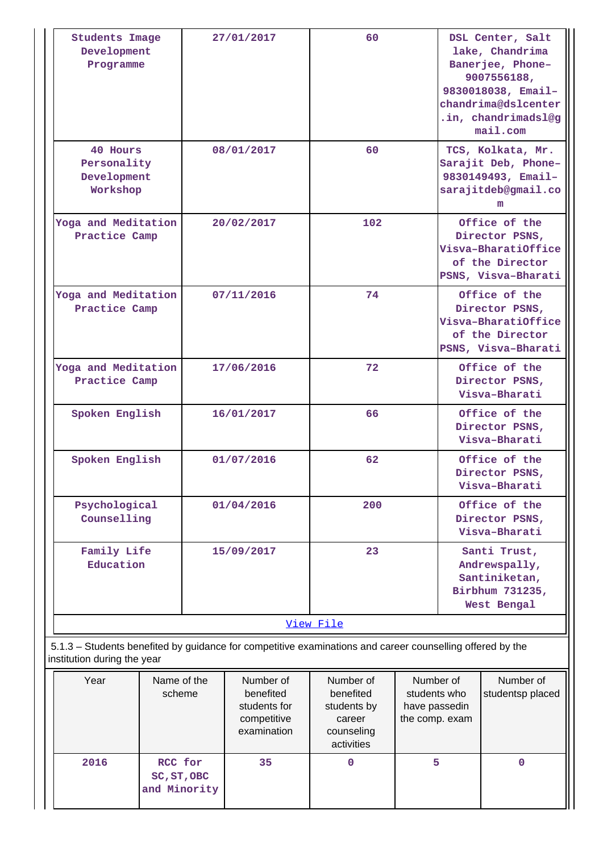| <b>Students Image</b><br>Development<br>Programme  | 27/01/2017 | 60        | DSL Center, Salt<br>lake, Chandrima<br>Banerjee, Phone-<br>9007556188,<br>9830018038, Email-<br>chandrima@dslcenter<br>.in, chandrimadsl@g<br>mail.com |
|----------------------------------------------------|------------|-----------|--------------------------------------------------------------------------------------------------------------------------------------------------------|
| 40 Hours<br>Personality<br>Development<br>Workshop | 08/01/2017 | 60        | TCS, Kolkata, Mr.<br>Sarajit Deb, Phone-<br>9830149493, Email-<br>sarajitdeb@gmail.co<br>m                                                             |
| Yoga and Meditation<br>Practice Camp               | 20/02/2017 | 102       | Office of the<br>Director PSNS,<br>Visva-BharatiOffice<br>of the Director<br>PSNS, Visva-Bharati                                                       |
| Yoga and Meditation<br>Practice Camp               | 07/11/2016 | 74        | Office of the<br>Director PSNS,<br>Visva-BharatiOffice<br>of the Director<br>PSNS, Visva-Bharati                                                       |
| Yoga and Meditation<br>Practice Camp               | 17/06/2016 | 72        | Office of the<br>Director PSNS,<br>Visva-Bharati                                                                                                       |
| Spoken English                                     | 16/01/2017 | 66        | Office of the<br>Director PSNS,<br>Visva-Bharati                                                                                                       |
| Spoken English                                     | 01/07/2016 | 62        | Office of the<br>Director PSNS,<br>Visva-Bharati                                                                                                       |
| Psychological<br>Counselling                       | 01/04/2016 | 200       | Office of the<br>Director PSNS,<br>Visva-Bharati                                                                                                       |
| Family Life<br>Education                           | 15/09/2017 | 23        | Santi Trust,<br>Andrewspally,<br>Santiniketan,<br>Birbhum 731235,<br>West Bengal                                                                       |
|                                                    |            | View File |                                                                                                                                                        |

| Year | Name of the<br>scheme                  | Number of<br>benefited<br>students for<br>competitive<br>examination | Number of<br>benefited<br>students by<br>career<br>counseling<br>activities | Number of<br>students who<br>have passedin<br>the comp. exam | Number of<br>studentsp placed |
|------|----------------------------------------|----------------------------------------------------------------------|-----------------------------------------------------------------------------|--------------------------------------------------------------|-------------------------------|
| 2016 | RCC for<br>SC, ST, OBC<br>and Minority | 35                                                                   | 0                                                                           | 5                                                            | O                             |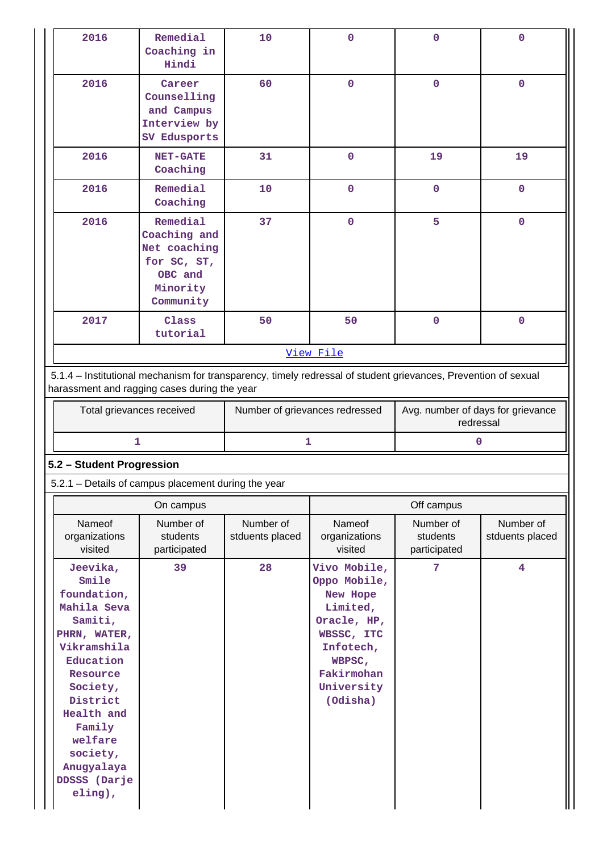|                                    | Remedial<br>Coaching in<br>Hindi                                                                                                                               | 10                             | 0                                  | $\mathbf 0$                                    | 0                            |  |
|------------------------------------|----------------------------------------------------------------------------------------------------------------------------------------------------------------|--------------------------------|------------------------------------|------------------------------------------------|------------------------------|--|
| 2016                               | Career<br>Counselling<br>and Campus<br>Interview by<br>SV Edusports                                                                                            | 60                             | $\mathbf 0$                        | $\mathbf 0$                                    | $\pmb{0}$                    |  |
| 2016                               | <b>NET-GATE</b><br>Coaching                                                                                                                                    | 31                             | $\mathbf 0$                        | 19                                             | 19                           |  |
| 2016                               | Remedial<br>Coaching                                                                                                                                           | 10                             | $\mathbf 0$                        | $\mathbf 0$                                    | $\mathbf 0$                  |  |
| 2016                               | Remedial<br>Coaching and<br>Net coaching<br>for SC, ST,<br>OBC and<br>Minority<br>Community                                                                    | 37                             | $\mathbf 0$                        | 5                                              | $\mathbf 0$                  |  |
| 2017                               | Class<br>tutorial                                                                                                                                              | 50                             | 50                                 | $\mathbf 0$                                    | $\mathbf 0$                  |  |
|                                    | View File                                                                                                                                                      |                                |                                    |                                                |                              |  |
|                                    | 5.1.4 - Institutional mechanism for transparency, timely redressal of student grievances, Prevention of sexual<br>harassment and ragging cases during the year |                                |                                    |                                                |                              |  |
| Total grievances received          |                                                                                                                                                                | Number of grievances redressed |                                    | Avg. number of days for grievance<br>redressal |                              |  |
|                                    |                                                                                                                                                                |                                |                                    |                                                |                              |  |
|                                    | 1                                                                                                                                                              | 1                              |                                    | 0                                              |                              |  |
| 5.2 - Student Progression          | 5.2.1 – Details of campus placement during the year                                                                                                            |                                |                                    |                                                |                              |  |
|                                    | On campus                                                                                                                                                      |                                |                                    | Off campus                                     |                              |  |
| Nameof<br>organizations<br>visited | Number of<br>students<br>participated                                                                                                                          | Number of<br>stduents placed   | Nameof<br>organizations<br>visited | Number of<br>students<br>participated          | Number of<br>stduents placed |  |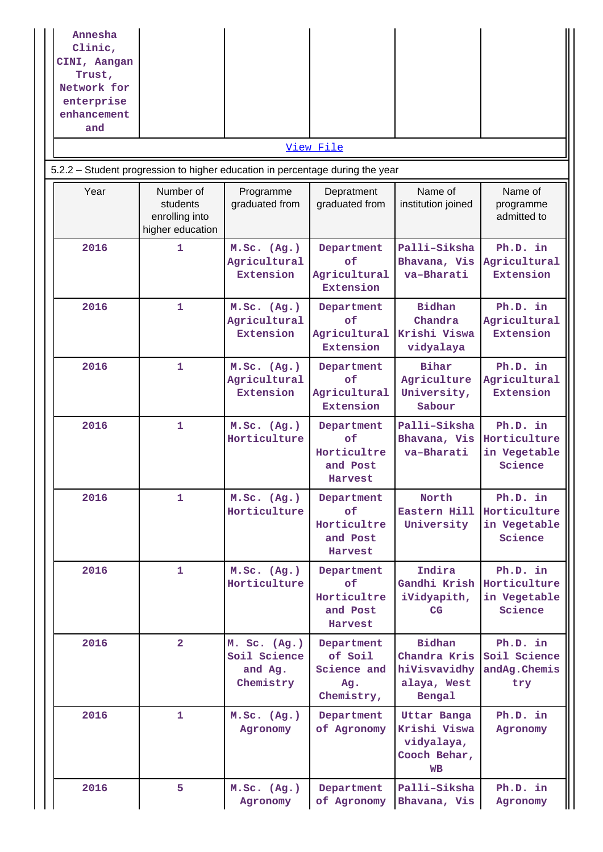| Annesha<br>Clinic,<br>CINI, Aangan<br>Trust,<br>Network for<br>enterprise<br>enhancement<br>and |                                                             |                                                      |                                                           |                                                                               |                                                     |
|-------------------------------------------------------------------------------------------------|-------------------------------------------------------------|------------------------------------------------------|-----------------------------------------------------------|-------------------------------------------------------------------------------|-----------------------------------------------------|
|                                                                                                 |                                                             |                                                      | View File                                                 |                                                                               |                                                     |
| 5.2.2 - Student progression to higher education in percentage during the year                   |                                                             |                                                      |                                                           |                                                                               |                                                     |
| Year                                                                                            | Number of<br>students<br>enrolling into<br>higher education | Programme<br>graduated from                          | Depratment<br>graduated from                              | Name of<br>institution joined                                                 | Name of<br>programme<br>admitted to                 |
| 2016                                                                                            | $\mathbf{1}$                                                | M.Sc. (Ag.)<br>Agricultural<br>Extension             | Department<br>оf<br>Agricultural<br>Extension             | Palli-Siksha<br>Bhavana, Vis<br>va-Bharati                                    | Ph.D. in<br>Agricultural<br><b>Extension</b>        |
| 2016                                                                                            | 1                                                           | M.Sc. (Ag.)<br>Agricultural<br>Extension             | Department<br>of<br>Agricultural<br>Extension             | <b>Bidhan</b><br>Chandra<br>Krishi Viswa<br>vidyalaya                         | Ph.D. in<br>Agricultural<br>Extension               |
| 2016                                                                                            | $\mathbf{1}$                                                | M.Sc. (Ag.)<br>Agricultural<br>Extension             | Department<br>of<br>Agricultural<br>Extension             | Bihar<br>Agriculture<br>University,<br>Sabour                                 | Ph.D. in<br>Agricultural<br>Extension               |
| 2016                                                                                            | $\mathbf{1}$                                                | M.Sc. (Ag.)<br>Horticulture                          | Department<br>оf<br>Horticultre<br>and Post<br>Harvest    | Palli-Siksha<br>Bhavana, Vis<br>va-Bharati                                    | Ph.D. in<br>Horticulture<br>in Vegetable<br>Science |
| 2016                                                                                            | $\mathbf{1}$                                                | M.Sc. (Ag.)<br>Horticulture                          | Department<br>of<br>Horticultre<br>and Post<br>Harvest    | North<br>Eastern Hill<br>University                                           | Ph.D. in<br>Horticulture<br>in Vegetable<br>Science |
| 2016                                                                                            | $\mathbf{1}$                                                | M.Sc. (Ag.)<br>Horticulture                          | Department<br>of<br>Horticultre<br>and Post<br>Harvest    | Indira<br>Gandhi Krish<br>iVidyapith,<br>CG                                   | Ph.D. in<br>Horticulture<br>in Vegetable<br>Science |
| 2016                                                                                            | $\overline{2}$                                              | M. Sc. (Ag.)<br>Soil Science<br>and Ag.<br>Chemistry | Department<br>of Soil<br>Science and<br>Ag.<br>Chemistry, | Bidhan<br>Chandra Kris<br>hiVisvavidhy<br>alaya, West<br>Bengal               | Ph.D. in<br>Soil Science<br>andAg.Chemis<br>try     |
| 2016                                                                                            | $\mathbf{1}$                                                | M.Sc. (Ag.)<br>Agronomy                              | Department<br>of Agronomy                                 | <b>Uttar Banga</b><br>Krishi Viswa<br>vidyalaya,<br>Cooch Behar,<br><b>WB</b> | Ph.D. in<br>Agronomy                                |
| 2016                                                                                            | 5                                                           | M.Sc. (Ag.)<br>Agronomy                              | Department<br>of Agronomy                                 | Palli-Siksha<br>Bhavana, Vis                                                  | Ph.D. in<br>Agronomy                                |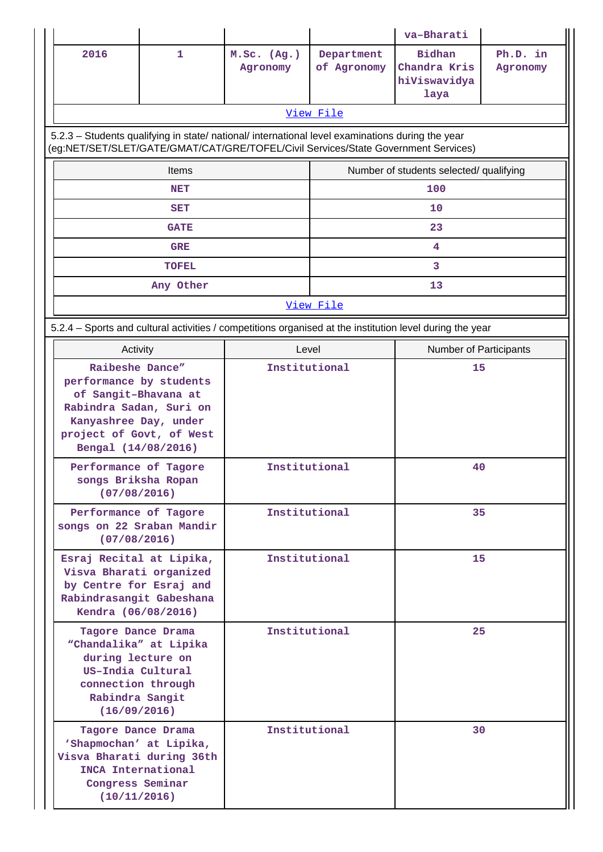|                                                                                                                                                                                            |              |                         |                           | va-Bharati                                                                                               |                      |  |
|--------------------------------------------------------------------------------------------------------------------------------------------------------------------------------------------|--------------|-------------------------|---------------------------|----------------------------------------------------------------------------------------------------------|----------------------|--|
| 2016                                                                                                                                                                                       | $\mathbf{1}$ | M.Sc. (Ag.)<br>Agronomy | Department<br>of Agronomy | <b>Bidhan</b><br>Chandra Kris<br>hiViswavidya<br>laya                                                    | Ph.D. in<br>Agronomy |  |
|                                                                                                                                                                                            | View File    |                         |                           |                                                                                                          |                      |  |
| 5.2.3 - Students qualifying in state/ national/ international level examinations during the year<br>(eg:NET/SET/SLET/GATE/GMAT/CAT/GRE/TOFEL/Civil Services/State Government Services)     |              |                         |                           |                                                                                                          |                      |  |
|                                                                                                                                                                                            | <b>Items</b> |                         |                           | Number of students selected/ qualifying                                                                  |                      |  |
|                                                                                                                                                                                            | NET          |                         |                           | 100                                                                                                      |                      |  |
|                                                                                                                                                                                            | <b>SET</b>   |                         |                           | 10                                                                                                       |                      |  |
|                                                                                                                                                                                            | <b>GATE</b>  |                         |                           | 23                                                                                                       |                      |  |
|                                                                                                                                                                                            | <b>GRE</b>   |                         |                           | 4                                                                                                        |                      |  |
|                                                                                                                                                                                            | <b>TOFEL</b> |                         |                           | 3                                                                                                        |                      |  |
|                                                                                                                                                                                            | Any Other    |                         |                           | 13                                                                                                       |                      |  |
| View File                                                                                                                                                                                  |              |                         |                           |                                                                                                          |                      |  |
|                                                                                                                                                                                            |              |                         |                           | 5.2.4 - Sports and cultural activities / competitions organised at the institution level during the year |                      |  |
| Activity                                                                                                                                                                                   |              | Level                   |                           | <b>Number of Participants</b>                                                                            |                      |  |
| Raibeshe Dance"<br>Institutional<br>performance by students<br>of Sangit-Bhavana at<br>Rabindra Sadan, Suri on<br>Kanyashree Day, under<br>project of Govt, of West<br>Bengal (14/08/2016) |              |                         |                           | 15                                                                                                       |                      |  |
| Performance of Tagore<br>songs Briksha Ropan<br>(07/08/2016)                                                                                                                               |              | Institutional           |                           | 40                                                                                                       |                      |  |
| Performance of Tagore<br>songs on 22 Sraban Mandir<br>(07/08/2016)                                                                                                                         |              | Institutional           |                           | 35                                                                                                       |                      |  |
| Esraj Recital at Lipika,<br>Visva Bharati organized<br>by Centre for Esraj and<br>Rabindrasangit Gabeshana<br>Kendra (06/08/2016)                                                          |              |                         | Institutional             |                                                                                                          | 15                   |  |
| Tagore Dance Drama<br>"Chandalika" at Lipika<br>during lecture on<br>US-India Cultural<br>connection through<br>Rabindra Sangit<br>(16/09/2016)                                            |              | Institutional           |                           | 25                                                                                                       |                      |  |
| Tagore Dance Drama<br>'Shapmochan' at Lipika,<br>Visva Bharati during 36th<br>INCA International<br>Congress Seminar<br>(10/11/2016)                                                       |              | Institutional           |                           | 30                                                                                                       |                      |  |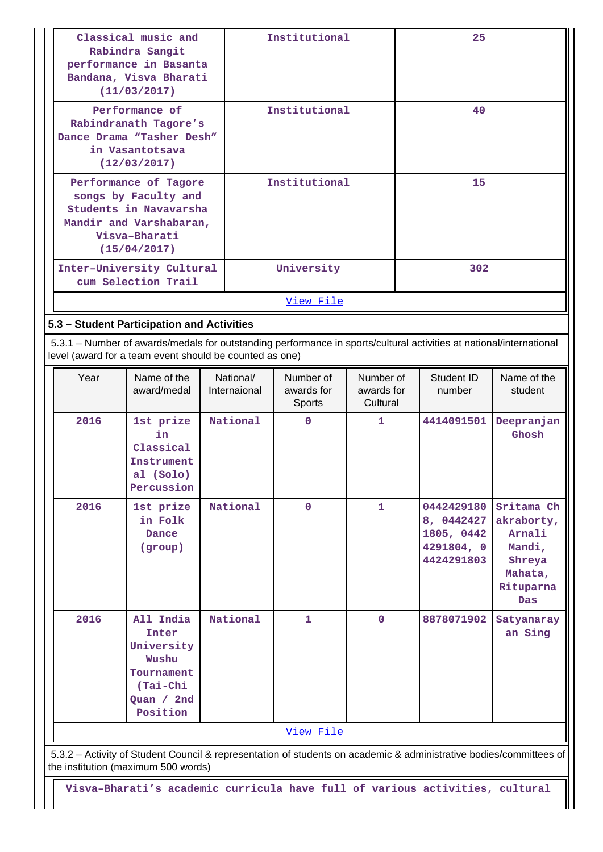|                                                                                                                                     | Classical music and<br>Rabindra Sangit<br>performance in Basanta<br>Bandana, Visva Bharati<br>(11/03/2017)                                                                     |                           | Institutional |                                          |                                     |     | 25                                                                 |                                                                                       |
|-------------------------------------------------------------------------------------------------------------------------------------|--------------------------------------------------------------------------------------------------------------------------------------------------------------------------------|---------------------------|---------------|------------------------------------------|-------------------------------------|-----|--------------------------------------------------------------------|---------------------------------------------------------------------------------------|
| Performance of<br>Rabindranath Tagore's<br>Dance Drama "Tasher Desh"<br>in Vasantotsava<br>(12/03/2017)                             |                                                                                                                                                                                |                           | Institutional |                                          | 40                                  |     |                                                                    |                                                                                       |
| Performance of Tagore<br>songs by Faculty and<br>Students in Navavarsha<br>Mandir and Varshabaran,<br>Visva-Bharati<br>(15/04/2017) |                                                                                                                                                                                |                           | Institutional |                                          | 15                                  |     |                                                                    |                                                                                       |
|                                                                                                                                     | Inter-University Cultural<br>cum Selection Trail                                                                                                                               |                           | University    |                                          |                                     | 302 |                                                                    |                                                                                       |
|                                                                                                                                     |                                                                                                                                                                                |                           | View File     |                                          |                                     |     |                                                                    |                                                                                       |
|                                                                                                                                     | 5.3 - Student Participation and Activities                                                                                                                                     |                           |               |                                          |                                     |     |                                                                    |                                                                                       |
|                                                                                                                                     | 5.3.1 – Number of awards/medals for outstanding performance in sports/cultural activities at national/international<br>level (award for a team event should be counted as one) |                           |               |                                          |                                     |     |                                                                    |                                                                                       |
| Year                                                                                                                                | Name of the<br>award/medal                                                                                                                                                     | National/<br>Internaional |               | Number of<br>awards for<br><b>Sports</b> | Number of<br>awards for<br>Cultural |     | Student ID<br>number                                               | Name of the<br>student                                                                |
| 2016                                                                                                                                | 1st prize<br>in<br>Classical<br>Instrument<br>al (Solo)<br>Percussion                                                                                                          | National                  |               | $\mathbf 0$                              | 1                                   |     | 4414091501                                                         | Deepranjan<br>Ghosh                                                                   |
| 2016                                                                                                                                | 1st prize<br>in Folk<br><b>Dance</b><br>(group)                                                                                                                                | National                  |               | $\mathbf 0$                              | $\mathbf{1}$                        |     | 0442429180<br>8, 0442427<br>1805, 0442<br>4291804, 0<br>4424291803 | Sritama Ch<br>akraborty,<br>Arnali<br>Mandi,<br>Shreya<br>Mahata,<br>Rituparna<br>Das |

 5.3.2 – Activity of Student Council & representation of students on academic & administrative bodies/committees of the institution (maximum 500 words)

[View File](https://assessmentonline.naac.gov.in/public/Postacc/awards_in_activities/7558_awards_in_activities_1603526311.xlsx)

**National 1 0 8878071902 Satyanaray**

**an Sing**

**2016 All India**

**Inter University Wushu Tournament (Tai-Chi Quan / 2nd Position**

**Visva–Bharati's academic curricula have full of various activities, cultural**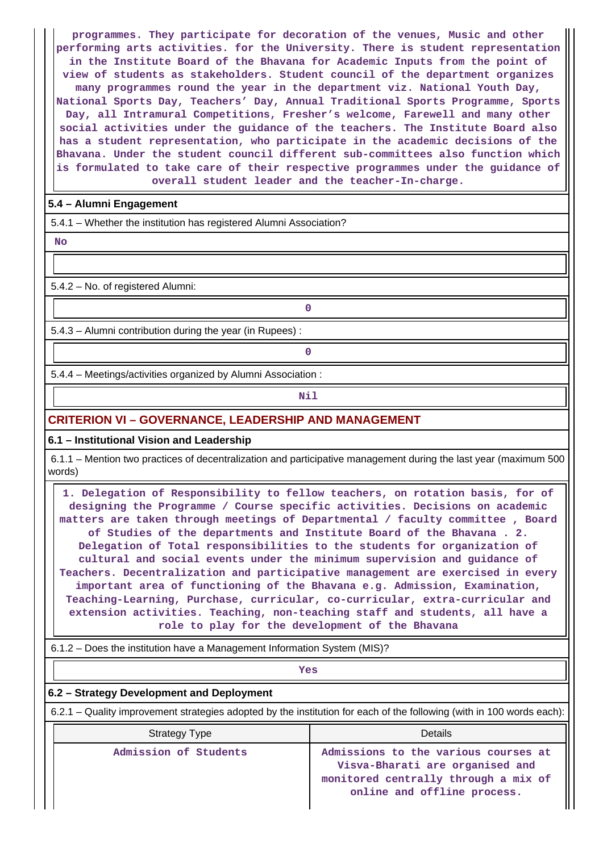**programmes. They participate for decoration of the venues, Music and other performing arts activities. for the University. There is student representation in the Institute Board of the Bhavana for Academic Inputs from the point of view of students as stakeholders. Student council of the department organizes many programmes round the year in the department viz. National Youth Day, National Sports Day, Teachers' Day, Annual Traditional Sports Programme, Sports Day, all Intramural Competitions, Fresher's welcome, Farewell and many other social activities under the guidance of the teachers. The Institute Board also has a student representation, who participate in the academic decisions of the Bhavana. Under the student council different sub-committees also function which is formulated to take care of their respective programmes under the guidance of overall student leader and the teacher-In-charge.**

## **5.4 – Alumni Engagement**

5.4.1 – Whether the institution has registered Alumni Association?

 **No**

5.4.2 – No. of registered Alumni:

5.4.3 – Alumni contribution during the year (in Rupees) :

**0**

**0**

5.4.4 – Meetings/activities organized by Alumni Association :

**Nil** 

## **CRITERION VI – GOVERNANCE, LEADERSHIP AND MANAGEMENT**

#### **6.1 – Institutional Vision and Leadership**

 6.1.1 – Mention two practices of decentralization and participative management during the last year (maximum 500 words)

 **1. Delegation of Responsibility to fellow teachers, on rotation basis, for of designing the Programme / Course specific activities. Decisions on academic matters are taken through meetings of Departmental / faculty committee , Board of Studies of the departments and Institute Board of the Bhavana . 2. Delegation of Total responsibilities to the students for organization of cultural and social events under the minimum supervision and guidance of Teachers. Decentralization and participative management are exercised in every important area of functioning of the Bhavana e.g. Admission, Examination, Teaching-Learning, Purchase, curricular, co-curricular, extra-curricular and extension activities. Teaching, non-teaching staff and students, all have a role to play for the development of the Bhavana**

6.1.2 – Does the institution have a Management Information System (MIS)?

*Yes* 

## **6.2 – Strategy Development and Deployment**

6.2.1 – Quality improvement strategies adopted by the institution for each of the following (with in 100 words each):

| <b>Strategy Type</b>  | Details                                                                                                                                        |
|-----------------------|------------------------------------------------------------------------------------------------------------------------------------------------|
| Admission of Students | Admissions to the various courses at<br>Visva-Bharati are organised and<br>monitored centrally through a mix of<br>online and offline process. |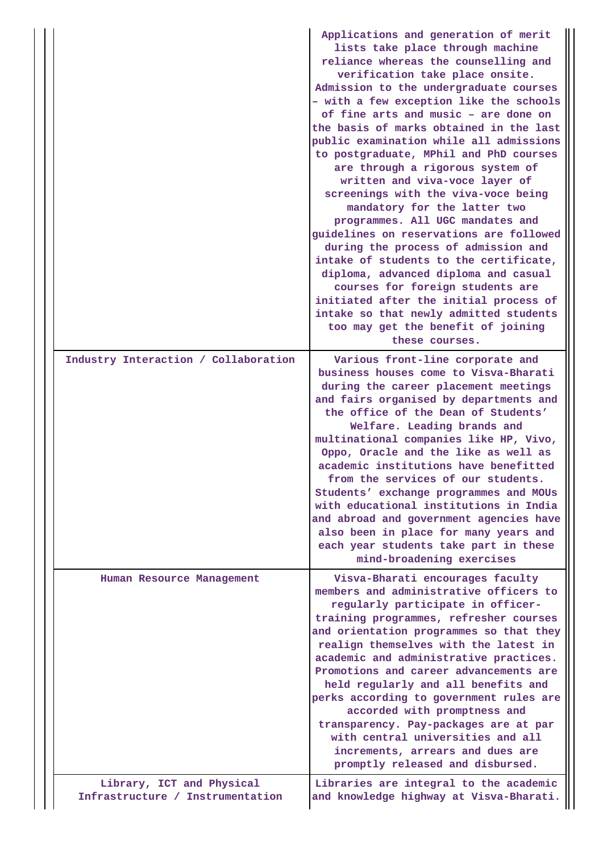|  |                                                               | Applications and generation of merit<br>lists take place through machine<br>reliance whereas the counselling and<br>verification take place onsite.<br>Admission to the undergraduate courses<br>- with a few exception like the schools<br>of fine arts and music - are done on<br>the basis of marks obtained in the last<br>public examination while all admissions<br>to postgraduate, MPhil and PhD courses<br>are through a rigorous system of<br>written and viva-voce layer of<br>screenings with the viva-voce being<br>mandatory for the latter two<br>programmes. All UGC mandates and<br>guidelines on reservations are followed<br>during the process of admission and<br>intake of students to the certificate,<br>diploma, advanced diploma and casual<br>courses for foreign students are<br>initiated after the initial process of<br>intake so that newly admitted students<br>too may get the benefit of joining<br>these courses. |
|--|---------------------------------------------------------------|-------------------------------------------------------------------------------------------------------------------------------------------------------------------------------------------------------------------------------------------------------------------------------------------------------------------------------------------------------------------------------------------------------------------------------------------------------------------------------------------------------------------------------------------------------------------------------------------------------------------------------------------------------------------------------------------------------------------------------------------------------------------------------------------------------------------------------------------------------------------------------------------------------------------------------------------------------|
|  | Industry Interaction / Collaboration                          | Various front-line corporate and<br>business houses come to Visva-Bharati<br>during the career placement meetings<br>and fairs organised by departments and<br>the office of the Dean of Students'<br>Welfare. Leading brands and<br>multinational companies like HP, Vivo,<br>Oppo, Oracle and the like as well as<br>academic institutions have benefitted<br>from the services of our students.<br>Students' exchange programmes and MOUs<br>with educational institutions in India<br>and abroad and government agencies have<br>also been in place for many years and<br>each year students take part in these<br>mind-broadening exercises                                                                                                                                                                                                                                                                                                      |
|  | Human Resource Management                                     | Visva-Bharati encourages faculty<br>members and administrative officers to<br>regularly participate in officer-<br>training programmes, refresher courses<br>and orientation programmes so that they<br>realign themselves with the latest in<br>academic and administrative practices.<br>Promotions and career advancements are<br>held regularly and all benefits and<br>perks according to government rules are<br>accorded with promptness and<br>transparency. Pay-packages are at par<br>with central universities and all<br>increments, arrears and dues are<br>promptly released and disbursed.                                                                                                                                                                                                                                                                                                                                             |
|  | Library, ICT and Physical<br>Infrastructure / Instrumentation | Libraries are integral to the academic<br>and knowledge highway at Visva-Bharati.                                                                                                                                                                                                                                                                                                                                                                                                                                                                                                                                                                                                                                                                                                                                                                                                                                                                     |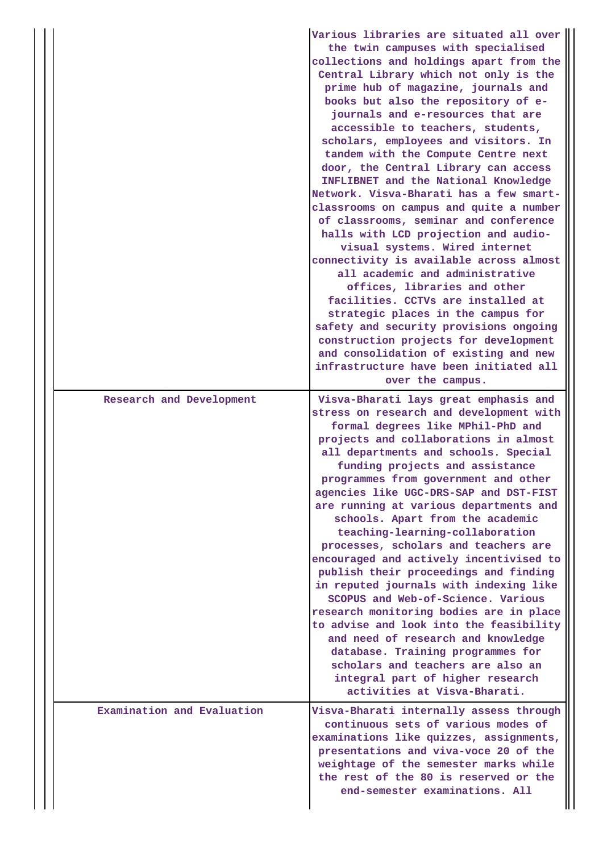|                            | Various libraries are situated all over<br>the twin campuses with specialised<br>collections and holdings apart from the<br>Central Library which not only is the<br>prime hub of magazine, journals and<br>books but also the repository of e-<br>journals and e-resources that are<br>accessible to teachers, students,<br>scholars, employees and visitors. In<br>tandem with the Compute Centre next<br>door, the Central Library can access<br>INFLIBNET and the National Knowledge<br>Network. Visva-Bharati has a few smart-<br>classrooms on campus and quite a number<br>of classrooms, seminar and conference<br>halls with LCD projection and audio-<br>visual systems. Wired internet<br>connectivity is available across almost<br>all academic and administrative<br>offices, libraries and other<br>facilities. CCTVs are installed at<br>strategic places in the campus for<br>safety and security provisions ongoing<br>construction projects for development<br>and consolidation of existing and new<br>infrastructure have been initiated all<br>over the campus. |
|----------------------------|---------------------------------------------------------------------------------------------------------------------------------------------------------------------------------------------------------------------------------------------------------------------------------------------------------------------------------------------------------------------------------------------------------------------------------------------------------------------------------------------------------------------------------------------------------------------------------------------------------------------------------------------------------------------------------------------------------------------------------------------------------------------------------------------------------------------------------------------------------------------------------------------------------------------------------------------------------------------------------------------------------------------------------------------------------------------------------------|
| Research and Development   | Visva-Bharati lays great emphasis and<br>stress on research and development with<br>formal degrees like MPhil-PhD and<br>projects and collaborations in almost<br>all departments and schools. Special<br>funding projects and assistance<br>programmes from government and other<br>agencies like UGC-DRS-SAP and DST-FIST<br>are running at various departments and<br>schools. Apart from the academic<br>teaching-learning-collaboration<br>processes, scholars and teachers are<br>encouraged and actively incentivised to<br>publish their proceedings and finding<br>in reputed journals with indexing like<br>SCOPUS and Web-of-Science. Various<br>research monitoring bodies are in place<br>to advise and look into the feasibility<br>and need of research and knowledge<br>database. Training programmes for<br>scholars and teachers are also an<br>integral part of higher research<br>activities at Visva-Bharati.                                                                                                                                                    |
| Examination and Evaluation | Visva-Bharati internally assess through<br>continuous sets of various modes of<br>examinations like quizzes, assignments,<br>presentations and viva-voce 20 of the<br>weightage of the semester marks while<br>the rest of the 80 is reserved or the<br>end-semester examinations. All                                                                                                                                                                                                                                                                                                                                                                                                                                                                                                                                                                                                                                                                                                                                                                                                |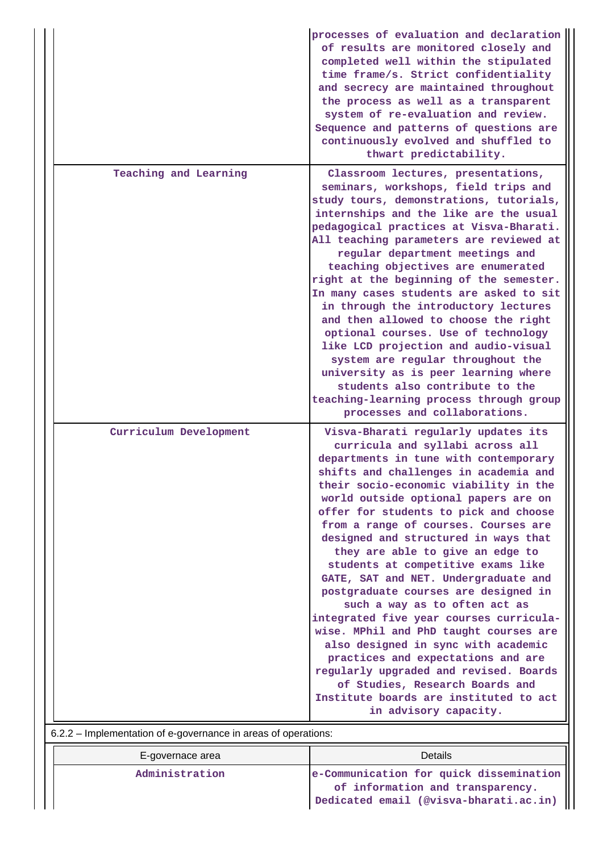|                                                                | processes of evaluation and declaration<br>of results are monitored closely and<br>completed well within the stipulated<br>time frame/s. Strict confidentiality<br>and secrecy are maintained throughout<br>the process as well as a transparent<br>system of re-evaluation and review.<br>Sequence and patterns of questions are<br>continuously evolved and shuffled to<br>thwart predictability.                                                                                                                                                                                                                                                                                                                                                                                                                                                                              |
|----------------------------------------------------------------|----------------------------------------------------------------------------------------------------------------------------------------------------------------------------------------------------------------------------------------------------------------------------------------------------------------------------------------------------------------------------------------------------------------------------------------------------------------------------------------------------------------------------------------------------------------------------------------------------------------------------------------------------------------------------------------------------------------------------------------------------------------------------------------------------------------------------------------------------------------------------------|
| Teaching and Learning                                          | Classroom lectures, presentations,<br>seminars, workshops, field trips and<br>study tours, demonstrations, tutorials,<br>internships and the like are the usual<br>pedagogical practices at Visva-Bharati.<br>All teaching parameters are reviewed at<br>regular department meetings and<br>teaching objectives are enumerated<br>right at the beginning of the semester.<br>In many cases students are asked to sit<br>in through the introductory lectures<br>and then allowed to choose the right<br>optional courses. Use of technology<br>like LCD projection and audio-visual<br>system are regular throughout the<br>university as is peer learning where<br>students also contribute to the<br>teaching-learning process through group<br>processes and collaborations.                                                                                                  |
| Curriculum Development                                         | Visva-Bharati regularly updates its<br>curricula and syllabi across all<br>departments in tune with contemporary<br>shifts and challenges in academia and<br>their socio-economic viability in the<br>world outside optional papers are on<br>offer for students to pick and choose<br>from a range of courses. Courses are<br>designed and structured in ways that<br>they are able to give an edge to<br>students at competitive exams like<br>GATE, SAT and NET. Undergraduate and<br>postgraduate courses are designed in<br>such a way as to often act as<br>integrated five year courses curricula-<br>wise. MPhil and PhD taught courses are<br>also designed in sync with academic<br>practices and expectations and are<br>regularly upgraded and revised. Boards<br>of Studies, Research Boards and<br>Institute boards are instituted to act<br>in advisory capacity. |
| 6.2.2 - Implementation of e-governance in areas of operations: |                                                                                                                                                                                                                                                                                                                                                                                                                                                                                                                                                                                                                                                                                                                                                                                                                                                                                  |

| E-governace area | Details                                                                                                               |
|------------------|-----------------------------------------------------------------------------------------------------------------------|
| Administration   | e-Communication for quick dissemination<br>of information and transparency.<br>Dedicated email (@visva-bharati.ac.in) |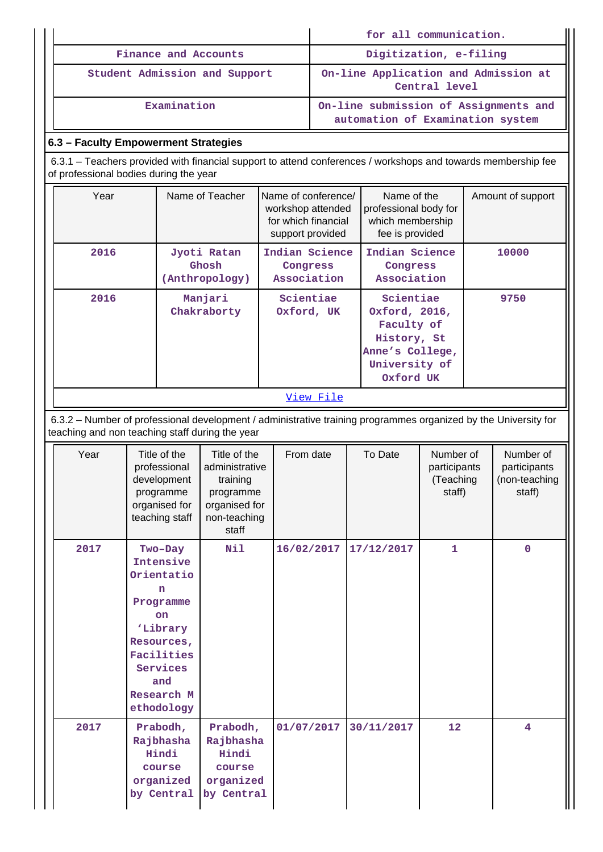|           |                                                                                                                                                                    |  |                                                                                                                                                   |                                                                                                   |                                                                                     |                        |            |                                                                                       | for all communication.                           |  |                                                                           |
|-----------|--------------------------------------------------------------------------------------------------------------------------------------------------------------------|--|---------------------------------------------------------------------------------------------------------------------------------------------------|---------------------------------------------------------------------------------------------------|-------------------------------------------------------------------------------------|------------------------|------------|---------------------------------------------------------------------------------------|--------------------------------------------------|--|---------------------------------------------------------------------------|
|           |                                                                                                                                                                    |  |                                                                                                                                                   | Finance and Accounts                                                                              |                                                                                     | Digitization, e-filing |            |                                                                                       |                                                  |  |                                                                           |
|           | Student Admission and Support                                                                                                                                      |  |                                                                                                                                                   |                                                                                                   | On-line Application and Admission at<br>Central level                               |                        |            |                                                                                       |                                                  |  |                                                                           |
|           | Examination                                                                                                                                                        |  |                                                                                                                                                   |                                                                                                   |                                                                                     |                        |            |                                                                                       |                                                  |  | On-line submission of Assignments and<br>automation of Examination system |
|           | 6.3 - Faculty Empowerment Strategies                                                                                                                               |  |                                                                                                                                                   |                                                                                                   |                                                                                     |                        |            |                                                                                       |                                                  |  |                                                                           |
|           | 6.3.1 – Teachers provided with financial support to attend conferences / workshops and towards membership fee<br>of professional bodies during the year            |  |                                                                                                                                                   |                                                                                                   |                                                                                     |                        |            |                                                                                       |                                                  |  |                                                                           |
|           | Year                                                                                                                                                               |  |                                                                                                                                                   | Name of Teacher                                                                                   | Name of conference/<br>workshop attended<br>for which financial<br>support provided |                        |            | Name of the<br>which membership<br>fee is provided                                    | professional body for                            |  | Amount of support                                                         |
|           | 2016                                                                                                                                                               |  |                                                                                                                                                   | Jyoti Ratan<br>Ghosh<br>(Anthropology)                                                            | Indian Science<br>Congress<br>Association                                           |                        |            | Indian Science<br>Congress<br>Association                                             |                                                  |  | 10000                                                                     |
|           | 2016                                                                                                                                                               |  |                                                                                                                                                   | Manjari<br>Chakraborty                                                                            | Scientiae<br>Oxford, UK                                                             |                        |            | Scientiae<br>Oxford, 2016,<br>Faculty of<br>History, St<br>University of<br>Oxford UK | Anne's College,                                  |  | 9750                                                                      |
| View File |                                                                                                                                                                    |  |                                                                                                                                                   |                                                                                                   |                                                                                     |                        |            |                                                                                       |                                                  |  |                                                                           |
|           | 6.3.2 - Number of professional development / administrative training programmes organized by the University for<br>teaching and non teaching staff during the year |  |                                                                                                                                                   |                                                                                                   |                                                                                     |                        |            |                                                                                       |                                                  |  |                                                                           |
|           | Year                                                                                                                                                               |  | Title of the<br>professional<br>development<br>programme<br>organised for<br>teaching staff                                                       | Title of the<br>administrative<br>training<br>programme<br>organised for<br>non-teaching<br>staff | From date                                                                           |                        | To Date    |                                                                                       | Number of<br>participants<br>(Teaching<br>staff) |  | Number of<br>participants<br>(non-teaching<br>staff)                      |
|           | 2017                                                                                                                                                               |  | Two-Day<br>Intensive<br>Orientatio<br>n<br>Programme<br>on<br>'Library<br>Resources,<br>Facilities<br>Services<br>and<br>Research M<br>ethodology | Nil                                                                                               | 16/02/2017                                                                          |                        | 17/12/2017 |                                                                                       | $\mathbf{1}$                                     |  | $\mathbf 0$                                                               |
|           | 2017                                                                                                                                                               |  | Prabodh,<br>Rajbhasha<br>Hindi<br>course<br>organized<br>by Central                                                                               | Prabodh,<br>Rajbhasha<br>Hindi<br>course<br>organized<br>by Central                               | 01/07/2017                                                                          |                        | 30/11/2017 |                                                                                       | 12                                               |  | $\overline{\mathbf{4}}$                                                   |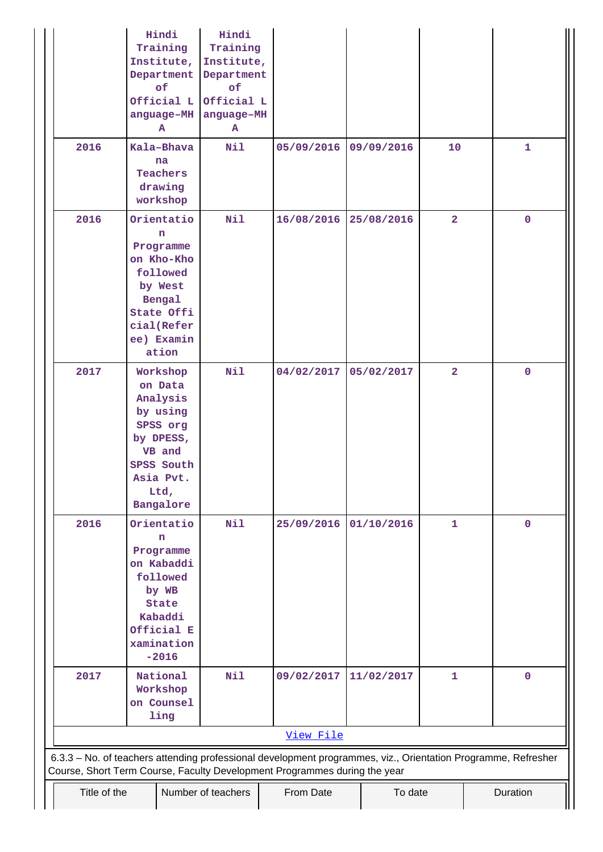|              | Hindi<br>Training<br>Institute,<br>Department<br>of<br>Official L<br>anguage-MH<br>A                                              | Hindi<br>Training<br>Institute,<br>Department<br>of<br>Official L<br>anguage-MH<br>${\bf A}$ |                                                                                                                                                                                            |            |                |              |
|--------------|-----------------------------------------------------------------------------------------------------------------------------------|----------------------------------------------------------------------------------------------|--------------------------------------------------------------------------------------------------------------------------------------------------------------------------------------------|------------|----------------|--------------|
| 2016         | Kala-Bhava<br>na<br><b>Teachers</b><br>drawing<br>workshop                                                                        | Nil                                                                                          | 05/09/2016                                                                                                                                                                                 | 09/09/2016 | 10             | $\mathbf{1}$ |
| 2016         | Orientatio<br>n<br>Programme<br>on Kho-Kho<br>followed<br>by West<br>Bengal<br>State Offi<br>cial(Refer<br>ee) Examin<br>ation    | Nil                                                                                          | 16/08/2016                                                                                                                                                                                 | 25/08/2016 | $\overline{2}$ | $\mathbf 0$  |
| 2017         | Workshop<br>on Data<br>Analysis<br>by using<br>SPSS org<br>by DPESS,<br>VB and<br>SPSS South<br>Asia Pvt.<br>Ltd,<br>Bangalore    | Nil                                                                                          | 04/02/2017                                                                                                                                                                                 | 05/02/2017 | $\overline{2}$ | $\mathbf 0$  |
| 2016         | Orientatio<br>n<br>Programme<br>on Kabaddi<br>followed<br>by WB<br><b>State</b><br>Kabaddi<br>Official E<br>xamination<br>$-2016$ | Nil                                                                                          | 25/09/2016                                                                                                                                                                                 | 01/10/2016 | $\mathbf{1}$   | $\mathbf 0$  |
| 2017         | National<br>Workshop<br>on Counsel<br>ling                                                                                        | Nil                                                                                          | 09/02/2017                                                                                                                                                                                 | 11/02/2017 | $\mathbf{1}$   | $\mathbf 0$  |
|              |                                                                                                                                   |                                                                                              | View File                                                                                                                                                                                  |            |                |              |
|              |                                                                                                                                   |                                                                                              | 6.3.3 - No. of teachers attending professional development programmes, viz., Orientation Programme, Refresher<br>Course, Short Term Course, Faculty Development Programmes during the year |            |                |              |
| Title of the |                                                                                                                                   | Number of teachers                                                                           | From Date                                                                                                                                                                                  | To date    |                | Duration     |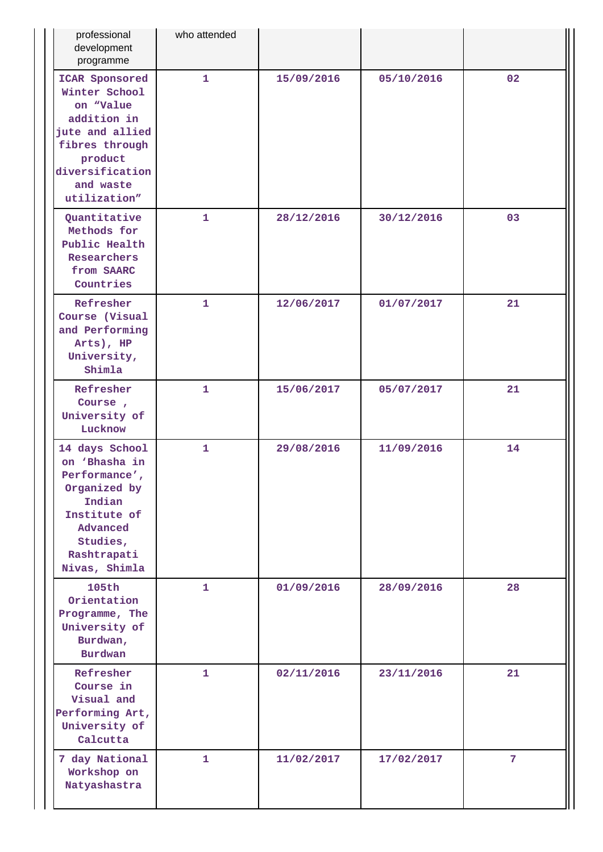| professional<br>development<br>programme                                                                                                                    | who attended |            |            |                |
|-------------------------------------------------------------------------------------------------------------------------------------------------------------|--------------|------------|------------|----------------|
| ICAR Sponsored<br>Winter School<br>on "Value<br>addition in<br>jute and allied<br>fibres through<br>product<br>diversification<br>and waste<br>utilization" | $\mathbf{1}$ | 15/09/2016 | 05/10/2016 | 02             |
| Quantitative<br>Methods for<br>Public Health<br>Researchers<br>from SAARC<br>Countries                                                                      | $\mathbf{1}$ | 28/12/2016 | 30/12/2016 | 03             |
| Refresher<br>Course (Visual<br>and Performing<br>Arts), HP<br>University,<br>Shimla                                                                         | $\mathbf{1}$ | 12/06/2017 | 01/07/2017 | 21             |
| Refresher<br>Course,<br>University of<br>Lucknow                                                                                                            | $\mathbf{1}$ | 15/06/2017 | 05/07/2017 | 21             |
| 14 days School<br>on 'Bhasha in<br>Performance',<br>Organized by<br>Indian<br>Institute of<br>Advanced<br>Studies,<br>Rashtrapati<br>Nivas, Shimla          | $\mathbf{1}$ | 29/08/2016 | 11/09/2016 | 14             |
| <b>105th</b><br>Orientation<br>Programme, The<br>University of<br>Burdwan,<br><b>Burdwan</b>                                                                | $\mathbf{1}$ | 01/09/2016 | 28/09/2016 | 28             |
| Refresher<br>Course in<br>Visual and<br>Performing Art,<br>University of<br>Calcutta                                                                        | 1            | 02/11/2016 | 23/11/2016 | 21             |
| 7 day National<br>Workshop on<br>Natyashastra                                                                                                               | $\mathbf{1}$ | 11/02/2017 | 17/02/2017 | $7\phantom{.}$ |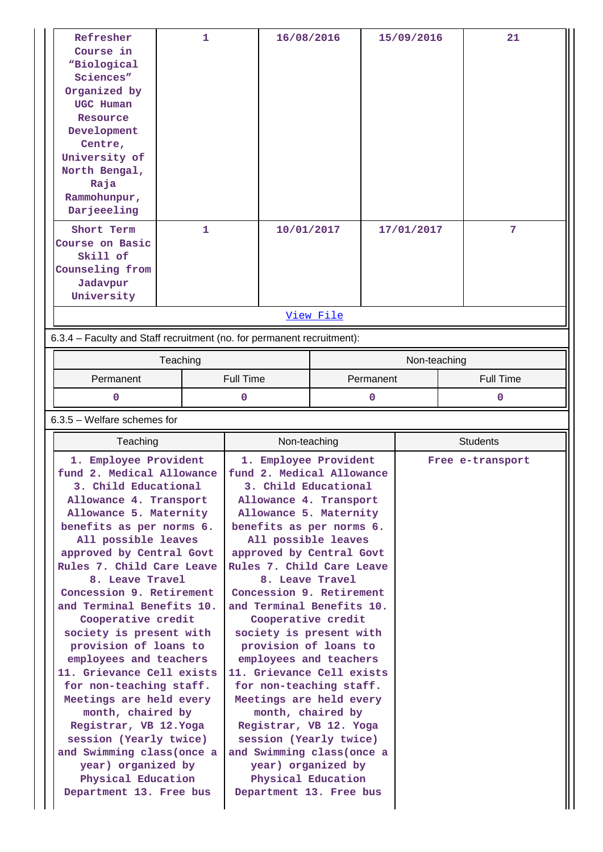| Refresher<br>Course in<br>"Biological<br>Sciences"<br>Organized by<br>UGC Human<br>Resource | $\mathbf{1}$ |           | 16/08/2016   |                       |             | 15/09/2016   |  | 21               |
|---------------------------------------------------------------------------------------------|--------------|-----------|--------------|-----------------------|-------------|--------------|--|------------------|
| Development                                                                                 |              |           |              |                       |             |              |  |                  |
| Centre,<br>University of                                                                    |              |           |              |                       |             |              |  |                  |
| North Bengal,                                                                               |              |           |              |                       |             |              |  |                  |
| Raja                                                                                        |              |           |              |                       |             |              |  |                  |
| Rammohunpur,                                                                                |              |           |              |                       |             |              |  |                  |
| Darjeeeling                                                                                 |              |           |              |                       |             |              |  |                  |
| Short Term<br>Course on Basic                                                               | $\mathbf{1}$ |           | 10/01/2017   |                       |             | 17/01/2017   |  | 7                |
| Skill of                                                                                    |              |           |              |                       |             |              |  |                  |
| Counseling from                                                                             |              |           |              |                       |             |              |  |                  |
| Jadavpur                                                                                    |              |           |              |                       |             |              |  |                  |
| University                                                                                  |              |           |              |                       |             |              |  |                  |
|                                                                                             |              |           |              | View File             |             |              |  |                  |
| 6.3.4 - Faculty and Staff recruitment (no. for permanent recruitment):                      |              |           |              |                       |             |              |  |                  |
|                                                                                             | Teaching     |           |              |                       |             | Non-teaching |  |                  |
| Permanent                                                                                   |              | Full Time |              |                       | Permanent   |              |  | Full Time        |
| 0                                                                                           |              | 0         |              |                       | $\mathbf 0$ |              |  | $\Omega$         |
| $6.3.5$ – Welfare schemes for                                                               |              |           |              |                       |             |              |  |                  |
| Teaching                                                                                    |              |           | Non-teaching | <b>Students</b>       |             |              |  |                  |
| 1. Employee Provident                                                                       |              |           |              | 1. Employee Provident |             |              |  | Free e-transport |

| 1. Employee Provident<br>1. Employee Provident<br>Free e-transport<br>fund 2. Medical Allowance<br>fund 2. Medical Allowance<br>3. Child Educational<br>3. Child Educational<br>Allowance 4. Transport<br>Allowance 4. Transport<br>Allowance 5. Maternity<br>Allowance 5. Maternity<br>benefits as per norms 6.<br>benefits as per norms 6.<br>All possible leaves<br>All possible leaves<br>approved by Central Govt<br>approved by Central Govt<br>Rules 7. Child Care Leave<br>Rules 7. Child Care Leave<br>8. Leave Travel<br>8. Leave Travel<br>Concession 9. Retirement<br>Concession 9. Retirement<br>and Terminal Benefits 10.<br>and Terminal Benefits 10.                       |                                 |                                    | Students |
|--------------------------------------------------------------------------------------------------------------------------------------------------------------------------------------------------------------------------------------------------------------------------------------------------------------------------------------------------------------------------------------------------------------------------------------------------------------------------------------------------------------------------------------------------------------------------------------------------------------------------------------------------------------------------------------------|---------------------------------|------------------------------------|----------|
|                                                                                                                                                                                                                                                                                                                                                                                                                                                                                                                                                                                                                                                                                            | I eaching<br>Cooperative credit | Non-teaching<br>Cooperative credit |          |
| society is present with<br>society is present with<br>provision of loans to<br>provision of loans to<br>employees and teachers<br>employees and teachers<br>11. Grievance Cell exists<br>11. Grievance Cell exists<br>for non-teaching staff.<br>for non-teaching staff.<br>Meetings are held every<br>Meetings are held every<br>month, chaired by<br>month, chaired by<br>Registrar, VB 12. Yoga<br>Registrar, VB 12. Yoga<br>session (Yearly twice)<br>session (Yearly twice)<br>and Swimming class (once a<br>and Swimming class (once a<br>year) organized by<br>year) organized by<br>Physical Education<br>Physical Education<br>Department 13. Free bus<br>Department 13. Free bus |                                 |                                    |          |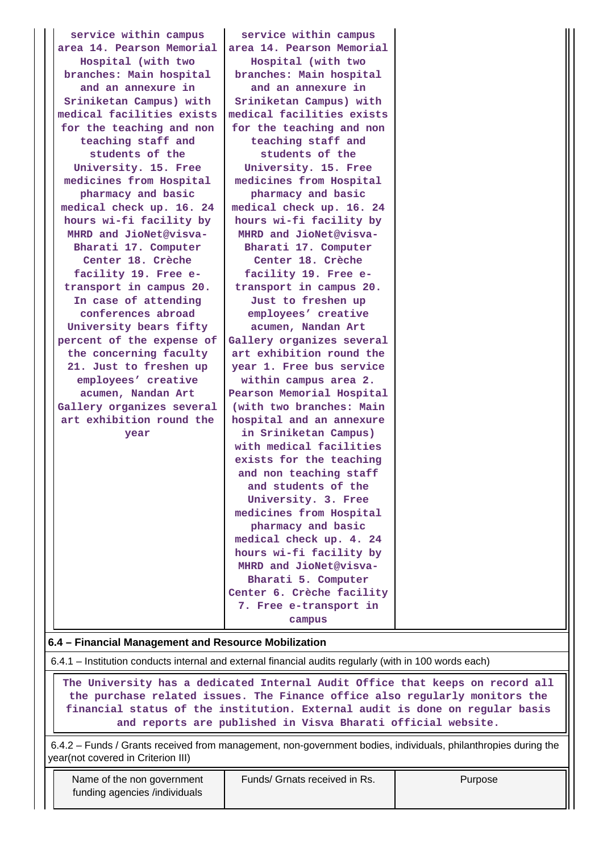| service within campus     | service within campus                                |  |  |  |  |  |
|---------------------------|------------------------------------------------------|--|--|--|--|--|
| area 14. Pearson Memorial | area 14. Pearson Memorial                            |  |  |  |  |  |
| Hospital (with two        | Hospital (with two                                   |  |  |  |  |  |
| branches: Main hospital   | branches: Main hospital                              |  |  |  |  |  |
| and an annexure in        | and an annexure in                                   |  |  |  |  |  |
| Sriniketan Campus) with   | Sriniketan Campus) with                              |  |  |  |  |  |
| medical facilities exists | medical facilities exists                            |  |  |  |  |  |
| for the teaching and non  | for the teaching and non                             |  |  |  |  |  |
| teaching staff and        | teaching staff and                                   |  |  |  |  |  |
| students of the           | students of the                                      |  |  |  |  |  |
|                           |                                                      |  |  |  |  |  |
| University. 15. Free      | University. 15. Free                                 |  |  |  |  |  |
| medicines from Hospital   | medicines from Hospital                              |  |  |  |  |  |
| pharmacy and basic        | pharmacy and basic                                   |  |  |  |  |  |
| medical check up. 16. 24  | medical check up. 16. 24                             |  |  |  |  |  |
| hours wi-fi facility by   | hours wi-fi facility by                              |  |  |  |  |  |
| MHRD and JioNet@visva-    | MHRD and JioNet@visva-                               |  |  |  |  |  |
| Bharati 17. Computer      | Bharati 17. Computer                                 |  |  |  |  |  |
| Center 18. Crèche         | Center 18. Crèche                                    |  |  |  |  |  |
| facility 19. Free e-      | facility 19. Free e-                                 |  |  |  |  |  |
| transport in campus 20.   | transport in campus 20.                              |  |  |  |  |  |
| In case of attending      | Just to freshen up                                   |  |  |  |  |  |
| conferences abroad        | employees' creative                                  |  |  |  |  |  |
| University bears fifty    | acumen, Nandan Art                                   |  |  |  |  |  |
| percent of the expense of | Gallery organizes several                            |  |  |  |  |  |
| the concerning faculty    | art exhibition round the                             |  |  |  |  |  |
| 21. Just to freshen up    | year 1. Free bus service                             |  |  |  |  |  |
| employees' creative       | within campus area 2.                                |  |  |  |  |  |
| acumen, Nandan Art        | Pearson Memorial Hospital                            |  |  |  |  |  |
| Gallery organizes several | (with two branches: Main                             |  |  |  |  |  |
| art exhibition round the  | hospital and an annexure                             |  |  |  |  |  |
| year                      | in Sriniketan Campus)                                |  |  |  |  |  |
|                           | with medical facilities                              |  |  |  |  |  |
|                           | exists for the teaching                              |  |  |  |  |  |
|                           | and non teaching staff                               |  |  |  |  |  |
|                           | and students of the                                  |  |  |  |  |  |
|                           | University. 3. Free                                  |  |  |  |  |  |
|                           | medicines from Hospital                              |  |  |  |  |  |
|                           | pharmacy and basic                                   |  |  |  |  |  |
|                           | medical check up. 4. 24                              |  |  |  |  |  |
|                           | hours wi-fi facility by                              |  |  |  |  |  |
|                           | MHRD and JioNet@visva-                               |  |  |  |  |  |
|                           | Bharati 5. Computer                                  |  |  |  |  |  |
|                           | Center 6. Crèche facility                            |  |  |  |  |  |
|                           | 7. Free e-transport in                               |  |  |  |  |  |
|                           | campus                                               |  |  |  |  |  |
|                           |                                                      |  |  |  |  |  |
|                           | 6.4 - Financial Management and Resource Mobilization |  |  |  |  |  |

6.4.1 – Institution conducts internal and external financial audits regularly (with in 100 words each)

 **The University has a dedicated Internal Audit Office that keeps on record all the purchase related issues. The Finance office also regularly monitors the financial status of the institution. External audit is done on regular basis and reports are published in Visva Bharati official website.**

 6.4.2 – Funds / Grants received from management, non-government bodies, individuals, philanthropies during the year(not covered in Criterion III)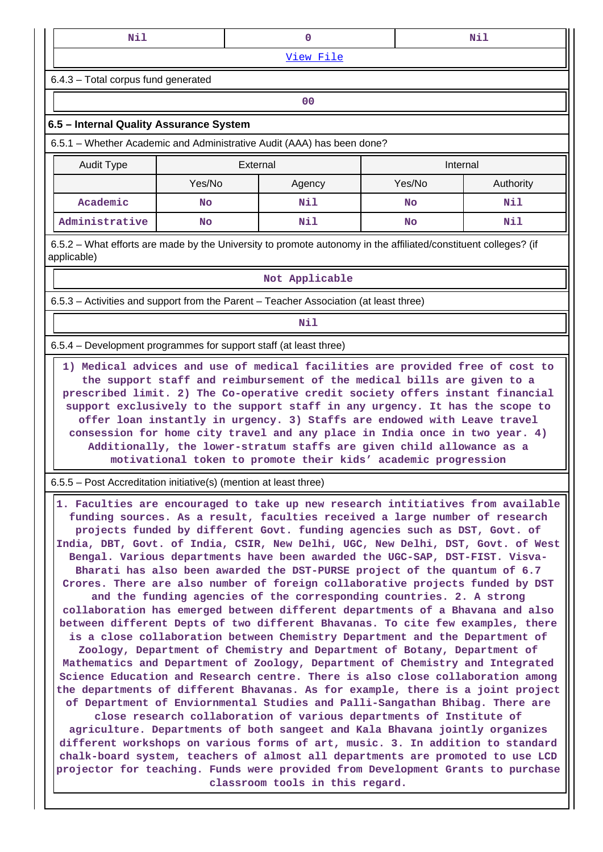| Nil<br>Nil                                                             |  |  |  |  |  |  |  |
|------------------------------------------------------------------------|--|--|--|--|--|--|--|
| View File                                                              |  |  |  |  |  |  |  |
| $6.4.3$ – Total corpus fund generated                                  |  |  |  |  |  |  |  |
| 00                                                                     |  |  |  |  |  |  |  |
| 6.5 – Internal Quality Assurance System                                |  |  |  |  |  |  |  |
| 6.5.1 – Whether Academic and Administrative Audit (AAA) has been done? |  |  |  |  |  |  |  |

| Audit Type     | External |        | Internal |           |
|----------------|----------|--------|----------|-----------|
|                | Yes/No   | Agency | Yes/No   | Authority |
| Academic       | No       | Nil    | No       | Nil       |
| Administrative | No       | Nil    | No       | Nil       |

 6.5.2 – What efforts are made by the University to promote autonomy in the affiliated/constituent colleges? (if applicable)

#### **Not Applicable**

6.5.3 – Activities and support from the Parent – Teacher Association (at least three)

# **Nil**

6.5.4 – Development programmes for support staff (at least three)

 **1) Medical advices and use of medical facilities are provided free of cost to the support staff and reimbursement of the medical bills are given to a prescribed limit. 2) The Co-operative credit society offers instant financial support exclusively to the support staff in any urgency. It has the scope to offer loan instantly in urgency. 3) Staffs are endowed with Leave travel consession for home city travel and any place in India once in two year. 4) Additionally, the lower-stratum staffs are given child allowance as a motivational token to promote their kids' academic progression**

6.5.5 – Post Accreditation initiative(s) (mention at least three)

 **1. Faculties are encouraged to take up new research intitiatives from available funding sources. As a result, faculties received a large number of research projects funded by different Govt. funding agencies such as DST, Govt. of India, DBT, Govt. of India, CSIR, New Delhi, UGC, New Delhi, DST, Govt. of West Bengal. Various departments have been awarded the UGC-SAP, DST-FIST. Visva-Bharati has also been awarded the DST-PURSE project of the quantum of 6.7 Crores. There are also number of foreign collaborative projects funded by DST and the funding agencies of the corresponding countries. 2. A strong collaboration has emerged between different departments of a Bhavana and also between different Depts of two different Bhavanas. To cite few examples, there is a close collaboration between Chemistry Department and the Department of Zoology, Department of Chemistry and Department of Botany, Department of Mathematics and Department of Zoology, Department of Chemistry and Integrated Science Education and Research centre. There is also close collaboration among the departments of different Bhavanas. As for example, there is a joint project of Department of Enviornmental Studies and Palli-Sangathan Bhibag. There are close research collaboration of various departments of Institute of agriculture. Departments of both sangeet and Kala Bhavana jointly organizes different workshops on various forms of art, music. 3. In addition to standard chalk-board system, teachers of almost all departments are promoted to use LCD projector for teaching. Funds were provided from Development Grants to purchase**

**classroom tools in this regard.**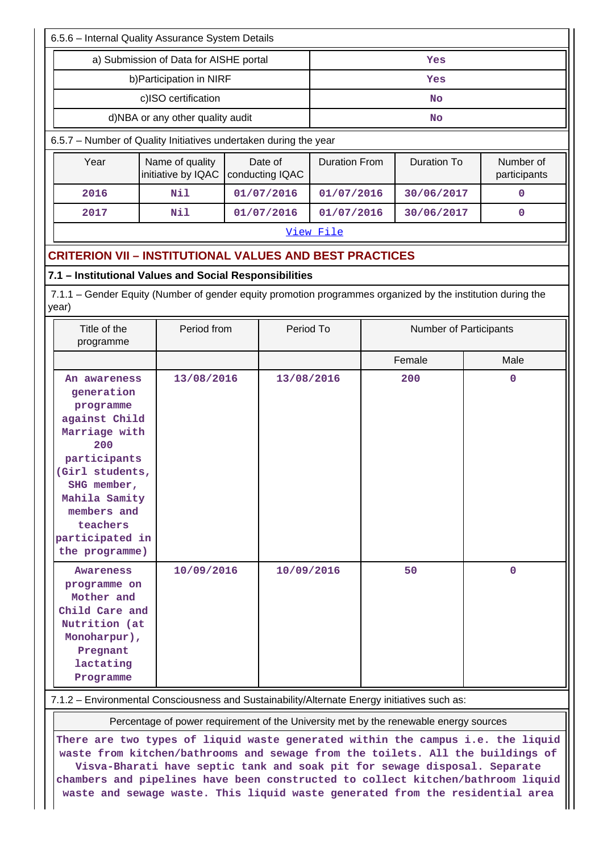| 6.5.6 - Internal Quality Assurance System Details                                                                                                                                                                   |                                                                                                            |             |                            |            |                      |                        |                           |  |
|---------------------------------------------------------------------------------------------------------------------------------------------------------------------------------------------------------------------|------------------------------------------------------------------------------------------------------------|-------------|----------------------------|------------|----------------------|------------------------|---------------------------|--|
| a) Submission of Data for AISHE portal                                                                                                                                                                              |                                                                                                            |             |                            | Yes        |                      |                        |                           |  |
| b) Participation in NIRF                                                                                                                                                                                            | Yes                                                                                                        |             |                            |            |                      |                        |                           |  |
| c)ISO certification                                                                                                                                                                                                 |                                                                                                            |             |                            | No         |                      |                        |                           |  |
| d)NBA or any other quality audit                                                                                                                                                                                    |                                                                                                            |             |                            |            |                      | <b>No</b>              |                           |  |
| 6.5.7 - Number of Quality Initiatives undertaken during the year                                                                                                                                                    |                                                                                                            |             |                            |            |                      |                        |                           |  |
| Year                                                                                                                                                                                                                | Name of quality<br>initiative by IQAC                                                                      |             | Date of<br>conducting IQAC |            | <b>Duration From</b> | <b>Duration To</b>     | Number of<br>participants |  |
| 2016                                                                                                                                                                                                                | Nil                                                                                                        |             | 01/07/2016                 | 01/07/2016 |                      | 30/06/2017             | 0                         |  |
| 2017                                                                                                                                                                                                                | Nil                                                                                                        |             | 01/07/2016                 | 01/07/2016 |                      | 30/06/2017             | 0                         |  |
|                                                                                                                                                                                                                     | View File                                                                                                  |             |                            |            |                      |                        |                           |  |
| <b>CRITERION VII - INSTITUTIONAL VALUES AND BEST PRACTICES</b>                                                                                                                                                      |                                                                                                            |             |                            |            |                      |                        |                           |  |
| 7.1 - Institutional Values and Social Responsibilities                                                                                                                                                              |                                                                                                            |             |                            |            |                      |                        |                           |  |
| 7.1.1 – Gender Equity (Number of gender equity promotion programmes organized by the institution during the<br>year)                                                                                                |                                                                                                            |             |                            |            |                      |                        |                           |  |
| Title of the<br>programme                                                                                                                                                                                           |                                                                                                            | Period from |                            | Period To  |                      | Number of Participants |                           |  |
|                                                                                                                                                                                                                     |                                                                                                            |             |                            |            |                      | Female                 | Male                      |  |
| An awareness<br>generation<br>programme<br>against Child<br>Marriage with<br>200<br>participants<br>(Girl students,<br>SHG member,<br>Mahila Samity<br>members and<br>teachers<br>participated in<br>the programme) | 13/08/2016                                                                                                 |             | 13/08/2016                 |            |                      | 200                    | $\mathbf 0$               |  |
| Awareness<br>programme on<br>Mother and<br>Child Care and<br>Nutrition (at<br>Monoharpur),<br>Pregnant<br>lactating<br>Programme                                                                                    | 10/09/2016<br>7.1.2 - Environmental Consciousness and Sustainability/Alternate Energy initiatives such as: |             | 10/09/2016                 |            |                      | 50                     | $\mathbf 0$               |  |

Percentage of power requirement of the University met by the renewable energy sources

**There are two types of liquid waste generated within the campus i.e. the liquid waste from kitchen/bathrooms and sewage from the toilets. All the buildings of Visva-Bharati have septic tank and soak pit for sewage disposal. Separate chambers and pipelines have been constructed to collect kitchen/bathroom liquid waste and sewage waste. This liquid waste generated from the residential area**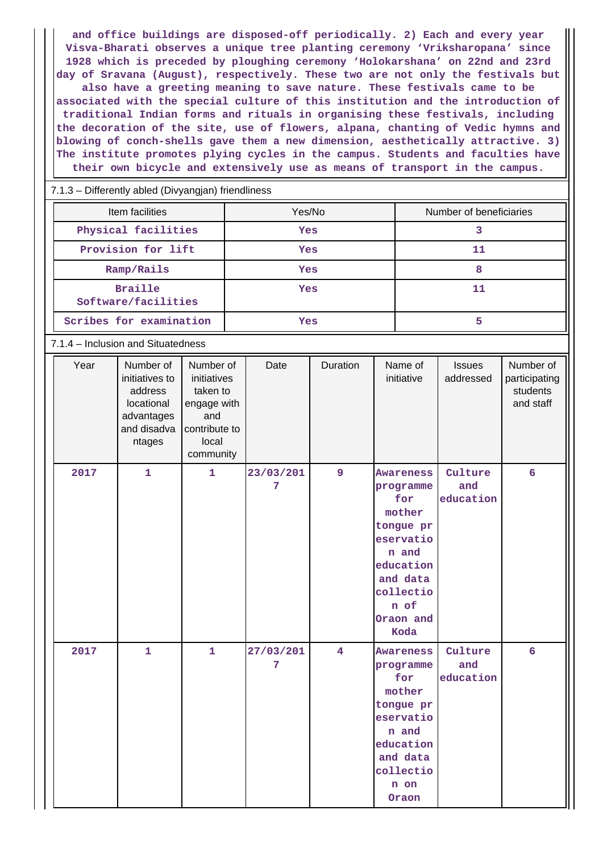**and office buildings are disposed-off periodically. 2) Each and every year Visva-Bharati observes a unique tree planting ceremony 'Vriksharopana' since 1928 which is preceded by ploughing ceremony 'Holokarshana' on 22nd and 23rd day of Sravana (August), respectively. These two are not only the festivals but also have a greeting meaning to save nature. These festivals came to be associated with the special culture of this institution and the introduction of traditional Indian forms and rituals in organising these festivals, including the decoration of the site, use of flowers, alpana, chanting of Vedic hymns and blowing of conch-shells gave them a new dimension, aesthetically attractive. 3) The institute promotes plying cycles in the campus. Students and faculties have their own bicycle and extensively use as means of transport in the campus.**

7.1.3 – Differently abled (Divyangjan) friendliness

| Item facilities                       | Yes/No | Number of beneficiaries |  |  |
|---------------------------------------|--------|-------------------------|--|--|
| Physical facilities                   | Yes    |                         |  |  |
| Provision for lift                    | Yes    | 11                      |  |  |
| Ramp/Rails                            | Yes    | 8                       |  |  |
| <b>Braille</b><br>Software/facilities | Yes    | 11                      |  |  |
| Scribes for examination               | Yes    | 5                       |  |  |

#### 7.1.4 – Inclusion and Situatedness

| Year | Number of<br>initiatives to<br>address<br>locational<br>advantages<br>and disadva<br>ntages | Number of<br>initiatives<br>taken to<br>engage with<br>and<br>contribute to<br>local<br>community | Date           | Duration | Name of<br>initiative                                                                                                                         | <b>Issues</b><br>addressed  | Number of<br>participating<br>students<br>and staff |
|------|---------------------------------------------------------------------------------------------|---------------------------------------------------------------------------------------------------|----------------|----------|-----------------------------------------------------------------------------------------------------------------------------------------------|-----------------------------|-----------------------------------------------------|
| 2017 | $\mathbf{1}$                                                                                | $\mathbf{1}$                                                                                      | 23/03/201<br>7 | 9        | Awareness<br>programme<br>for<br>mother<br>tongue pr<br>eservatio<br>n and<br>education<br>and data<br>collectio<br>n of<br>Oraon and<br>Koda | Culture<br>and<br>education | $6\overline{6}$                                     |
| 2017 | $\mathbf{1}$                                                                                | $\mathbf{1}$                                                                                      | 27/03/201<br>7 | 4        | <b>Awareness</b><br>programme<br>for<br>mother<br>tongue pr<br>eservatio<br>n and<br>education<br>and data<br>collectio<br>n on<br>Oraon      | Culture<br>and<br>education | $6\overline{6}$                                     |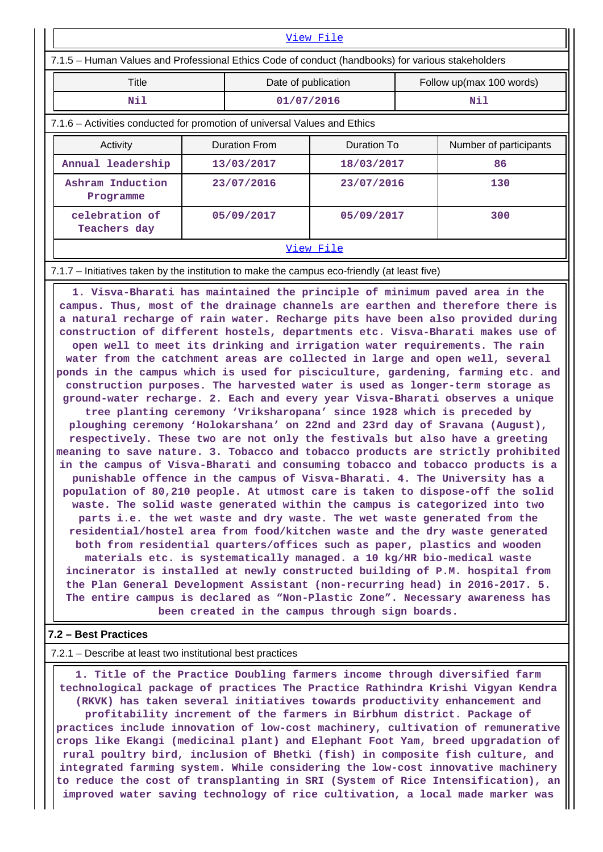| View File                                                                                         |            |                                     |            |                          |                        |  |  |  |
|---------------------------------------------------------------------------------------------------|------------|-------------------------------------|------------|--------------------------|------------------------|--|--|--|
| 7.1.5 – Human Values and Professional Ethics Code of conduct (handbooks) for various stakeholders |            |                                     |            |                          |                        |  |  |  |
| <b>Title</b>                                                                                      |            | Date of publication                 |            | Follow up(max 100 words) |                        |  |  |  |
| Nil                                                                                               |            | 01/07/2016                          |            | Nil                      |                        |  |  |  |
| 7.1.6 – Activities conducted for promotion of universal Values and Ethics                         |            |                                     |            |                          |                        |  |  |  |
| Activity                                                                                          |            | Duration To<br><b>Duration From</b> |            |                          | Number of participants |  |  |  |
| Annual leadership                                                                                 | 13/03/2017 |                                     | 18/03/2017 |                          | 86                     |  |  |  |
| Ashram Induction<br>Programme                                                                     | 23/07/2016 |                                     | 23/07/2016 |                          | 130                    |  |  |  |
| celebration of<br>Teachers day                                                                    | 05/09/2017 |                                     | 05/09/2017 |                          | 300                    |  |  |  |
| View File                                                                                         |            |                                     |            |                          |                        |  |  |  |

#### 7.1.7 – Initiatives taken by the institution to make the campus eco-friendly (at least five)

 **1. Visva-Bharati has maintained the principle of minimum paved area in the campus. Thus, most of the drainage channels are earthen and therefore there is a natural recharge of rain water. Recharge pits have been also provided during construction of different hostels, departments etc. Visva-Bharati makes use of open well to meet its drinking and irrigation water requirements. The rain water from the catchment areas are collected in large and open well, several ponds in the campus which is used for pisciculture, gardening, farming etc. and construction purposes. The harvested water is used as longer-term storage as ground-water recharge. 2. Each and every year Visva-Bharati observes a unique tree planting ceremony 'Vriksharopana' since 1928 which is preceded by ploughing ceremony 'Holokarshana' on 22nd and 23rd day of Sravana (August), respectively. These two are not only the festivals but also have a greeting meaning to save nature. 3. Tobacco and tobacco products are strictly prohibited in the campus of Visva-Bharati and consuming tobacco and tobacco products is a punishable offence in the campus of Visva-Bharati. 4. The University has a population of 80,210 people. At utmost care is taken to dispose-off the solid waste. The solid waste generated within the campus is categorized into two parts i.e. the wet waste and dry waste. The wet waste generated from the residential/hostel area from food/kitchen waste and the dry waste generated both from residential quarters/offices such as paper, plastics and wooden materials etc. is systematically managed. a 10 kg/HR bio-medical waste incinerator is installed at newly constructed building of P.M. hospital from the Plan General Development Assistant (non-recurring head) in 2016-2017. 5. The entire campus is declared as "Non-Plastic Zone". Necessary awareness has been created in the campus through sign boards.**

#### **7.2 – Best Practices**

7.2.1 – Describe at least two institutional best practices

 **1. Title of the Practice Doubling farmers income through diversified farm technological package of practices The Practice Rathindra Krishi Vigyan Kendra (RKVK) has taken several initiatives towards productivity enhancement and profitability increment of the farmers in Birbhum district. Package of practices include innovation of low-cost machinery, cultivation of remunerative crops like Ekangi (medicinal plant) and Elephant Foot Yam, breed upgradation of rural poultry bird, inclusion of Bhetki (fish) in composite fish culture, and integrated farming system. While considering the low-cost innovative machinery to reduce the cost of transplanting in SRI (System of Rice Intensification), an improved water saving technology of rice cultivation, a local made marker was**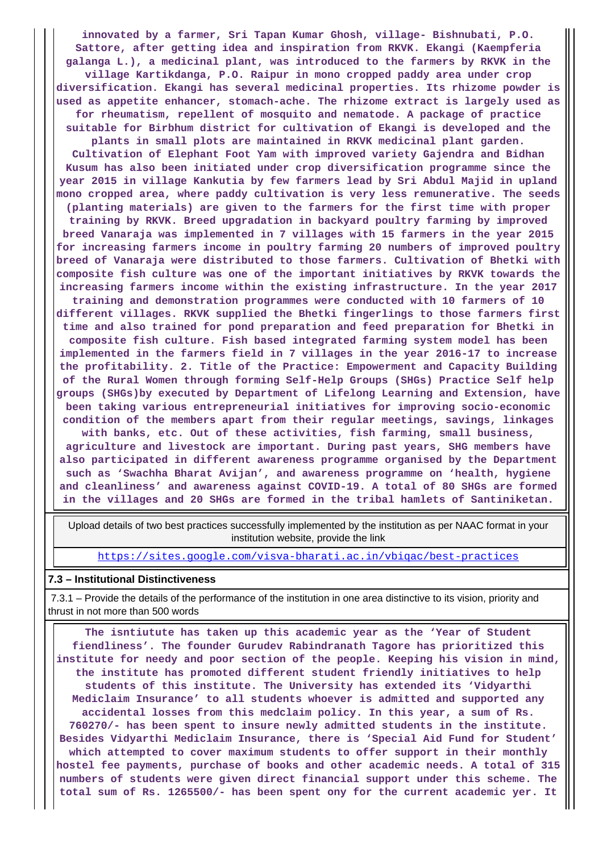**innovated by a farmer, Sri Tapan Kumar Ghosh, village- Bishnubati, P.O. Sattore, after getting idea and inspiration from RKVK. Ekangi (Kaempferia galanga L.), a medicinal plant, was introduced to the farmers by RKVK in the village Kartikdanga, P.O. Raipur in mono cropped paddy area under crop diversification. Ekangi has several medicinal properties. Its rhizome powder is used as appetite enhancer, stomach-ache. The rhizome extract is largely used as for rheumatism, repellent of mosquito and nematode. A package of practice suitable for Birbhum district for cultivation of Ekangi is developed and the plants in small plots are maintained in RKVK medicinal plant garden. Cultivation of Elephant Foot Yam with improved variety Gajendra and Bidhan Kusum has also been initiated under crop diversification programme since the year 2015 in village Kankutia by few farmers lead by Sri Abdul Majid in upland mono cropped area, where paddy cultivation is very less remunerative. The seeds (planting materials) are given to the farmers for the first time with proper training by RKVK. Breed upgradation in backyard poultry farming by improved breed Vanaraja was implemented in 7 villages with 15 farmers in the year 2015 for increasing farmers income in poultry farming 20 numbers of improved poultry breed of Vanaraja were distributed to those farmers. Cultivation of Bhetki with composite fish culture was one of the important initiatives by RKVK towards the increasing farmers income within the existing infrastructure. In the year 2017 training and demonstration programmes were conducted with 10 farmers of 10 different villages. RKVK supplied the Bhetki fingerlings to those farmers first time and also trained for pond preparation and feed preparation for Bhetki in composite fish culture. Fish based integrated farming system model has been implemented in the farmers field in 7 villages in the year 2016-17 to increase the profitability. 2. Title of the Practice: Empowerment and Capacity Building of the Rural Women through forming Self-Help Groups (SHGs) Practice Self help groups (SHGs)by executed by Department of Lifelong Learning and Extension, have been taking various entrepreneurial initiatives for improving socio-economic condition of the members apart from their regular meetings, savings, linkages with banks, etc. Out of these activities, fish farming, small business, agriculture and livestock are important. During past years, SHG members have also participated in different awareness programme organised by the Department such as 'Swachha Bharat Avijan', and awareness programme on 'health, hygiene and cleanliness' and awareness against COVID-19. A total of 80 SHGs are formed in the villages and 20 SHGs are formed in the tribal hamlets of Santiniketan.**

 Upload details of two best practices successfully implemented by the institution as per NAAC format in your institution website, provide the link

<https://sites.google.com/visva-bharati.ac.in/vbiqac/best-practices>

#### **7.3 – Institutional Distinctiveness**

 7.3.1 – Provide the details of the performance of the institution in one area distinctive to its vision, priority and thrust in not more than 500 words

 **The isntiutute has taken up this academic year as the 'Year of Student fiendliness'. The founder Gurudev Rabindranath Tagore has prioritized this institute for needy and poor section of the people. Keeping his vision in mind, the institute has promoted different student friendly initiatives to help students of this institute. The University has extended its 'Vidyarthi Mediclaim Insurance' to all students whoever is admitted and supported any accidental losses from this medclaim policy. In this year, a sum of Rs. 760270/- has been spent to insure newly admitted students in the institute. Besides Vidyarthi Mediclaim Insurance, there is 'Special Aid Fund for Student' which attempted to cover maximum students to offer support in their monthly hostel fee payments, purchase of books and other academic needs. A total of 315 numbers of students were given direct financial support under this scheme. The total sum of Rs. 1265500/- has been spent ony for the current academic yer. It**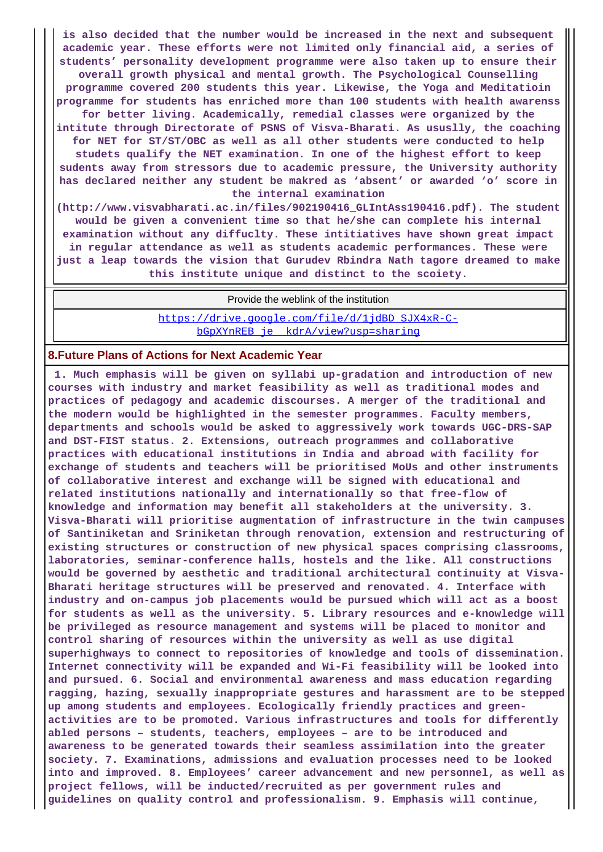**is also decided that the number would be increased in the next and subsequent academic year. These efforts were not limited only financial aid, a series of students' personality development programme were also taken up to ensure their overall growth physical and mental growth. The Psychological Counselling programme covered 200 students this year. Likewise, the Yoga and Meditatioin programme for students has enriched more than 100 students with health awarenss for better living. Academically, remedial classes were organized by the intitute through Directorate of PSNS of Visva-Bharati. As ususlly, the coaching for NET for ST/ST/OBC as well as all other students were conducted to help studets qualify the NET examination. In one of the highest effort to keep sudents away from stressors due to academic pressure, the University authority has declared neither any student be makred as 'absent' or awarded 'o' score in the internal examination**

**(http://www.visvabharati.ac.in/files/902190416\_GLIntAss190416.pdf). The student would be given a convenient time so that he/she can complete his internal examination without any diffuclty. These intitiatives have shown great impact in regular attendance as well as students academic performances. These were just a leap towards the vision that Gurudev Rbindra Nath tagore dreamed to make this institute unique and distinct to the scoiety.**

Provide the weblink of the institution

[https://drive.google.com/file/d/1jdBD\\_SJX4xR-C](https://drive.google.com/file/d/1jdBD_SJX4xR-C-bGpXYnREB_je__kdrA/view?usp=sharing)[bGpXYnREB\\_je\\_\\_kdrA/view?usp=sharing](https://drive.google.com/file/d/1jdBD_SJX4xR-C-bGpXYnREB_je__kdrA/view?usp=sharing)

## **8.Future Plans of Actions for Next Academic Year**

 **1. Much emphasis will be given on syllabi up-gradation and introduction of new courses with industry and market feasibility as well as traditional modes and practices of pedagogy and academic discourses. A merger of the traditional and the modern would be highlighted in the semester programmes. Faculty members, departments and schools would be asked to aggressively work towards UGC-DRS-SAP and DST-FIST status. 2. Extensions, outreach programmes and collaborative practices with educational institutions in India and abroad with facility for exchange of students and teachers will be prioritised MoUs and other instruments of collaborative interest and exchange will be signed with educational and related institutions nationally and internationally so that free-flow of knowledge and information may benefit all stakeholders at the university. 3. Visva-Bharati will prioritise augmentation of infrastructure in the twin campuses of Santiniketan and Sriniketan through renovation, extension and restructuring of existing structures or construction of new physical spaces comprising classrooms, laboratories, seminar-conference halls, hostels and the like. All constructions would be governed by aesthetic and traditional architectural continuity at Visva-Bharati heritage structures will be preserved and renovated. 4. Interface with industry and on-campus job placements would be pursued which will act as a boost for students as well as the university. 5. Library resources and e-knowledge will be privileged as resource management and systems will be placed to monitor and control sharing of resources within the university as well as use digital superhighways to connect to repositories of knowledge and tools of dissemination. Internet connectivity will be expanded and Wi-Fi feasibility will be looked into and pursued. 6. Social and environmental awareness and mass education regarding ragging, hazing, sexually inappropriate gestures and harassment are to be stepped up among students and employees. Ecologically friendly practices and greenactivities are to be promoted. Various infrastructures and tools for differently abled persons – students, teachers, employees – are to be introduced and awareness to be generated towards their seamless assimilation into the greater society. 7. Examinations, admissions and evaluation processes need to be looked into and improved. 8. Employees' career advancement and new personnel, as well as project fellows, will be inducted/recruited as per government rules and guidelines on quality control and professionalism. 9. Emphasis will continue,**